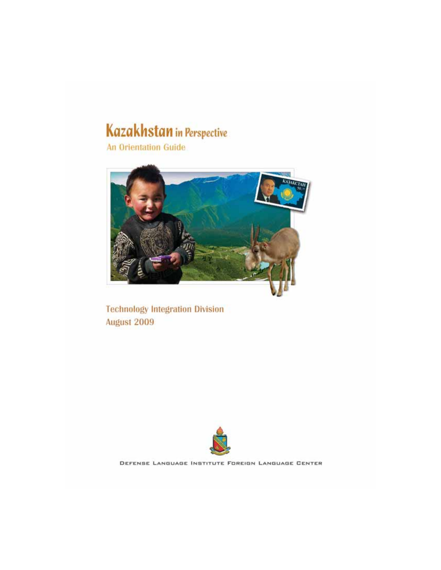# Kazakhstan in Perspective

**An Orientation Guide** 



**Technology Integration Division** August 2009



DEFENSE LANGUAGE INSTITUTE FOREIGN LANGUAGE CENTER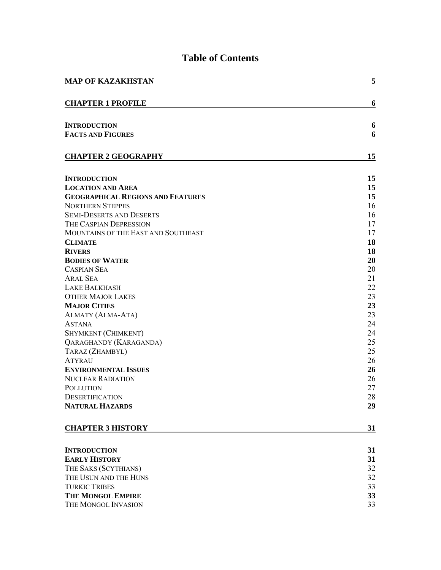| <b>MAP OF KAZAKHSTAN</b>                 | 5         |
|------------------------------------------|-----------|
| <b>CHAPTER 1 PROFILE</b>                 | 6         |
|                                          |           |
| <b>INTRODUCTION</b>                      | 6         |
| <b>FACTS AND FIGURES</b>                 | 6         |
| <b>CHAPTER 2 GEOGRAPHY</b>               | 15        |
| <b>INTRODUCTION</b>                      | 15        |
| <b>LOCATION AND AREA</b>                 | 15        |
| <b>GEOGRAPHICAL REGIONS AND FEATURES</b> | 15        |
| <b>NORTHERN STEPPES</b>                  | 16        |
| <b>SEMI-DESERTS AND DESERTS</b>          | 16        |
| THE CASPIAN DEPRESSION                   | 17        |
| MOUNTAINS OF THE EAST AND SOUTHEAST      | 17        |
| <b>CLIMATE</b>                           | 18        |
| <b>RIVERS</b>                            | 18        |
| <b>BODIES OF WATER</b>                   | 20        |
| <b>CASPIAN SEA</b>                       | 20        |
| <b>ARAL SEA</b>                          | 21        |
| <b>LAKE BALKHASH</b>                     | 22        |
| <b>OTHER MAJOR LAKES</b>                 | 23        |
| <b>MAJOR CITIES</b>                      | 23        |
| ALMATY (ALMA-ATA)                        | 23        |
| <b>ASTANA</b>                            | 24        |
| SHYMKENT (CHIMKENT)                      | 24        |
| QARAGHANDY (KARAGANDA)                   | 25        |
| TARAZ (ZHAMBYL)                          | 25        |
| <b>ATYRAU</b>                            | 26        |
| <b>ENVIRONMENTAL ISSUES</b>              | 26        |
| <b>NUCLEAR RADIATION</b>                 | 26        |
| <b>POLLUTION</b>                         | 27        |
| <b>DESERTIFICATION</b>                   | 28        |
| <b>NATURAL HAZARDS</b>                   | 29        |
| <b>CHAPTER 3 HISTORY</b>                 | <u>31</u> |
| <b>INTRODUCTION</b>                      | 31        |
| <b>EARLY HISTORY</b>                     | 31        |
| THE SAKS (SCYTHIANS)                     | 32        |
| THE USUN AND THE HUNS                    | 32        |
| <b>TURKIC TRIBES</b>                     | 33        |
| <b>THE MONGOL EMPIRE</b>                 | 33        |
| THE MONGOL INVASION                      | 33        |

# **Table of Contents**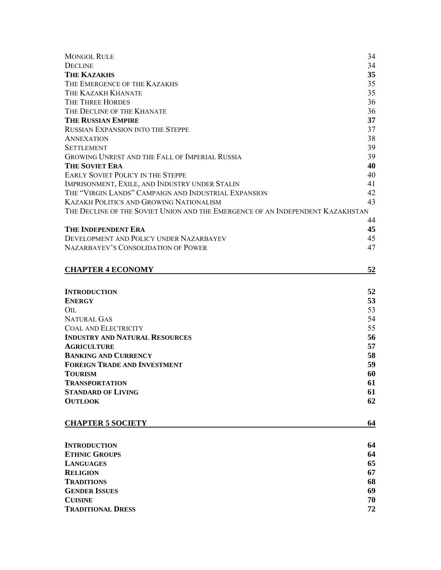| <b>MONGOL RULE</b>                                                             | 34 |
|--------------------------------------------------------------------------------|----|
| <b>DECLINE</b>                                                                 | 34 |
| <b>THE KAZAKHS</b>                                                             | 35 |
| THE EMERGENCE OF THE KAZAKHS                                                   | 35 |
| THE KAZAKH KHANATE                                                             | 35 |
| THE THREE HORDES                                                               | 36 |
| THE DECLINE OF THE KHANATE                                                     | 36 |
| <b>THE RUSSIAN EMPIRE</b>                                                      | 37 |
| <b>RUSSIAN EXPANSION INTO THE STEPPE</b>                                       | 37 |
| <b>ANNEXATION</b>                                                              | 38 |
| <b>SETTLEMENT</b>                                                              | 39 |
| GROWING UNREST AND THE FALL OF IMPERIAL RUSSIA                                 | 39 |
| <b>THE SOVIET ERA</b>                                                          | 40 |
| <b>EARLY SOVIET POLICY IN THE STEPPE</b>                                       | 40 |
| IMPRISONMENT, EXILE, AND INDUSTRY UNDER STALIN                                 | 41 |
| THE "VIRGIN LANDS" CAMPAIGN AND INDUSTRIAL EXPANSION                           | 42 |
| <b>KAZAKH POLITICS AND GROWING NATIONALISM</b>                                 | 43 |
| THE DECLINE OF THE SOVIET UNION AND THE EMERGENCE OF AN INDEPENDENT KAZAKHSTAN |    |
|                                                                                | 44 |
| <b>THE INDEPENDENT ERA</b>                                                     | 45 |
| DEVELOPMENT AND POLICY UNDER NAZARBAYEV                                        | 45 |
| NAZARBAYEV'S CONSOLIDATION OF POWER                                            | 47 |
| <b>CHAPTER 4 ECONOMY</b>                                                       | 52 |
|                                                                                |    |
| <b>INTRODUCTION</b>                                                            | 52 |
| <b>ENERGY</b>                                                                  | 53 |
| $_{\rm OIL}$                                                                   | 53 |
| <b>NATURAL GAS</b>                                                             | 54 |
| <b>COAL AND ELECTRICITY</b>                                                    | 55 |
| <b>INDUSTRY AND NATURAL RESOURCES</b>                                          | 56 |
| <b>AGRICULTURE</b>                                                             | 57 |
| <b>BANKING AND CURRENCY</b>                                                    | 58 |
| <b>FOREIGN TRADE AND INVESTMENT</b>                                            | 59 |
| <b>TOURISM</b>                                                                 | 60 |
| <b>TRANSPORTATION</b>                                                          | 61 |
| <b>STANDARD OF LIVING</b>                                                      | 61 |
| <b>OUTLOOK</b>                                                                 | 62 |
| <b>CHAPTER 5 SOCIETY</b>                                                       | 64 |
|                                                                                |    |
| <b>INTRODUCTION</b>                                                            | 64 |
| <b>ETHNIC GROUPS</b>                                                           | 64 |
| <b>LANGUAGES</b>                                                               | 65 |
| <b>RELIGION</b>                                                                | 67 |
| <b>TRADITIONS</b>                                                              | 68 |
| <b>GENDER ISSUES</b>                                                           | 69 |
| <b>CUISINE</b>                                                                 | 70 |
| <b>TRADITIONAL DRESS</b>                                                       | 72 |
|                                                                                |    |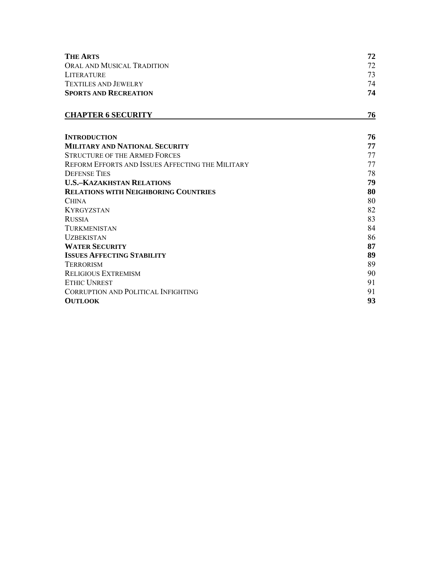| <b>THE ARTS</b>              | 72 |
|------------------------------|----|
| ORAL AND MUSICAL TRADITION   | 72 |
| <b>LITERATURE</b>            | 73 |
| <b>TEXTILES AND JEWELRY</b>  | 74 |
| <b>SPORTS AND RECREATION</b> | 74 |
|                              |    |

# **CHAPTER 6 SECURITY** 76

| <b>INTRODUCTION</b>                              | 76 |
|--------------------------------------------------|----|
| <b>MILITARY AND NATIONAL SECURITY</b>            | 77 |
| <b>STRUCTURE OF THE ARMED FORCES</b>             | 77 |
| REFORM EFFORTS AND ISSUES AFFECTING THE MILITARY | 77 |
| <b>DEFENSE TIES</b>                              | 78 |
| <b>U.S.–KAZAKHSTAN RELATIONS</b>                 | 79 |
| <b>RELATIONS WITH NEIGHBORING COUNTRIES</b>      | 80 |
| <b>CHINA</b>                                     | 80 |
| <b>KYRGYZSTAN</b>                                | 82 |
| <b>RUSSIA</b>                                    | 83 |
| <b>TURKMENISTAN</b>                              | 84 |
| <b>UZBEKISTAN</b>                                | 86 |
| <b>WATER SECURITY</b>                            | 87 |
| <b>ISSUES AFFECTING STABILITY</b>                | 89 |
| <b>TERRORISM</b>                                 | 89 |
| <b>RELIGIOUS EXTREMISM</b>                       | 90 |
| <b>ETHIC UNREST</b>                              | 91 |
| <b>CORRUPTION AND POLITICAL INFIGHTING</b>       | 91 |
| <b>OUTLOOK</b>                                   | 93 |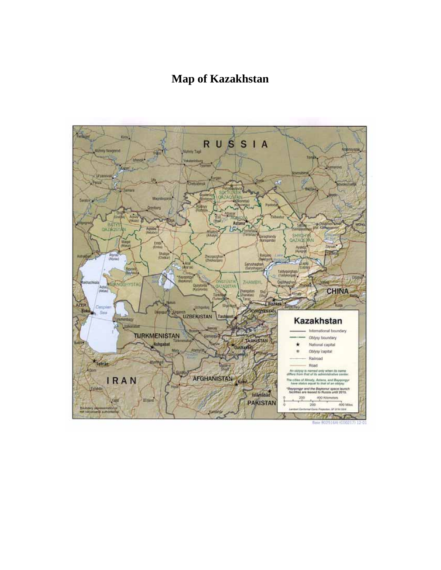# **Map of Kazakhstan**

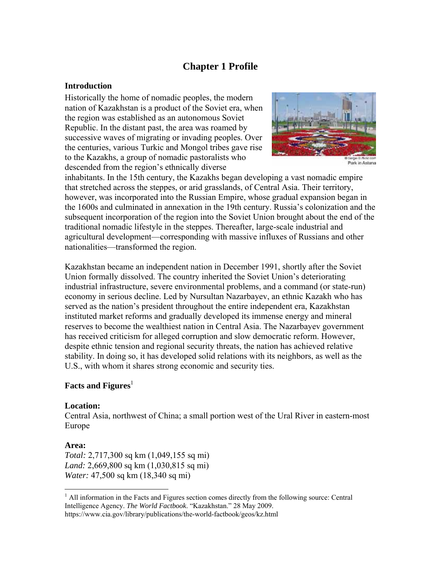# **Chapter 1 Profile**

#### **Introduction**

Historically the home of nomadic peoples, the modern nation of Kazakhstan is a product of the Soviet era, when the region was established as an autonomous Soviet Republic. In the distant past, the area was roamed by successive waves of migrating or invading peoples. Over the centuries, various Turkic and Mongol tribes gave rise to the Kazakhs, a group of nomadic pastoralists who descended from the region's ethnically diverse



Park in Astana

inhabitants. In the 15th century, the Kazakhs began developing a vast nomadic empire that stretched across the steppes, or arid grasslands, of Central Asia. Their territory, however, was incorporated into the Russian Empire, whose gradual expansion began in the 1600s and culminated in annexation in the 19th century. Russia's colonization and the subsequent incorporation of the region into the Soviet Union brought about the end of the traditional nomadic lifestyle in the steppes. Thereafter, large-scale industrial and agricultural development—corresponding with massive influxes of Russians and other nationalities—transformed the region.

Kazakhstan became an independent nation in December 1991, shortly after the Soviet Union formally dissolved. The country inherited the Soviet Union's deteriorating industrial infrastructure, severe environmental problems, and a command (or state-run) economy in serious decline. Led by Nursultan Nazarbayev, an ethnic Kazakh who has served as the nation's president throughout the entire independent era, Kazakhstan instituted market reforms and gradually developed its immense energy and mineral reserves to become the wealthiest nation in Central Asia. The Nazarbayev government has received criticism for alleged corruption and slow democratic reform. However, despite ethnic tension and regional security threats, the nation has achieved relative stability. In doing so, it has developed solid relations with its neighbors, as well as the U.S., with whom it shares strong economic and security ties.

# **Facts and Figures**<sup>1</sup>

#### **Location:**

Central Asia, northwest of China; a small portion west of the Ural River in eastern-most Europe

#### **Area:**

 $\overline{a}$ 

*Total:* 2,717,300 sq km (1,049,155 sq mi) *Land:* 2,669,800 sq km (1,030,815 sq mi) *Water:* 47,500 sq km (18,340 sq mi)

<sup>&</sup>lt;sup>1</sup> All information in the Facts and Figures section comes directly from the following source: Central Intelligence Agency. *The World Factbook*. "Kazakhstan." 28 May 2009. https://www.cia.gov/library/publications/the-world-factbook/geos/kz.html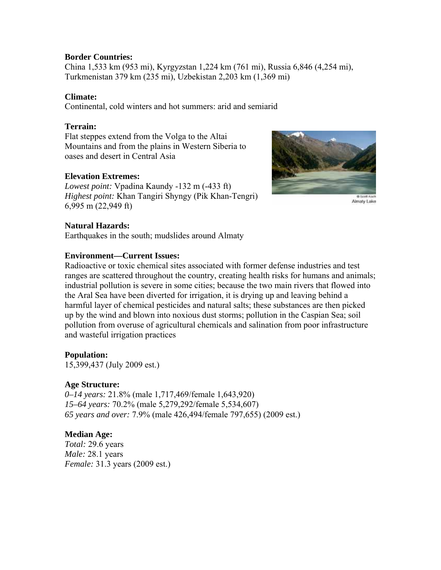# **Border Countries:**

China 1,533 km (953 mi), Kyrgyzstan 1,224 km (761 mi), Russia 6,846 (4,254 mi), Turkmenistan 379 km (235 mi), Uzbekistan 2,203 km (1,369 mi)

# **Climate:**

Continental, cold winters and hot summers: arid and semiarid

# **Terrain:**

Flat steppes extend from the Volga to the Altai Mountains and from the plains in Western Siberia to oases and desert in Central Asia

# **Elevation Extremes:**

*Lowest point:* Vpadina Kaundy -132 m (-433 ft) *Highest point:* Khan Tangiri Shyngy (Pik Khan-Tengri) 6,995 m (22,949 ft)



Almaty Lake

# **Natural Hazards:**

Earthquakes in the south; mudslides around Almaty

#### **Environment—Current Issues:**

Radioactive or toxic chemical sites associated with former defense industries and test ranges are scattered throughout the country, creating health risks for humans and animals; industrial pollution is severe in some cities; because the two main rivers that flowed into the Aral Sea have been diverted for irrigation, it is drying up and leaving behind a harmful layer of chemical pesticides and natural salts; these substances are then picked up by the wind and blown into noxious dust storms; pollution in the Caspian Sea; soil pollution from overuse of agricultural chemicals and salination from poor infrastructure and wasteful irrigation practices

#### **Population:**

15,399,437 (July 2009 est.)

# **Age Structure:**

*0–14 years:* 21.8% (male 1,717,469/female 1,643,920) *15–64 years:* 70.2% (male 5,279,292/female 5,534,607) *65 years and over:* 7.9% (male 426,494/female 797,655) (2009 est.)

# **Median Age:**

*Total:* 29.6 years *Male:* 28.1 years *Female:* 31.3 years (2009 est.)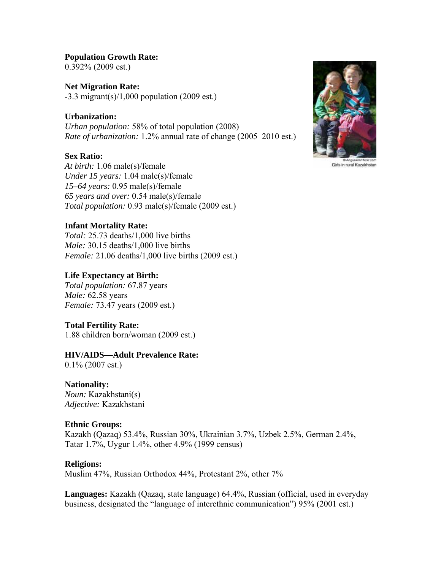#### **Population Growth Rate:**

0.392% (2009 est.)

**Net Migration Rate:**   $-3.3$  migrant(s)/1,000 population (2009 est.)

#### **Urbanization:**

*Urban population:* 58% of total population (2008) *Rate of urbanization:* 1.2% annual rate of change (2005–2010 est.)

#### **Sex Ratio:**

*At birth:* 1.06 male(s)/female *Under 15 years:* 1.04 male(s)/female *15–64 years:* 0.95 male(s)/female *65 years and over:* 0.54 male(s)/female *Total population:* 0.93 male(s)/female (2009 est.)

#### **Infant Mortality Rate:**

*Total:* 25.73 deaths/1,000 live births *Male:* 30.15 deaths/1,000 live births *Female:* 21.06 deaths/1,000 live births (2009 est.)

#### **Life Expectancy at Birth:**

*Total population:* 67.87 years *Male:* 62.58 years *Female:* 73.47 years (2009 est.)

#### **Total Fertility Rate:**

1.88 children born/woman (2009 est.)

## **HIV/AIDS—Adult Prevalence Rate:**

0.1% (2007 est.)

#### **Nationality:**

*Noun:* Kazakhstani(s) *Adjective:* Kazakhstani

#### **Ethnic Groups:**

Kazakh (Qazaq) 53.4%, Russian 30%, Ukrainian 3.7%, Uzbek 2.5%, German 2.4%, Tatar 1.7%, Uygur 1.4%, other 4.9% (1999 census)

#### **Religions:**

Muslim 47%, Russian Orthodox 44%, Protestant 2%, other 7%

**Languages:** Kazakh (Qazaq, state language) 64.4%, Russian (official, used in everyday business, designated the "language of interethnic communication") 95% (2001 est.)



Girls in rural Kazakhstan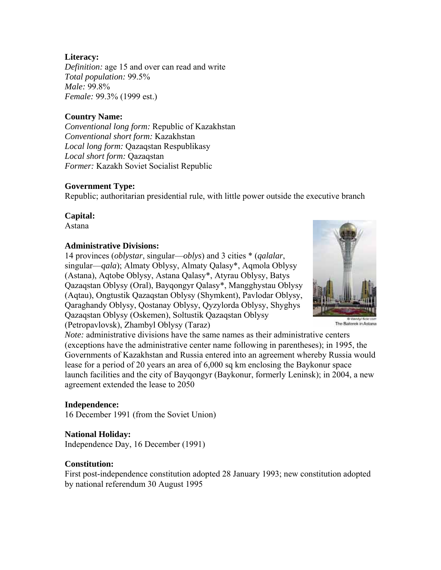# **Literacy:**

*Definition:* age 15 and over can read and write *Total population:* 99.5% *Male:* 99.8% *Female:* 99.3% (1999 est.)

# **Country Name:**

*Conventional long form:* Republic of Kazakhstan *Conventional short form:* Kazakhstan *Local long form:* Qazaqstan Respublikasy *Local short form:* Qazaqstan *Former:* Kazakh Soviet Socialist Republic

#### **Government Type:**

Republic; authoritarian presidential rule, with little power outside the executive branch

# **Capital:**

Astana

#### **Administrative Divisions:**

14 provinces (*oblystar*, singular—*oblys*) and 3 cities \* (*qalalar*, singular—*qala*); Almaty Oblysy, Almaty Qalasy\*, Aqmola Oblysy (Astana), Aqtobe Oblysy, Astana Qalasy\*, Atyrau Oblysy, Batys Qazaqstan Oblysy (Oral), Bayqongyr Qalasy\*, Mangghystau Oblysy (Aqtau), Ongtustik Qazaqstan Oblysy (Shymkent), Pavlodar Oblysy, Qaraghandy Oblysy, Qostanay Oblysy, Qyzylorda Oblysy, Shyghys Qazaqstan Oblysy (Oskemen), Soltustik Qazaqstan Oblysy (Petropavlovsk), Zhambyl Oblysy (Taraz)



The Baiterek in Astana

*Note:* administrative divisions have the same names as their administrative centers (exceptions have the administrative center name following in parentheses); in 1995, the Governments of Kazakhstan and Russia entered into an agreement whereby Russia would lease for a period of 20 years an area of 6,000 sq km enclosing the Baykonur space launch facilities and the city of Bayqongyr (Baykonur, formerly Leninsk); in 2004, a new agreement extended the lease to 2050

#### **Independence:**

16 December 1991 (from the Soviet Union)

#### **National Holiday:**

Independence Day, 16 December (1991)

#### **Constitution:**

First post-independence constitution adopted 28 January 1993; new constitution adopted by national referendum 30 August 1995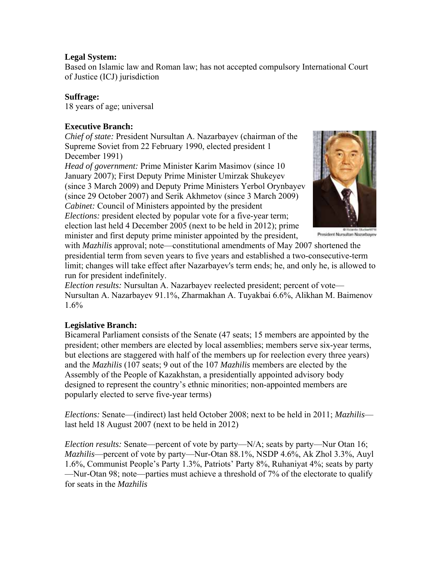# **Legal System:**

Based on Islamic law and Roman law; has not accepted compulsory International Court of Justice (ICJ) jurisdiction

# **Suffrage:**

18 years of age; universal

# **Executive Branch:**

*Chief of state:* President Nursultan A. Nazarbayev (chairman of the Supreme Soviet from 22 February 1990, elected president 1 December 1991)

*Head of government:* Prime Minister Karim Masimov (since 10 January 2007); First Deputy Prime Minister Umirzak Shukeyev (since 3 March 2009) and Deputy Prime Ministers Yerbol Orynbayev (since 29 October 2007) and Serik Akhmetov (since 3 March 2009) *Cabinet:* Council of Ministers appointed by the president *Elections:* president elected by popular vote for a five-year term; election last held 4 December 2005 (next to be held in 2012); prime



President Nursultan Nazarbayev

minister and first deputy prime minister appointed by the president, with *Mazhilis* approval; note—constitutional amendments of May 2007 shortened the presidential term from seven years to five years and established a two-consecutive-term limit; changes will take effect after Nazarbayev's term ends; he, and only he, is allowed to run for president indefinitely.

*Election results:* Nursultan A. Nazarbayev reelected president; percent of vote— Nursultan A. Nazarbayev 91.1%, Zharmakhan A. Tuyakbai 6.6%, Alikhan M. Baimenov 1.6%

# **Legislative Branch:**

Bicameral Parliament consists of the Senate (47 seats; 15 members are appointed by the president; other members are elected by local assemblies; members serve six-year terms, but elections are staggered with half of the members up for reelection every three years) and the *Mazhilis* (107 seats; 9 out of the 107 *Mazhilis* members are elected by the Assembly of the People of Kazakhstan, a presidentially appointed advisory body designed to represent the country's ethnic minorities; non-appointed members are popularly elected to serve five-year terms)

*Elections:* Senate—(indirect) last held October 2008; next to be held in 2011; *Mazhilis* last held 18 August 2007 (next to be held in 2012)

*Election results:* Senate—percent of vote by party—N/A; seats by party—Nur Otan 16; *Mazhilis*—percent of vote by party—Nur-Otan 88.1%, NSDP 4.6%, Ak Zhol 3.3%, Auyl 1.6%, Communist People's Party 1.3%, Patriots' Party 8%, Ruhaniyat 4%; seats by party —Nur-Otan 98; note—parties must achieve a threshold of 7% of the electorate to qualify for seats in the *Mazhilis*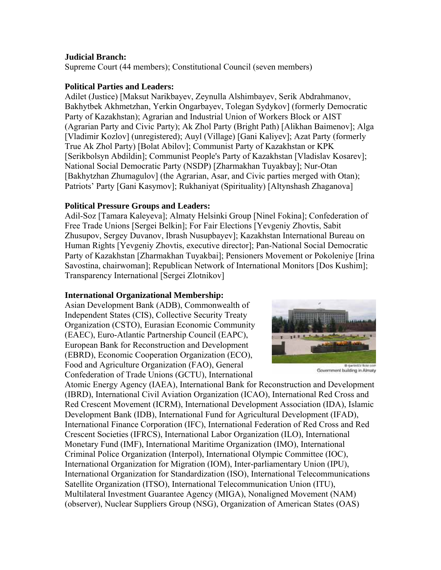# **Judicial Branch:**

Supreme Court (44 members); Constitutional Council (seven members)

# **Political Parties and Leaders:**

Adilet (Justice) [Maksut Narikbayev, Zeynulla Alshimbayev, Serik Abdrahmanov, Bakhytbek Akhmetzhan, Yerkin Ongarbayev, Tolegan Sydykov] (formerly Democratic Party of Kazakhstan); Agrarian and Industrial Union of Workers Block or AIST (Agrarian Party and Civic Party); Ak Zhol Party (Bright Path) [Alikhan Baimenov]; Alga [Vladimir Kozlov] (unregistered); Auyl (Village) [Gani Kaliyev]; Azat Party (formerly True Ak Zhol Party) [Bolat Abilov]; Communist Party of Kazakhstan or KPK [Serikbolsyn Abdildin]; Communist People's Party of Kazakhstan [Vladislav Kosarev]; National Social Democratic Party (NSDP) [Zharmakhan Tuyakbay]; Nur-Otan [Bakhytzhan Zhumagulov] (the Agrarian, Asar, and Civic parties merged with Otan); Patriots' Party [Gani Kasymov]; Rukhaniyat (Spirituality) [Altynshash Zhaganova]

# **Political Pressure Groups and Leaders:**

Adil-Soz [Tamara Kaleyeva]; Almaty Helsinki Group [Ninel Fokina]; Confederation of Free Trade Unions [Sergei Belkin]; For Fair Elections [Yevgeniy Zhovtis, Sabit Zhusupov, Sergey Duvanov, Ibrash Nusupbayev]; Kazakhstan International Bureau on Human Rights [Yevgeniy Zhovtis, executive director]; Pan-National Social Democratic Party of Kazakhstan [Zharmakhan Tuyakbai]; Pensioners Movement or Pokoleniye [Irina Savostina, chairwoman]; Republican Network of International Monitors [Dos Kushim]; Transparency International [Sergei Zlotnikov]

#### **International Organizational Membership:**

Asian Development Bank (ADB), Commonwealth of Independent States (CIS), Collective Security Treaty Organization (CSTO), Eurasian Economic Community (EAEC), Euro-Atlantic Partnership Council (EAPC), European Bank for Reconstruction and Development (EBRD), Economic Cooperation Organization (ECO), Food and Agriculture Organization (FAO), General Confederation of Trade Unions (GCTU), International



Government building in Almaty

Atomic Energy Agency (IAEA), International Bank for Reconstruction and Development (IBRD), International Civil Aviation Organization (ICAO), International Red Cross and Red Crescent Movement (ICRM), International Development Association (IDA), Islamic Development Bank (IDB), International Fund for Agricultural Development (IFAD), International Finance Corporation (IFC), International Federation of Red Cross and Red Crescent Societies (IFRCS), International Labor Organization (ILO), International Monetary Fund (IMF), International Maritime Organization (IMO), International Criminal Police Organization (Interpol), International Olympic Committee (IOC), International Organization for Migration (IOM), Inter-parliamentary Union (IPU), International Organization for Standardization (ISO), International Telecommunications Satellite Organization (ITSO), International Telecommunication Union (ITU), Multilateral Investment Guarantee Agency (MIGA), Nonaligned Movement (NAM) (observer), Nuclear Suppliers Group (NSG), Organization of American States (OAS)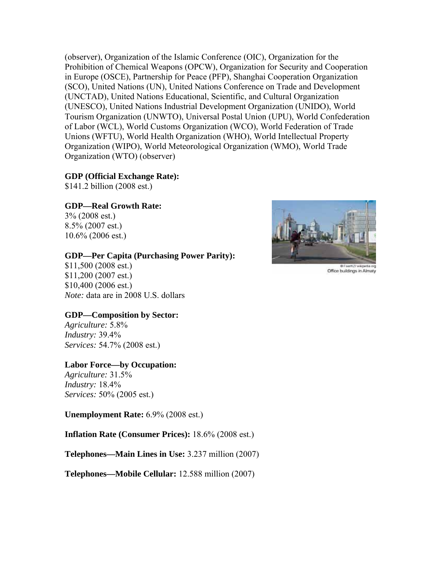(observer), Organization of the Islamic Conference (OIC), Organization for the Prohibition of Chemical Weapons (OPCW), Organization for Security and Cooperation in Europe (OSCE), Partnership for Peace (PFP), Shanghai Cooperation Organization (SCO), United Nations (UN), United Nations Conference on Trade and Development (UNCTAD), United Nations Educational, Scientific, and Cultural Organization (UNESCO), United Nations Industrial Development Organization (UNIDO), World Tourism Organization (UNWTO), Universal Postal Union (UPU), World Confederation of Labor (WCL), World Customs Organization (WCO), World Federation of Trade Unions (WFTU), World Health Organization (WHO), World Intellectual Property Organization (WIPO), World Meteorological Organization (WMO), World Trade Organization (WTO) (observer)

#### **GDP (Official Exchange Rate):**

\$141.2 billion (2008 est.)

#### **GDP—Real Growth Rate:**

3% (2008 est.) 8.5% (2007 est.) 10.6% (2006 est.)

#### **GDP—Per Capita (Purchasing Power Parity):**

\$11,500 (2008 est.) \$11,200 (2007 est.) \$10,400 (2006 est.) *Note:* data are in 2008 U.S. dollars

#### **GDP—Composition by Sector:**

*Agriculture:* 5.8% *Industry:* 39.4% *Services:* 54.7% (2008 est.)

#### **Labor Force—by Occupation:**

*Agriculture:* 31.5% *Industry:* 18.4% *Services:* 50% (2005 est.)

**Unemployment Rate:** 6.9% (2008 est.)

**Inflation Rate (Consumer Prices):** 18.6% (2008 est.)

**Telephones—Main Lines in Use:** 3.237 million (2007)

**Telephones—Mobile Cellular:** 12.588 million (2007)



Office buildings in Almaty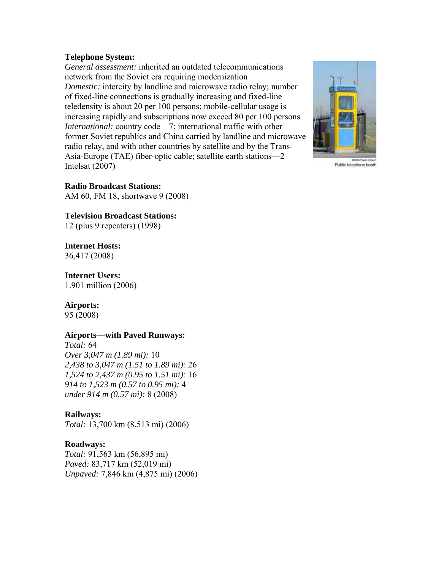#### **Telephone System:**

*General assessment:* inherited an outdated telecommunications network from the Soviet era requiring modernization *Domestic:* intercity by landline and microwave radio relay; number of fixed-line connections is gradually increasing and fixed-line teledensity is about 20 per 100 persons; mobile-cellular usage is increasing rapidly and subscriptions now exceed 80 per 100 persons *International:* country code—7; international traffic with other former Soviet republics and China carried by landline and microwave radio relay, and with other countries by satellite and by the Trans-Asia-Europe (TAE) fiber-optic cable; satellite earth stations—2 Intelsat (2007)



Public telephone booth

#### **Radio Broadcast Stations:**

AM 60, FM 18, shortwave 9 (2008)

#### **Television Broadcast Stations:**

12 (plus 9 repeaters) (1998)

# **Internet Hosts:**

36,417 (2008)

#### **Internet Users:**

1.901 million (2006)

#### **Airports:**

95 (2008)

#### **Airports—with Paved Runways:**

*Total:* 64 *Over 3,047 m (1.89 mi):* 10 *2,438 to 3,047 m (1.51 to 1.89 mi):* 26 *1,524 to 2,437 m (0.95 to 1.51 mi):* 16 *914 to 1,523 m (0.57 to 0.95 mi):* 4 *under 914 m (0.57 mi):* 8 (2008)

#### **Railways:**

*Total:* 13,700 km (8,513 mi) (2006)

#### **Roadways:**

*Total:* 91,563 km (56,895 mi) *Paved:* 83,717 km (52,019 mi) *Unpaved:* 7,846 km (4,875 mi) (2006)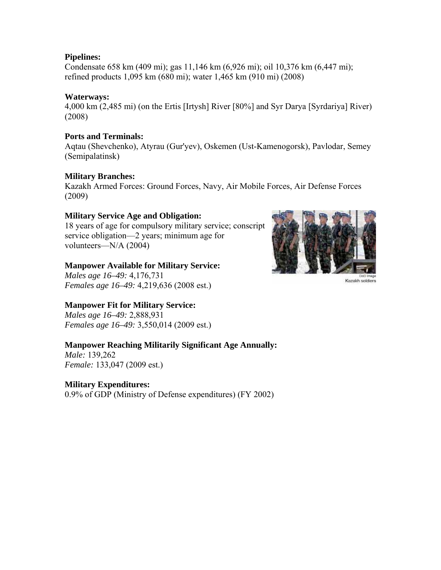# **Pipelines:**

Condensate 658 km (409 mi); gas 11,146 km (6,926 mi); oil 10,376 km (6,447 mi); refined products 1,095 km (680 mi); water 1,465 km (910 mi) (2008)

# **Waterways:**

4,000 km (2,485 mi) (on the Ertis [Irtysh] River [80%] and Syr Darya [Syrdariya] River) (2008)

# **Ports and Terminals:**

Aqtau (Shevchenko), Atyrau (Gur'yev), Oskemen (Ust-Kamenogorsk), Pavlodar, Semey (Semipalatinsk)

# **Military Branches:**

Kazakh Armed Forces: Ground Forces, Navy, Air Mobile Forces, Air Defense Forces (2009)

# **Military Service Age and Obligation:**

18 years of age for compulsory military service; conscript service obligation—2 years; minimum age for volunteers—N/A (2004)

# **Manpower Available for Military Service:**

*Males age 16–49:* 4,176,731 *Females age 16–49:* 4,219,636 (2008 est.)

# **Manpower Fit for Military Service:**

*Males age 16–49:* 2,888,931 *Females age 16–49:* 3,550,014 (2009 est.)

# **Manpower Reaching Militarily Significant Age Annually:**

*Male:* 139,262 *Female:* 133,047 (2009 est.)

# **Military Expenditures:**

0.9% of GDP (Ministry of Defense expenditures) (FY 2002)



Kazakh soldiers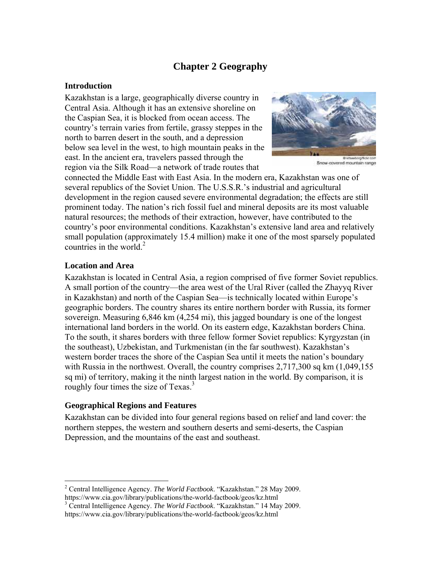# **Chapter 2 Geography**

# **Introduction**

Kazakhstan is a large, geographically diverse country in Central Asia. Although it has an extensive shoreline on the Caspian Sea, it is blocked from ocean access. The country's terrain varies from fertile, grassy steppes in the north to barren desert in the south, and a depression below sea level in the west, to high mountain peaks in the east. In the ancient era, travelers passed through the region via the Silk Road—a network of trade routes that



Snow-covered mountain range

connected the Middle East with East Asia. In the modern era, Kazakhstan was one of several republics of the Soviet Union. The U.S.S.R.'s industrial and agricultural development in the region caused severe environmental degradation; the effects are still prominent today. The nation's rich fossil fuel and mineral deposits are its most valuable natural resources; the methods of their extraction, however, have contributed to the country's poor environmental conditions. Kazakhstan's extensive land area and relatively small population (approximately 15.4 million) make it one of the most sparsely populated countries in the world. $2$ 

# **Location and Area**

 $\overline{a}$ 

Kazakhstan is located in Central Asia, a region comprised of five former Soviet republics. A small portion of the country—the area west of the Ural River (called the Zhayyq River in Kazakhstan) and north of the Caspian Sea—is technically located within Europe's geographic borders. The country shares its entire northern border with Russia, its former sovereign. Measuring 6,846 km (4,254 mi), this jagged boundary is one of the longest international land borders in the world. On its eastern edge, Kazakhstan borders China. To the south, it shares borders with three fellow former Soviet republics: Kyrgyzstan (in the southeast), Uzbekistan, and Turkmenistan (in the far southwest). Kazakhstan's western border traces the shore of the Caspian Sea until it meets the nation's boundary with Russia in the northwest. Overall, the country comprises 2,717,300 sq km (1,049,155) sq mi) of territory, making it the ninth largest nation in the world. By comparison, it is roughly four times the size of Texas.<sup>3</sup>

# **Geographical Regions and Features**

Kazakhstan can be divided into four general regions based on relief and land cover: the northern steppes, the western and southern deserts and semi-deserts, the Caspian Depression, and the mountains of the east and southeast.

<sup>2</sup> Central Intelligence Agency. *The World Factbook*. "Kazakhstan." 28 May 2009. https://www.cia.gov/library/publications/the-world-factbook/geos/kz.html 3

Central Intelligence Agency. *The World Factbook*. "Kazakhstan." 14 May 2009. https://www.cia.gov/library/publications/the-world-factbook/geos/kz.html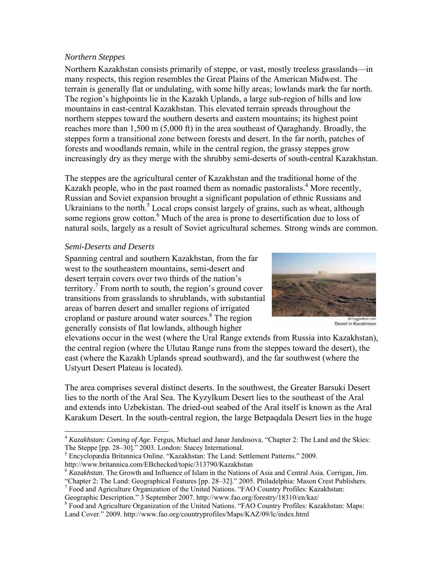#### *Northern Steppes*

Northern Kazakhstan consists primarily of steppe, or vast, mostly treeless grasslands—in many respects, this region resembles the Great Plains of the American Midwest. The terrain is generally flat or undulating, with some hilly areas; lowlands mark the far north. The region's highpoints lie in the Kazakh Uplands, a large sub-region of hills and low mountains in east-central Kazakhstan. This elevated terrain spreads throughout the northern steppes toward the southern deserts and eastern mountains; its highest point reaches more than 1,500 m (5,000 ft) in the area southeast of Qaraghandy. Broadly, the steppes form a transitional zone between forests and desert. In the far north, patches of forests and woodlands remain, while in the central region, the grassy steppes grow increasingly dry as they merge with the shrubby semi-deserts of south-central Kazakhstan.

The steppes are the agricultural center of Kazakhstan and the traditional home of the Kazakh people, who in the past roamed them as nomadic pastoralists.<sup>4</sup> More recently, Russian and Soviet expansion brought a significant population of ethnic Russians and Ukrainians to the north.<sup>5</sup> Local crops consist largely of grains, such as wheat, although some regions grow cotton.<sup>6</sup> Much of the area is prone to desertification due to loss of natural soils, largely as a result of Soviet agricultural schemes. Strong winds are common.

# *Semi-Deserts and Deserts*

 $\overline{a}$ 

Spanning central and southern Kazakhstan, from the far west to the southeastern mountains, semi-desert and desert terrain covers over two thirds of the nation's territory.<sup>7</sup> From north to south, the region's ground cover transitions from grasslands to shrublands, with substantial areas of barren desert and smaller regions of irrigated cropland or pasture around water sources.8 The region generally consists of flat lowlands, although higher



Desert in Kazakhstan

elevations occur in the west (where the Ural Range extends from Russia into Kazakhstan), the central region (where the Ulutau Range runs from the steppes toward the desert), the east (where the Kazakh Uplands spread southward), and the far southwest (where the Ustyurt Desert Plateau is located).

The area comprises several distinct deserts. In the southwest, the Greater Barsuki Desert lies to the north of the Aral Sea. The Kyzylkum Desert lies to the southeast of the Aral and extends into Uzbekistan. The dried-out seabed of the Aral itself is known as the Aral Karakum Desert. In the south-central region, the large Betpaqdala Desert lies in the huge

<sup>5</sup> Encyclopædia Britannica Online. "Kazakhstan: The Land: Settlement Patterns." 2009. http://www.britannica.com/EBchecked/topic/313790/Kazakhstan

<sup>4</sup> *Kazakhstan: Coming of Age*. Fergus, Michael and Janar Jandosova. "Chapter 2: The Land and the Skies: The Steppe [pp. 28–30]." 2003. London: Stacey International.

<sup>6</sup> *Kazakhstan*. The Growth and Influence of Islam in the Nations of Asia and Central Asia. Corrigan, Jim.

<sup>&</sup>quot;Chapter 2: The Land: Geographical Features [pp. 28–32]." 2005. Philadelphia: Mason Crest Publishers. <sup>7</sup> Food and Agriculture Organization of the United Nations. "FAO Country Profiles: Kazakhstan:

Geographic Description." 3 September 2007. http://www.fao.org/forestry/18310/en/kaz/

<sup>&</sup>lt;sup>8</sup> Food and Agriculture Organization of the United Nations. "FAO Country Profiles: Kazakhstan: Maps: Land Cover." 2009. http://www.fao.org/countryprofiles/Maps/KAZ/09/lc/index.html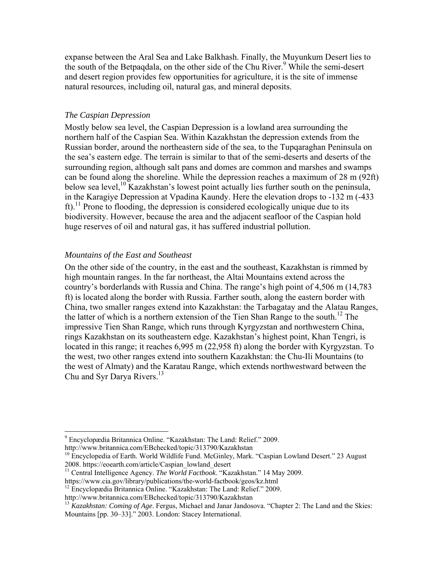expanse between the Aral Sea and Lake Balkhash. Finally, the Muyunkum Desert lies to the south of the Betpaqdala, on the other side of the Chu River.<sup>9</sup> While the semi-desert and desert region provides few opportunities for agriculture, it is the site of immense natural resources, including oil, natural gas, and mineral deposits.

#### *The Caspian Depression*

Mostly below sea level, the Caspian Depression is a lowland area surrounding the northern half of the Caspian Sea. Within Kazakhstan the depression extends from the Russian border, around the northeastern side of the sea, to the Tupqaraghan Peninsula on the sea's eastern edge. The terrain is similar to that of the semi-deserts and deserts of the surrounding region, although salt pans and domes are common and marshes and swamps can be found along the shoreline. While the depression reaches a maximum of 28 m (92ft) below sea level,<sup>10</sup> Kazakhstan's lowest point actually lies further south on the peninsula, in the Karagiye Depression at Vpadina Kaundy. Here the elevation drops to -132 m (-433  $ft$ ).<sup>11</sup> Prone to flooding, the depression is considered ecologically unique due to its biodiversity. However, because the area and the adjacent seafloor of the Caspian hold huge reserves of oil and natural gas, it has suffered industrial pollution.

#### *Mountains of the East and Southeast*

On the other side of the country, in the east and the southeast, Kazakhstan is rimmed by high mountain ranges. In the far northeast, the Altai Mountains extend across the country's borderlands with Russia and China. The range's high point of 4,506 m (14,783 ft) is located along the border with Russia. Farther south, along the eastern border with China, two smaller ranges extend into Kazakhstan: the Tarbagatay and the Alatau Ranges, the latter of which is a northern extension of the Tien Shan Range to the south.<sup>12</sup> The impressive Tien Shan Range, which runs through Kyrgyzstan and northwestern China, rings Kazakhstan on its southeastern edge. Kazakhstan's highest point, Khan Tengri, is located in this range; it reaches 6,995 m (22,958 ft) along the border with Kyrgyzstan. To the west, two other ranges extend into southern Kazakhstan: the Chu-Ili Mountains (to the west of Almaty) and the Karatau Range, which extends northwestward between the Chu and Syr Darya Rivers.<sup>13</sup>

 $\overline{a}$ 9 Encyclopædia Britannica Online. "Kazakhstan: The Land: Relief." 2009.

http://www.britannica.com/EBchecked/topic/313790/Kazakhstan

 $10$  Encyclopedia of Earth. World Wildlife Fund. McGinley, Mark. "Caspian Lowland Desert." 23 August 2008. https://eoearth.com/article/Caspian lowland desert

<sup>&</sup>lt;sup>11</sup> Central Intelligence Agency. *The World Factbook*. "Kazakhstan." 14 May 2009.

https://www.cia.gov/library/publications/the-world-factbook/geos/kz.html 12 Encyclopædia Britannica Online. "Kazakhstan: The Land: Relief." 2009.

http://www.britannica.com/EBchecked/topic/313790/Kazakhstan

<sup>&</sup>lt;sup>13</sup> *Kazakhstan: Coming of Age*. Fergus, Michael and Janar Jandosova. "Chapter 2: The Land and the Skies: Mountains [pp. 30–33]." 2003. London: Stacey International.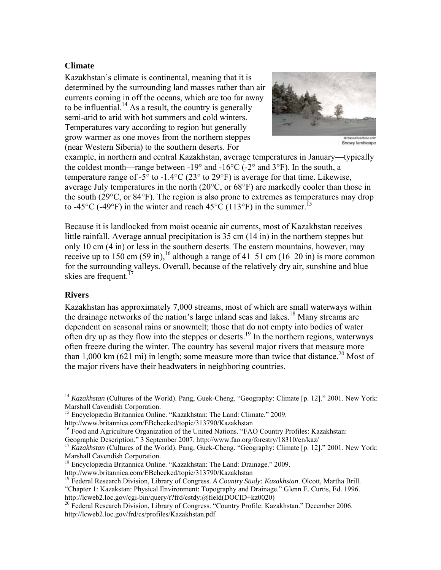# **Climate**

Kazakhstan's climate is continental, meaning that it is determined by the surrounding land masses rather than air currents coming in off the oceans, which are too far away to be influential.<sup>14</sup> As a result, the country is generally semi-arid to arid with hot summers and cold winters. Temperatures vary according to region but generally grow warmer as one moves from the northern steppes (near Western Siberia) to the southern deserts. For



Snowy landscape

example, in northern and central Kazakhstan, average temperatures in January—typically the coldest month—range between -19 $^{\circ}$  and -16 $^{\circ}$ C (-2 $^{\circ}$  and 3 $^{\circ}$ F). In the south, a temperature range of -5 $\degree$  to -1.4 $\degree$ C (23 $\degree$  to 29 $\degree$ F) is average for that time. Likewise, average July temperatures in the north (20°C, or 68°F) are markedly cooler than those in the south (29°C, or 84°F). The region is also prone to extremes as temperatures may drop to -45 $^{\circ}$ C (-49 $^{\circ}$ F) in the winter and reach 45 $^{\circ}$ C (113 $^{\circ}$ F) in the summer.<sup>15</sup>

Because it is landlocked from moist oceanic air currents, most of Kazakhstan receives little rainfall. Average annual precipitation is 35 cm (14 in) in the northern steppes but only 10 cm (4 in) or less in the southern deserts. The eastern mountains, however, may receive up to 150 cm (59 in),<sup>16</sup> although a range of 41–51 cm (16–20 in) is more common for the surrounding valleys. Overall, because of the relatively dry air, sunshine and blue skies are frequent.<sup>17</sup>

#### **Rivers**

1

Kazakhstan has approximately 7,000 streams, most of which are small waterways within the drainage networks of the nation's large inland seas and lakes.<sup>18</sup> Many streams are dependent on seasonal rains or snowmelt; those that do not empty into bodies of water often dry up as they flow into the steppes or deserts.<sup>19</sup> In the northern regions, waterways often freeze during the winter. The country has several major rivers that measure more than 1,000 km (621 mi) in length; some measure more than twice that distance.<sup>20</sup> Most of the major rivers have their headwaters in neighboring countries.

<sup>&</sup>lt;sup>14</sup> *Kazakhstan* (Cultures of the World). Pang, Guek-Cheng. "Geography: Climate [p. 12]." 2001. New York: Marshall Cavendish Corporation.

<sup>&</sup>lt;sup>15</sup> Encyclopædia Britannica Online. "Kazakhstan: The Land: Climate." 2009.

http://www.britannica.com/EBchecked/topic/313790/Kazakhstan

<sup>&</sup>lt;sup>16</sup> Food and Agriculture Organization of the United Nations. "FAO Country Profiles: Kazakhstan:

Geographic Description." 3 September 2007. http://www.fao.org/forestry/18310/en/kaz/

<sup>&</sup>lt;sup>17</sup> *Kazakhstan* (Cultures of the World). Pang, Guek-Cheng. "Geography: Climate [p. 12]." 2001. New York: Marshall Cavendish Corporation.

<sup>18</sup> Encyclopædia Britannica Online. "Kazakhstan: The Land: Drainage." 2009.

http://www.britannica.com/EBchecked/topic/313790/Kazakhstan

<sup>19</sup> Federal Research Division, Library of Congress. *A Country Study: Kazakhstan*. Olcott, Martha Brill.

<sup>&</sup>quot;Chapter 1: Kazakstan: Physical Environment: Topography and Drainage." Glenn E. Curtis, Ed. 1996. http://lcweb2.loc.gov/cgi-bin/query/r?frd/cstdy:@field(DOCID+kz0020)

<sup>&</sup>lt;sup>20</sup> Federal Research Division, Library of Congress. "Country Profile: Kazakhstan." December 2006. http://lcweb2.loc.gov/frd/cs/profiles/Kazakhstan.pdf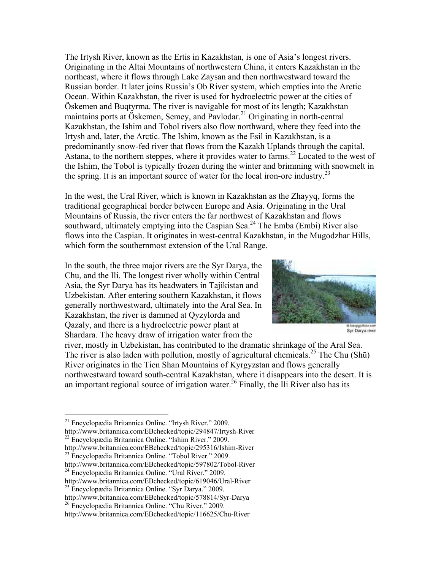The Irtysh River, known as the Ertis in Kazakhstan, is one of Asia's longest rivers. Originating in the Altai Mountains of northwestern China, it enters Kazakhstan in the northeast, where it flows through Lake Zaysan and then northwestward toward the Russian border. It later joins Russia's Ob River system, which empties into the Arctic Ocean. Within Kazakhstan, the river is used for hydroelectric power at the cities of Öskemen and Buqtyrma. The river is navigable for most of its length; Kazakhstan maintains ports at Öskemen, Semey, and Pavlodar.<sup>21</sup> Originating in north-central Kazakhstan, the Ishim and Tobol rivers also flow northward, where they feed into the Irtysh and, later, the Arctic. The Ishim, known as the Esil in Kazakhstan, is a predominantly snow-fed river that flows from the Kazakh Uplands through the capital, Astana, to the northern steppes, where it provides water to farms.<sup>22</sup> Located to the west of the Ishim, the Tobol is typically frozen during the winter and brimming with snowmelt in the spring. It is an important source of water for the local iron-ore industry.<sup>23</sup>

In the west, the Ural River, which is known in Kazakhstan as the Zhayyq, forms the traditional geographical border between Europe and Asia. Originating in the Ural Mountains of Russia, the river enters the far northwest of Kazakhstan and flows southward, ultimately emptying into the Caspian Sea.<sup>24</sup> The Emba (Embi) River also flows into the Caspian. It originates in west-central Kazakhstan, in the Mugodzhar Hills, which form the southernmost extension of the Ural Range.

In the south, the three major rivers are the Syr Darya, the Chu, and the Ili. The longest river wholly within Central Asia, the Syr Darya has its headwaters in Tajikistan and Uzbekistan. After entering southern Kazakhstan, it flows generally northwestward, ultimately into the Aral Sea. In Kazakhstan, the river is dammed at Qyzylorda and Qazaly, and there is a hydroelectric power plant at Shardara. The heavy draw of irrigation water from the



Syr Darya river

river, mostly in Uzbekistan, has contributed to the dramatic shrinkage of the Aral Sea. The river is also laden with pollution, mostly of agricultural chemicals.<sup>25</sup> The Chu (Shū) River originates in the Tien Shan Mountains of Kyrgyzstan and flows generally northwestward toward south-central Kazakhstan, where it disappears into the desert. It is an important regional source of irrigation water.<sup>26</sup> Finally, the Ili River also has its

1

<sup>&</sup>lt;sup>21</sup> Encyclopædia Britannica Online. "Irtysh River." 2009.

http://www.britannica.com/EBchecked/topic/294847/Irtysh-River

 $^{22}$  Encyclopædia Britannica Online. "Ishim River." 2009.<br>http://www.britannica.com/EBchecked/topic/295316/Ishim-River

<sup>&</sup>lt;sup>23</sup> Encyclopædia Britannica Online. "Tobol River." 2009. http://www.britannica.com/EBchecked/topic/597802/Tobol-River

<sup>24</sup> Encyclopædia Britannica Online. "Ural River." 2009.

http://www.britannica.com/EBchecked/topic/619046/Ural-River

<sup>&</sup>lt;sup>25</sup> Encyclopædia Britannica Online. "Syr Darya." 2009.<br>http://www.britannica.com/EBchecked/topic/578814/Syr-Darya

<sup>&</sup>lt;sup>26</sup> Encyclopædia Britannica Online. "Chu River." 2009.

http://www.britannica.com/EBchecked/topic/116625/Chu-River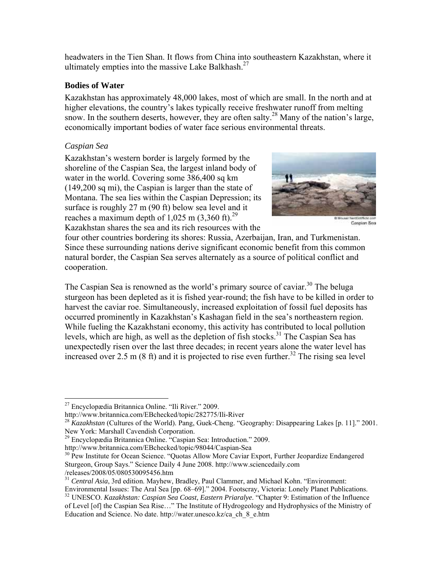headwaters in the Tien Shan. It flows from China into southeastern Kazakhstan, where it ultimately empties into the massive Lake Balkhash.<sup>27</sup>

#### **Bodies of Water**

Kazakhstan has approximately 48,000 lakes, most of which are small. In the north and at higher elevations, the country's lakes typically receive freshwater runoff from melting snow. In the southern deserts, however, they are often salty.<sup>28</sup> Many of the nation's large, economically important bodies of water face serious environmental threats.

# *Caspian Sea*

1

Kazakhstan's western border is largely formed by the shoreline of the Caspian Sea, the largest inland body of water in the world. Covering some 386,400 sq km (149,200 sq mi), the Caspian is larger than the state of Montana. The sea lies within the Caspian Depression; its surface is roughly 27 m (90 ft) below sea level and it reaches a maximum depth of 1,025 m  $(3,360 \text{ ft})^{29}$ Kazakhstan shares the sea and its rich resources with the



Caspian Sea

four other countries bordering its shores: Russia, Azerbaijan, Iran, and Turkmenistan. Since these surrounding nations derive significant economic benefit from this common natural border, the Caspian Sea serves alternately as a source of political conflict and cooperation.

The Caspian Sea is renowned as the world's primary source of caviar.<sup>30</sup> The beluga sturgeon has been depleted as it is fished year-round; the fish have to be killed in order to harvest the caviar roe. Simultaneously, increased exploitation of fossil fuel deposits has occurred prominently in Kazakhstan's Kashagan field in the sea's northeastern region. While fueling the Kazakhstani economy, this activity has contributed to local pollution levels, which are high, as well as the depletion of fish stocks.<sup>31</sup> The Caspian Sea has unexpectedly risen over the last three decades; in recent years alone the water level has increased over 2.5 m (8 ft) and it is projected to rise even further.<sup>32</sup> The rising sea level

<sup>29</sup> Encyclopædia Britannica Online. "Caspian Sea: Introduction." 2009.

http://www.britannica.com/EBchecked/topic/98044/Caspian-Sea

<sup>31</sup> Central Asia, 3rd edition. Mayhew, Bradley, Paul Clammer, and Michael Kohn. "Environment:

<sup>&</sup>lt;sup>27</sup> Encyclopædia Britannica Online. "Ili River." 2009.

http://www.britannica.com/EBchecked/topic/282775/Ili-River

<sup>28</sup> *Kazakhstan* (Cultures of the World). Pang, Guek-Cheng. "Geography: Disappearing Lakes [p. 11]." 2001. New York: Marshall Cavendish Corporation.

<sup>&</sup>lt;sup>30</sup> Pew Institute for Ocean Science. "Quotas Allow More Caviar Export, Further Jeopardize Endangered Sturgeon, Group Says." Science Daily 4 June 2008. http://www.sciencedaily.com /releases/2008/05/080530095456.htm

Environmental Issues: The Aral Sea [pp. 68–69]." 2004. Footscray, Victoria: Lonely Planet Publications. <sup>32</sup> UNESCO. *Kazakhstan: Caspian Sea Coast, Eastern Priaralye.* "Chapter 9: Estimation of the Influence

of Level [of] the Caspian Sea Rise…" The Institute of Hydrogeology and Hydrophysics of the Ministry of Education and Science. No date. http://water.unesco.kz/ca\_ch\_8\_e.htm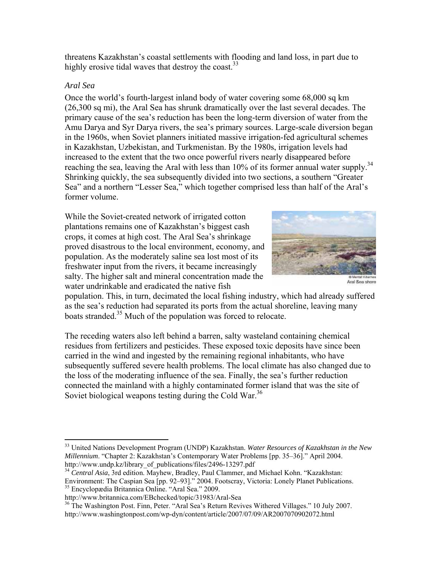threatens Kazakhstan's coastal settlements with flooding and land loss, in part due to highly erosive tidal waves that destroy the coast.  $33$ 

# *Aral Sea*

 $\overline{a}$ 

Once the world's fourth-largest inland body of water covering some 68,000 sq km (26,300 sq mi), the Aral Sea has shrunk dramatically over the last several decades. The primary cause of the sea's reduction has been the long-term diversion of water from the Amu Darya and Syr Darya rivers, the sea's primary sources. Large-scale diversion began in the 1960s, when Soviet planners initiated massive irrigation-fed agricultural schemes in Kazakhstan, Uzbekistan, and Turkmenistan. By the 1980s, irrigation levels had increased to the extent that the two once powerful rivers nearly disappeared before reaching the sea, leaving the Aral with less than 10% of its former annual water supply.<sup>34</sup> Shrinking quickly, the sea subsequently divided into two sections, a southern "Greater Sea" and a northern "Lesser Sea," which together comprised less than half of the Aral's former volume.

While the Soviet-created network of irrigated cotton plantations remains one of Kazakhstan's biggest cash crops, it comes at high cost. The Aral Sea's shrinkage proved disastrous to the local environment, economy, and population. As the moderately saline sea lost most of its freshwater input from the rivers, it became increasingly salty. The higher salt and mineral concentration made the water undrinkable and eradicated the native fish



Aral Sea shore

population. This, in turn, decimated the local fishing industry, which had already suffered as the sea's reduction had separated its ports from the actual shoreline, leaving many boats stranded.<sup>35</sup> Much of the population was forced to relocate.

The receding waters also left behind a barren, salty wasteland containing chemical residues from fertilizers and pesticides. These exposed toxic deposits have since been carried in the wind and ingested by the remaining regional inhabitants, who have subsequently suffered severe health problems. The local climate has also changed due to the loss of the moderating influence of the sea. Finally, the sea's further reduction connected the mainland with a highly contaminated former island that was the site of Soviet biological weapons testing during the Cold War.<sup>36</sup>

<sup>33</sup> United Nations Development Program (UNDP) Kazakhstan. *Water Resources of Kazakhstan in the New Millennium.* "Chapter 2: Kazakhstan's Contemporary Water Problems [pp. 35–36]." April 2004.<br>http://www.undp.kz/library of publications/files/2496-13297.pdf

<sup>&</sup>lt;sup>34</sup> Central Asia, 3rd edition. Mayhew, Bradley, Paul Clammer, and Michael Kohn. "Kazakhstan: Environment: The Caspian Sea [pp. 92–93]." 2004. Footscray, Victoria: Lonely Planet Publications.

<sup>35</sup> Encyclopædia Britannica Online. "Aral Sea." 2009.

http://www.britannica.com/EBchecked/topic/31983/Aral-Sea

<sup>&</sup>lt;sup>36</sup> The Washington Post. Finn, Peter. "Aral Sea's Return Revives Withered Villages." 10 July 2007. http://www.washingtonpost.com/wp-dyn/content/article/2007/07/09/AR2007070902072.html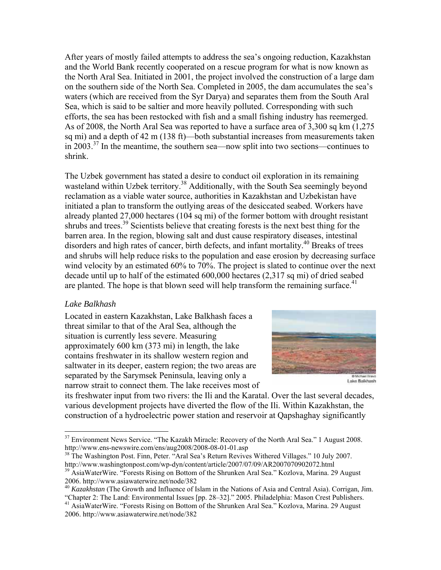After years of mostly failed attempts to address the sea's ongoing reduction, Kazakhstan and the World Bank recently cooperated on a rescue program for what is now known as the North Aral Sea. Initiated in 2001, the project involved the construction of a large dam on the southern side of the North Sea. Completed in 2005, the dam accumulates the sea's waters (which are received from the Syr Darya) and separates them from the South Aral Sea, which is said to be saltier and more heavily polluted. Corresponding with such efforts, the sea has been restocked with fish and a small fishing industry has reemerged. As of 2008, the North Aral Sea was reported to have a surface area of 3,300 sq km (1,275 sq mi) and a depth of 42 m (138 ft)—both substantial increases from measurements taken in 2003.<sup>37</sup> In the meantime, the southern sea—now split into two sections—continues to shrink.

The Uzbek government has stated a desire to conduct oil exploration in its remaining wasteland within Uzbek territory.<sup>38</sup> Additionally, with the South Sea seemingly beyond reclamation as a viable water source, authorities in Kazakhstan and Uzbekistan have initiated a plan to transform the outlying areas of the desiccated seabed. Workers have already planted 27,000 hectares (104 sq mi) of the former bottom with drought resistant shrubs and trees.<sup>39</sup> Scientists believe that creating forests is the next best thing for the barren area. In the region, blowing salt and dust cause respiratory diseases, intestinal disorders and high rates of cancer, birth defects, and infant mortality.<sup>40</sup> Breaks of trees and shrubs will help reduce risks to the population and ease erosion by decreasing surface wind velocity by an estimated 60% to 70%. The project is slated to continue over the next decade until up to half of the estimated 600,000 hectares (2,317 sq mi) of dried seabed are planted. The hope is that blown seed will help transform the remaining surface.<sup>41</sup>

#### *Lake Balkhash*

1

Located in eastern Kazakhstan, Lake Balkhash faces a threat similar to that of the Aral Sea, although the situation is currently less severe. Measuring approximately 600 km (373 mi) in length, the lake contains freshwater in its shallow western region and saltwater in its deeper, eastern region; the two areas are separated by the Sarymsek Peninsula, leaving only a narrow strait to connect them. The lake receives most of



its freshwater input from two rivers: the Ili and the Karatal. Over the last several decades, various development projects have diverted the flow of the Ili. Within Kazakhstan, the construction of a hydroelectric power station and reservoir at Qapshaghay significantly

<sup>38</sup> The Washington Post. Finn, Peter. "Aral Sea's Return Revives Withered Villages." 10 July 2007.<br>http://www.washingtonpost.com/wp-dyn/content/article/2007/07/09/AR2007070902072.html

 $37$  Environment News Service. "The Kazakh Miracle: Recovery of the North Aral Sea." 1 August 2008.<br>http://www.ens-newswire.com/ens/aug2008/2008-08-01-01.asp

<sup>&</sup>lt;sup>39</sup> AsiaWaterWire. "Forests Rising on Bottom of the Shrunken Aral Sea." Kozlova, Marina. 29 August 2006. http://www.asiawaterwire.net/node/382

<sup>40</sup> *Kazakhstan* (The Growth and Influence of Islam in the Nations of Asia and Central Asia). Corrigan, Jim. "Chapter 2: The Land: Environmental Issues [pp. 28–32]." 2005. Philadelphia: Mason Crest Publishers.

<sup>&</sup>lt;sup>41</sup> AsiaWaterWire. "Forests Rising on Bottom of the Shrunken Aral Sea." Kozlova, Marina. 29 August 2006. http://www.asiawaterwire.net/node/382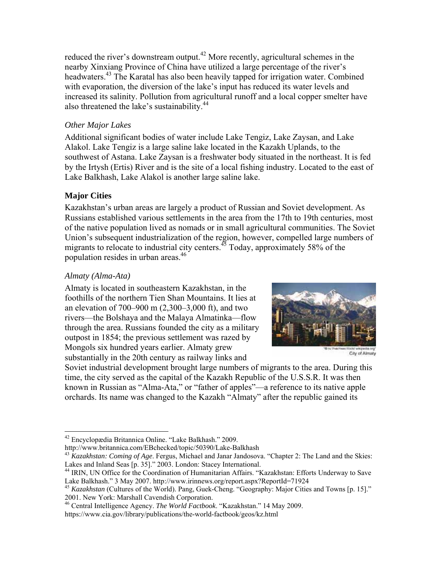reduced the river's downstream output.<sup>42</sup> More recently, agricultural schemes in the nearby Xinxiang Province of China have utilized a large percentage of the river's headwaters.43 The Karatal has also been heavily tapped for irrigation water. Combined with evaporation, the diversion of the lake's input has reduced its water levels and increased its salinity. Pollution from agricultural runoff and a local copper smelter have also threatened the lake's sustainability.<sup>44</sup>

# *Other Major Lakes*

Additional significant bodies of water include Lake Tengiz, Lake Zaysan, and Lake Alakol. Lake Tengiz is a large saline lake located in the Kazakh Uplands, to the southwest of Astana. Lake Zaysan is a freshwater body situated in the northeast. It is fed by the Irtysh (Ertis) River and is the site of a local fishing industry. Located to the east of Lake Balkhash, Lake Alakol is another large saline lake.

# **Major Cities**

Kazakhstan's urban areas are largely a product of Russian and Soviet development. As Russians established various settlements in the area from the 17th to 19th centuries, most of the native population lived as nomads or in small agricultural communities. The Soviet Union's subsequent industrialization of the region, however, compelled large numbers of migrants to relocate to industrial city centers.<sup>45</sup> Today, approximately 58% of the population resides in urban areas.<sup>46</sup>

# *Almaty (Alma-Ata)*

1

Almaty is located in southeastern Kazakhstan, in the foothills of the northern Tien Shan Mountains. It lies at an elevation of 700–900 m (2,300–3,000 ft), and two rivers—the Bolshaya and the Malaya Almatinka—flow through the area. Russians founded the city as a military outpost in 1854; the previous settlement was razed by Mongols six hundred years earlier. Almaty grew substantially in the 20th century as railway links and



City of Almaty

Soviet industrial development brought large numbers of migrants to the area. During this time, the city served as the capital of the Kazakh Republic of the U.S.S.R. It was then known in Russian as "Alma-Ata," or "father of apples"—a reference to its native apple orchards. Its name was changed to the Kazakh "Almaty" after the republic gained its

http://www.britannica.com/EBchecked/topic/50390/Lake-Balkhash

<sup>42</sup> Encyclopædia Britannica Online. "Lake Balkhash." 2009.

<sup>&</sup>lt;sup>43</sup> *Kazakhstan: Coming of Age*. Fergus, Michael and Janar Jandosova. "Chapter 2: The Land and the Skies: Lakes and Inland Seas [p. 35]." 2003. London: Stacey International.

<sup>&</sup>lt;sup>44</sup> IRIN, UN Office for the Coordination of Humanitarian Affairs. "Kazakhstan: Efforts Underway to Save Lake Balkhash." 3 May 2007. http://www.irinnews.org/report.aspx?ReportId=71924

<sup>45</sup> *Kazakhstan* (Cultures of the World). Pang, Guek-Cheng. "Geography: Major Cities and Towns [p. 15]." 2001. New York: Marshall Cavendish Corporation.

<sup>46</sup> Central Intelligence Agency. *The World Factbook*. "Kazakhstan." 14 May 2009.

https://www.cia.gov/library/publications/the-world-factbook/geos/kz.html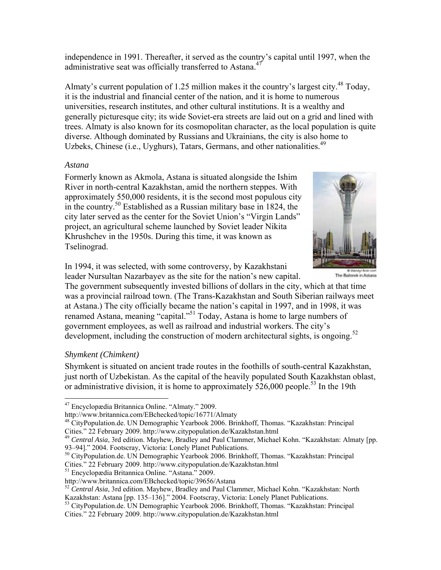independence in 1991. Thereafter, it served as the country's capital until 1997, when the administrative seat was officially transferred to Astana.<sup>47</sup>

Almaty's current population of 1.25 million makes it the country's largest city.<sup>48</sup> Today, it is the industrial and financial center of the nation, and it is home to numerous universities, research institutes, and other cultural institutions. It is a wealthy and generally picturesque city; its wide Soviet-era streets are laid out on a grid and lined with trees. Almaty is also known for its cosmopolitan character, as the local population is quite diverse. Although dominated by Russians and Ukrainians, the city is also home to Uzbeks, Chinese (i.e., Uyghurs), Tatars, Germans, and other nationalities.<sup>49</sup>

#### *Astana*

Formerly known as Akmola, Astana is situated alongside the Ishim River in north-central Kazakhstan, amid the northern steppes. With approximately 550,000 residents, it is the second most populous city in the country.50 Established as a Russian military base in 1824, the city later served as the center for the Soviet Union's "Virgin Lands" project, an agricultural scheme launched by Soviet leader Nikita Khrushchev in the 1950s. During this time, it was known as Tselinograd.



The Baiterek in Astana

In 1994, it was selected, with some controversy, by Kazakhstani leader Nursultan Nazarbayev as the site for the nation's new capital.

The government subsequently invested billions of dollars in the city, which at that time was a provincial railroad town. (The Trans-Kazakhstan and South Siberian railways meet at Astana.) The city officially became the nation's capital in 1997, and in 1998, it was renamed Astana, meaning "capital."51 Today, Astana is home to large numbers of government employees, as well as railroad and industrial workers. The city's development, including the construction of modern architectural sights, is ongoing.<sup>52</sup>

# *Shymkent (Chimkent)*

1

Shymkent is situated on ancient trade routes in the foothills of south-central Kazakhstan, just north of Uzbekistan. As the capital of the heavily populated South Kazakhstan oblast, or administrative division, it is home to approximately  $526,000$  people.<sup>53</sup> In the 19th

<sup>47</sup> Encyclopædia Britannica Online. "Almaty." 2009.

http://www.britannica.com/EBchecked/topic/16771/Almaty

<sup>&</sup>lt;sup>48</sup> CityPopulation.de. UN Demographic Yearbook 2006. Brinkhoff, Thomas. "Kazakhstan: Principal Cities." 22 February 2009. http://www.citypopulation.de/Kazakhstan.html 49 *Central Asia*, 3rd edition. Mayhew, Bradley and Paul Clammer, Michael Kohn. "Kazakhstan: Almaty [pp.

<sup>93–94].&</sup>quot; 2004. Footscray, Victoria: Lonely Planet Publications.

<sup>50</sup> CityPopulation.de. UN Demographic Yearbook 2006. Brinkhoff, Thomas. "Kazakhstan: Principal Cities." 22 February 2009. http://www.citypopulation.de/Kazakhstan.html 51 Encyclopædia Britannica Online. "Astana." 2009.

http://www.britannica.com/EBchecked/topic/39656/Astana

<sup>&</sup>lt;sup>52</sup> *Central Asia*, 3rd edition. Mayhew, Bradley and Paul Clammer, Michael Kohn. "Kazakhstan: North Kazakhstan: Astana [pp. 135–136]." 2004. Footscray, Victoria: Lonely Planet Publications.

<sup>53</sup> CityPopulation.de. UN Demographic Yearbook 2006. Brinkhoff, Thomas. "Kazakhstan: Principal Cities." 22 February 2009. http://www.citypopulation.de/Kazakhstan.html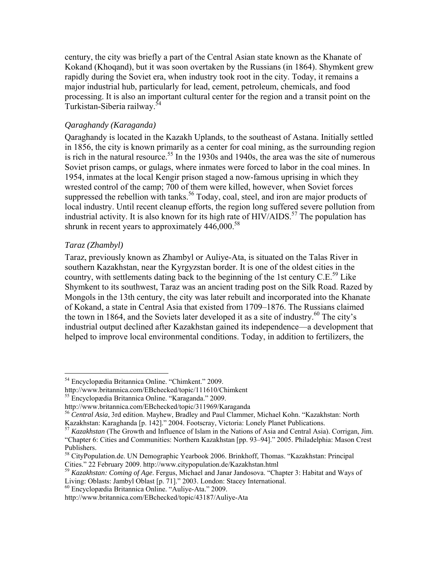century, the city was briefly a part of the Central Asian state known as the Khanate of Kokand (Khoqand), but it was soon overtaken by the Russians (in 1864). Shymkent grew rapidly during the Soviet era, when industry took root in the city. Today, it remains a major industrial hub, particularly for lead, cement, petroleum, chemicals, and food processing. It is also an important cultural center for the region and a transit point on the Turkistan-Siberia railway.<sup>5</sup>

#### *Qaraghandy (Karaganda)*

Qaraghandy is located in the Kazakh Uplands, to the southeast of Astana. Initially settled in 1856, the city is known primarily as a center for coal mining, as the surrounding region is rich in the natural resource.<sup>55</sup> In the 1930s and 1940s, the area was the site of numerous Soviet prison camps, or gulags, where inmates were forced to labor in the coal mines. In 1954, inmates at the local Kengir prison staged a now-famous uprising in which they wrested control of the camp; 700 of them were killed, however, when Soviet forces suppressed the rebellion with tanks.<sup>56</sup> Today, coal, steel, and iron are major products of local industry. Until recent cleanup efforts, the region long suffered severe pollution from industrial activity. It is also known for its high rate of  $HIV/ALDS$ .<sup>57</sup> The population has shrunk in recent years to approximately  $446,000.^{58}$ 

#### *Taraz (Zhambyl)*

 $\overline{a}$ 

Taraz, previously known as Zhambyl or Auliye-Ata, is situated on the Talas River in southern Kazakhstan, near the Kyrgyzstan border. It is one of the oldest cities in the country, with settlements dating back to the beginning of the 1st century  $C.E.<sup>59</sup>$  Like Shymkent to its southwest, Taraz was an ancient trading post on the Silk Road. Razed by Mongols in the 13th century, the city was later rebuilt and incorporated into the Khanate of Kokand, a state in Central Asia that existed from 1709–1876. The Russians claimed the town in 1864, and the Soviets later developed it as a site of industry.<sup>60</sup> The city's industrial output declined after Kazakhstan gained its independence—a development that helped to improve local environmental conditions. Today, in addition to fertilizers, the

<sup>54</sup> Encyclopædia Britannica Online. "Chimkent." 2009.

http://www.britannica.com/EBchecked/topic/111610/Chimkent

<sup>55</sup> Encyclopædia Britannica Online. "Karaganda." 2009.

http://www.britannica.com/EBchecked/topic/311969/Karaganda<br><sup>56</sup> *Central Asia*, 3rd edition. Mayhew, Bradley and Paul Clammer, Michael Kohn. "Kazakhstan: North<br>Kazakhstan: Karaghanda [p. 142]." 2004. Footscray, Victoria: L

<sup>&</sup>lt;sup>57</sup> *Kazakhstan* (The Growth and Influence of Islam in the Nations of Asia and Central Asia). Corrigan, Jim. "Chapter 6: Cities and Communities: Northern Kazakhstan [pp. 93–94]." 2005. Philadelphia: Mason Crest Publishers.

<sup>&</sup>lt;sup>58</sup> CityPopulation.de. UN Demographic Yearbook 2006. Brinkhoff, Thomas. "Kazakhstan: Principal Cities." 22 February 2009. http://www.citypopulation.de/Kazakhstan.html

<sup>&</sup>lt;sup>59</sup> Kazakhstan: Coming of Age. Fergus, Michael and Janar Jandosova. "Chapter 3: Habitat and Ways of Living: Oblasts: Jambyl Oblast [p. 71]." 2003. London: Stacey International.

<sup>60</sup> Encyclopædia Britannica Online. "Auliye-Ata." 2009.

http://www.britannica.com/EBchecked/topic/43187/Auliye-Ata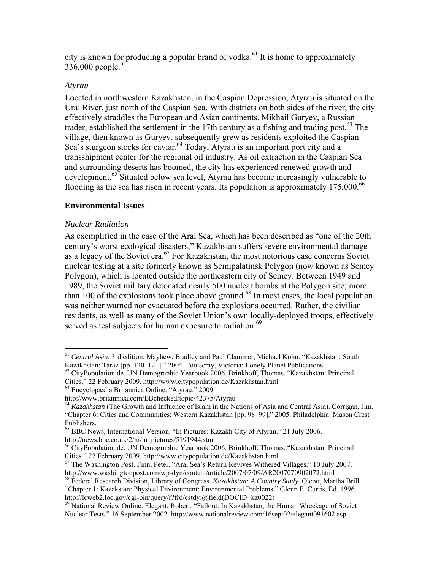city is known for producing a popular brand of vodka. $61$  It is home to approximately 336,000 people.<sup>62</sup>

#### *Atyrau*

Located in northwestern Kazakhstan, in the Caspian Depression, Atyrau is situated on the Ural River, just north of the Caspian Sea. With districts on both sides of the river, the city effectively straddles the European and Asian continents. Mikhail Guryev, a Russian trader, established the settlement in the 17th century as a fishing and trading post.<sup>63</sup> The village, then known as Guryev, subsequently grew as residents exploited the Caspian Sea's sturgeon stocks for caviar.<sup>64</sup> Today, Atyrau is an important port city and a transshipment center for the regional oil industry. As oil extraction in the Caspian Sea and surrounding deserts has boomed, the city has experienced renewed growth and development.65 Situated below sea level, Atyrau has become increasingly vulnerable to flooding as the sea has risen in recent years. Its population is approximately  $175,000$ .<sup>66</sup>

# **Environmental Issues**

#### *Nuclear Radiation*

As exemplified in the case of the Aral Sea, which has been described as "one of the 20th century's worst ecological disasters," Kazakhstan suffers severe environmental damage as a legacy of the Soviet era.<sup>67</sup> For Kazakhstan, the most notorious case concerns Soviet nuclear testing at a site formerly known as Semipalatinsk Polygon (now known as Semey Polygon), which is located outside the northeastern city of Semey. Between 1949 and 1989, the Soviet military detonated nearly 500 nuclear bombs at the Polygon site; more than 100 of the explosions took place above ground.<sup>68</sup> In most cases, the local population was neither warned nor evacuated before the explosions occurred. Rather, the civilian residents, as well as many of the Soviet Union's own locally-deployed troops, effectively served as test subjects for human exposure to radiation.<sup>69</sup>

 $\overline{a}$ <sup>61</sup> *Central Asia*, 3rd edition. Mayhew, Bradley and Paul Clammer, Michael Kohn. "Kazakhstan: South Kazakhstan: Taraz [pp. 120–121]." 2004. Footscray, Victoria: Lonely Planet Publications.<br><sup>62</sup> CityPopulation.de. UN Demographic Yearbook 2006. Brinkhoff, Thomas. "Kazakhstan: Principal

Cities." 22 February 2009. http://www.citypopulation.de/Kazakhstan.html 63 Encyclopædia Britannica Online. "Atyrau." 2009.

http://www.britannica.com/EBchecked/topic/42375/Atyrau

<sup>64</sup> *Kazakhstan* (The Growth and Influence of Islam in the Nations of Asia and Central Asia). Corrigan, Jim. "Chapter 6: Cities and Communities: Western Kazakhstan [pp. 98–99]." 2005. Philadelphia: Mason Crest Publishers.

<sup>65</sup> BBC News, International Version. "In Pictures: Kazakh City of Atyrau." 21 July 2006. http://news.bbc.co.uk/2/hi/in\_pictures/5191944.stm

<sup>&</sup>lt;sup>66</sup> CityPopulation.de. UN Demographic Yearbook 2006. Brinkhoff, Thomas. "Kazakhstan: Principal Cities." 22 February 2009. http://www.citypopulation.de/Kazakhstan.html

<sup>&</sup>lt;sup>67</sup> The Washington Post. Finn, Peter. "Aral Sea's Return Revives Withered Villages." 10 July 2007.<br>http://www.washingtonpost.com/wp-dyn/content/article/2007/07/09/AR2007070902072.html

<sup>&</sup>lt;sup>68</sup> Federal Research Division, Library of Congress. *Kazakhstan: A Country Study*. Olcott, Martha Brill. "Chapter 1: Kazakstan: Physical Environment: Environmental Problems." Glenn E. Curtis, Ed. 1996. http://lcweb2.loc.gov/cgi-bin/query/r?frd/cstdy:@field(DOCID+kz0022)

<sup>69</sup> National Review Online. Elegant, Robert. "Fallout: In Kazakhstan, the Human Wreckage of Soviet Nuclear Tests." 16 September 2002. http://www.nationalreview.com/16sept02/elegant091602.asp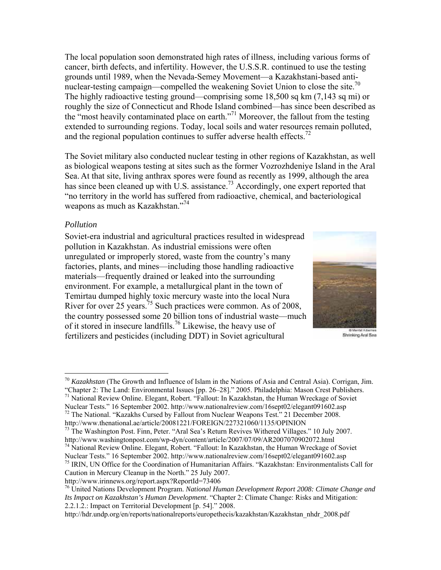The local population soon demonstrated high rates of illness, including various forms of cancer, birth defects, and infertility. However, the U.S.S.R. continued to use the testing grounds until 1989, when the Nevada-Semey Movement—a Kazakhstani-based antinuclear-testing campaign—compelled the weakening Soviet Union to close the site.<sup>70</sup> The highly radioactive testing ground—comprising some 18,500 sq km (7,143 sq mi) or roughly the size of Connecticut and Rhode Island combined—has since been described as the "most heavily contaminated place on earth."71 Moreover, the fallout from the testing extended to surrounding regions. Today, local soils and water resources remain polluted, and the regional population continues to suffer adverse health effects.<sup>72</sup>

The Soviet military also conducted nuclear testing in other regions of Kazakhstan, as well as biological weapons testing at sites such as the former Vozrozhdeniye Island in the Aral Sea. At that site, living anthrax spores were found as recently as 1999, although the area has since been cleaned up with U.S. assistance.<sup>73</sup> Accordingly, one expert reported that "no territory in the world has suffered from radioactive, chemical, and bacteriological weapons as much as Kazakhstan."<sup>74</sup>

#### *Pollution*

Soviet-era industrial and agricultural practices resulted in widespread pollution in Kazakhstan. As industrial emissions were often unregulated or improperly stored, waste from the country's many factories, plants, and mines—including those handling radioactive materials—frequently drained or leaked into the surrounding environment. For example, a metallurgical plant in the town of Temirtau dumped highly toxic mercury waste into the local Nura River for over 25 years.<sup>75</sup> Such practices were common. As of 2008, the country possessed some 20 billion tons of industrial waste—much of it stored in insecure landfills.76 Likewise, the heavy use of fertilizers and pesticides (including DDT) in Soviet agricultural



Shrinking Aral Sea

 $\overline{a}$ <sup>70</sup> *Kazakhstan* (The Growth and Influence of Islam in the Nations of Asia and Central Asia). Corrigan, Jim. "Chapter 2: The Land: Environmental Issues [pp. 26–28]." 2005. Philadelphia: Mason Crest Publishers.

<sup>71</sup> National Review Online. Elegant, Robert. "Fallout: In Kazakhstan, the Human Wreckage of Soviet Nuclear Tests." 16 September 2002. http://www.nationalreview.com/16sept02/elegant091602.asp 72 The National. "Kazakhs Cursed by Fallout from Nuclear Weapons Test." 21 December 2008. http://www.thenational.ae/article/20081221/FOREIGN/227321060/1135/OPINION

<sup>&</sup>lt;sup>73</sup> The Washington Post. Finn, Peter. "Aral Sea's Return Revives Withered Villages." 10 July 2007.<br>http://www.washingtonpost.com/wp-dyn/content/article/2007/07/09/AR2007070902072.html

<sup>&</sup>lt;sup>74</sup> National Review Online. Elegant, Robert. "Fallout: In Kazakhstan, the Human Wreckage of Soviet Nuclear Tests." 16 September 2002. http://www.nationalreview.com/16sept02/elegant091602.asp

<sup>&</sup>lt;sup>75</sup> IRIN, UN Office for the Coordination of Humanitarian Affairs. "Kazakhstan: Environmentalists Call for Caution in Mercury Cleanup in the North." 25 July 2007.

http://www.irinnews.org/report.aspx?ReportId=73406

<sup>76</sup> United Nations Development Program. *National Human Development Report 2008: Climate Change and Its Impact on Kazakhstan's Human Development*. "Chapter 2: Climate Change: Risks and Mitigation: 2.2.1.2.: Impact on Territorial Development [p. 54]." 2008.

http://hdr.undp.org/en/reports/nationalreports/europethecis/kazakhstan/Kazakhstan\_nhdr\_2008.pdf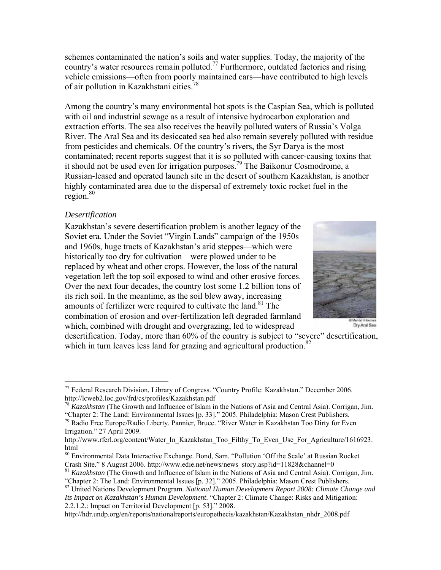schemes contaminated the nation's soils and water supplies. Today, the majority of the country's water resources remain polluted.<sup>77</sup> Furthermore, outdated factories and rising vehicle emissions—often from poorly maintained cars—have contributed to high levels of air pollution in Kazakhstani cities.<sup>78</sup>

Among the country's many environmental hot spots is the Caspian Sea, which is polluted with oil and industrial sewage as a result of intensive hydrocarbon exploration and extraction efforts. The sea also receives the heavily polluted waters of Russia's Volga River. The Aral Sea and its desiccated sea bed also remain severely polluted with residue from pesticides and chemicals. Of the country's rivers, the Syr Darya is the most contaminated; recent reports suggest that it is so polluted with cancer-causing toxins that it should not be used even for irrigation purposes.79 The Baikonur Cosmodrome, a Russian-leased and operated launch site in the desert of southern Kazakhstan, is another highly contaminated area due to the dispersal of extremely toxic rocket fuel in the region.<sup>80</sup>

#### *Desertification*

 $\overline{a}$ 

Kazakhstan's severe desertification problem is another legacy of the Soviet era. Under the Soviet "Virgin Lands" campaign of the 1950s and 1960s, huge tracts of Kazakhstan's arid steppes—which were historically too dry for cultivation—were plowed under to be replaced by wheat and other crops. However, the loss of the natural vegetation left the top soil exposed to wind and other erosive forces. Over the next four decades, the country lost some 1.2 billion tons of its rich soil. In the meantime, as the soil blew away, increasing amounts of fertilizer were required to cultivate the land.<sup>81</sup> The combination of erosion and over-fertilization left degraded farmland which, combined with drought and overgrazing, led to widespread



Dry Arai Sea

desertification. Today, more than 60% of the country is subject to "severe" desertification, which in turn leaves less land for grazing and agricultural production.<sup>82</sup>

<sup>&</sup>lt;sup>77</sup> Federal Research Division, Library of Congress. "Country Profile: Kazakhstan." December 2006. http://lcweb2.loc.gov/frd/cs/profiles/Kazakhstan.pdf<br><sup>78</sup> *Kazakhstan* (The Growth and Influence of Islam in the Nations of Asia and Central Asia). Corrigan, Jim.

<sup>&</sup>quot;Chapter 2: The Land: Environmental Issues [p. 33]." 2005. Philadelphia: Mason Crest Publishers.

<sup>&</sup>lt;sup>79</sup> Radio Free Europe/Radio Liberty. Pannier, Bruce. "River Water in Kazakhstan Too Dirty for Even Irrigation." 27 April 2009.

http://www.rferl.org/content/Water\_In\_Kazakhstan\_Too\_Filthy\_To\_Even\_Use\_For\_Agriculture/1616923. html

<sup>&</sup>lt;sup>80</sup> Environmental Data Interactive Exchange. Bond, Sam. "Pollution 'Off the Scale' at Russian Rocket Crash Site." 8 August 2006. http://www.edie.net/news/news story.asp?id=11828&channel=0

<sup>&</sup>lt;sup>81</sup> Kazakhstan (The Growth and Influence of Islam in the Nations of Asia and Central Asia). Corrigan, Jim. "Chapter 2: The Land: Environmental Issues [p. 32]." 2005. Philadelphia: Mason Crest Publishers.

<sup>82</sup> United Nations Development Program. *National Human Development Report 2008: Climate Change and Its Impact on Kazakhstan's Human Development*. "Chapter 2: Climate Change: Risks and Mitigation: 2.2.1.2.: Impact on Territorial Development [p. 53]." 2008.

http://hdr.undp.org/en/reports/nationalreports/europethecis/kazakhstan/Kazakhstan\_nhdr\_2008.pdf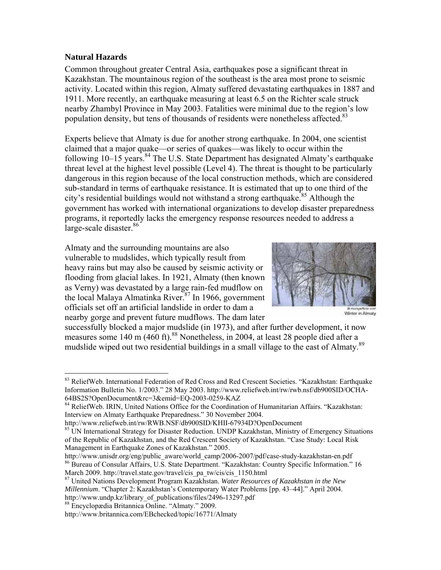# **Natural Hazards**

 $\overline{a}$ 

Common throughout greater Central Asia, earthquakes pose a significant threat in Kazakhstan. The mountainous region of the southeast is the area most prone to seismic activity. Located within this region, Almaty suffered devastating earthquakes in 1887 and 1911. More recently, an earthquake measuring at least 6.5 on the Richter scale struck nearby Zhambyl Province in May 2003. Fatalities were minimal due to the region's low population density, but tens of thousands of residents were nonetheless affected.<sup>83</sup>

Experts believe that Almaty is due for another strong earthquake. In 2004, one scientist claimed that a major quake—or series of quakes—was likely to occur within the following  $10-15$  years.<sup>84</sup> The U.S. State Department has designated Almaty's earthquake threat level at the highest level possible (Level 4). The threat is thought to be particularly dangerous in this region because of the local construction methods, which are considered sub-standard in terms of earthquake resistance. It is estimated that up to one third of the city's residential buildings would not withstand a strong earthquake.<sup>85</sup> Although the government has worked with international organizations to develop disaster preparedness programs, it reportedly lacks the emergency response resources needed to address a large-scale disaster.<sup>86</sup>

Almaty and the surrounding mountains are also vulnerable to mudslides, which typically result from heavy rains but may also be caused by seismic activity or flooding from glacial lakes. In 1921, Almaty (then known as Verny) was devastated by a large rain-fed mudflow on the local Malaya Almatinka River.87 In 1966, government officials set off an artificial landslide in order to dam a nearby gorge and prevent future mudflows. The dam later



Winter in Almaty

successfully blocked a major mudslide (in 1973), and after further development, it now measures some 140 m (460 ft).<sup>88</sup> Nonetheless, in 2004, at least 28 people died after a mudslide wiped out two residential buildings in a small village to the east of Almaty.<sup>89</sup>

<sup>83</sup> ReliefWeb. International Federation of Red Cross and Red Crescent Societies. "Kazakhstan: Earthquake Information Bulletin No. 1/2003." 28 May 2003. http://www.reliefweb.int/rw/rwb.nsf/db900SID/OCHA-64BS2S?OpenDocument&rc=3&emid=EQ-2003-0259-KAZ

<sup>84</sup> ReliefWeb. IRIN, United Nations Office for the Coordination of Humanitarian Affairs. "Kazakhstan: Interview on Almaty Earthquake Preparedness." 30 November 2004.

http://www.reliefweb.int/rw/RWB.NSF/db900SID/KHII-67934D?OpenDocument

<sup>&</sup>lt;sup>85</sup> UN International Strategy for Disaster Reduction. UNDP Kazakhstan, Ministry of Emergency Situations of the Republic of Kazakhstan, and the Red Crescent Society of Kazakhstan. "Case Study: Local Risk Management in Earthquake Zones of Kazakhstan." 2005.

http://www.unisdr.org/eng/public\_aware/world\_camp/2006-2007/pdf/case-study-kazakhstan-en.pdf 86 Bureau of Consular Affairs, U.S. State Department. "Kazakhstan: Country Specific Information." 16

March 2009. http://travel.state.gov/travel/cis\_pa\_tw/cis/cis\_1150.html 87 United Nations Development Program Kazakhstan. *Water Resources of Kazakhstan in the New Millennium*. "Chapter 2: Kazakhstan's Contemporary Water Problems [pp. 43–44]." April 2004. http://www.undp.kz/library\_of\_publications/files/2496-13297.pdf <sup>88</sup> Encyclopædia Britannica Online. "Almaty." 2009.

http://www.britannica.com/EBchecked/topic/16771/Almaty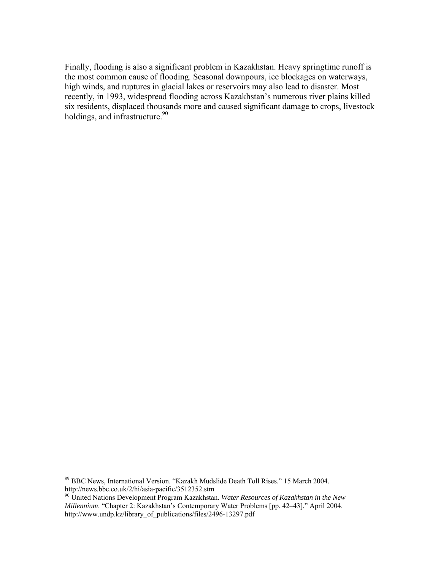Finally, flooding is also a significant problem in Kazakhstan. Heavy springtime runoff is the most common cause of flooding. Seasonal downpours, ice blockages on waterways, high winds, and ruptures in glacial lakes or reservoirs may also lead to disaster. Most recently, in 1993, widespread flooding across Kazakhstan's numerous river plains killed six residents, displaced thousands more and caused significant damage to crops, livestock holdings, and infrastructure.<sup>90</sup>

 <sup>89</sup> BBC News, International Version. "Kazakh Mudslide Death Toll Rises." 15 March 2004. http://news.bbc.co.uk/2/hi/asia-pacific/3512352.stm

<sup>90</sup> United Nations Development Program Kazakhstan. *Water Resources of Kazakhstan in the New Millennium*. "Chapter 2: Kazakhstan's Contemporary Water Problems [pp. 42–43]." April 2004. http://www.undp.kz/library\_of\_publications/files/2496-13297.pdf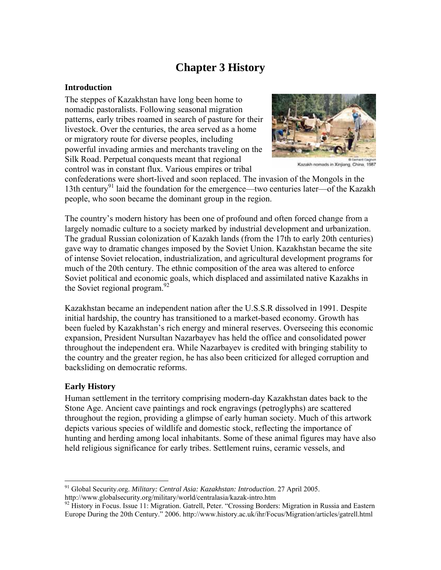# **Chapter 3 History**

# **Introduction**

The steppes of Kazakhstan have long been home to nomadic pastoralists. Following seasonal migration patterns, early tribes roamed in search of pasture for their livestock. Over the centuries, the area served as a home or migratory route for diverse peoples, including powerful invading armies and merchants traveling on the Silk Road. Perpetual conquests meant that regional control was in constant flux. Various empires or tribal



Kazakh nomads in Xinjiang, China, 1987

confederations were short-lived and soon replaced. The invasion of the Mongols in the 13th century<sup>91</sup> laid the foundation for the emergence—two centuries later—of the Kazakh people, who soon became the dominant group in the region.

The country's modern history has been one of profound and often forced change from a largely nomadic culture to a society marked by industrial development and urbanization. The gradual Russian colonization of Kazakh lands (from the 17th to early 20th centuries) gave way to dramatic changes imposed by the Soviet Union. Kazakhstan became the site of intense Soviet relocation, industrialization, and agricultural development programs for much of the 20th century. The ethnic composition of the area was altered to enforce Soviet political and economic goals, which displaced and assimilated native Kazakhs in the Soviet regional program. $92$ 

Kazakhstan became an independent nation after the U.S.S.R dissolved in 1991. Despite initial hardship, the country has transitioned to a market-based economy. Growth has been fueled by Kazakhstan's rich energy and mineral reserves. Overseeing this economic expansion, President Nursultan Nazarbayev has held the office and consolidated power throughout the independent era. While Nazarbayev is credited with bringing stability to the country and the greater region, he has also been criticized for alleged corruption and backsliding on democratic reforms.

#### **Early History**

 $\overline{a}$ 

Human settlement in the territory comprising modern-day Kazakhstan dates back to the Stone Age. Ancient cave paintings and rock engravings (petroglyphs) are scattered throughout the region, providing a glimpse of early human society. Much of this artwork depicts various species of wildlife and domestic stock, reflecting the importance of hunting and herding among local inhabitants. Some of these animal figures may have also held religious significance for early tribes. Settlement ruins, ceramic vessels, and

<sup>91</sup> Global Security.org. *Military: Central Asia: Kazakhstan: Introduction*. 27 April 2005. http://www.globalsecurity.org/military/world/centralasia/kazak-intro.htm<br><sup>92</sup> History in Focus. Issue 11: Migration. Gatrell, Peter. "Crossing Borders: Migration in Russia and Eastern

Europe During the 20th Century." 2006. http://www.history.ac.uk/ihr/Focus/Migration/articles/gatrell.html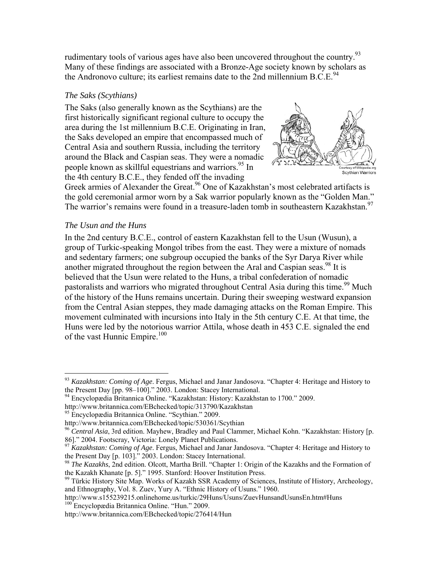rudimentary tools of various ages have also been uncovered throughout the country.<sup>93</sup> Many of these findings are associated with a Bronze-Age society known by scholars as the Andronovo culture; its earliest remains date to the 2nd millennium  $B.C.E.<sup>94</sup>$ 

# *The Saks (Scythians)*

The Saks (also generally known as the Scythians) are the first historically significant regional culture to occupy the area during the 1st millennium B.C.E. Originating in Iran, the Saks developed an empire that encompassed much of Central Asia and southern Russia, including the territory around the Black and Caspian seas. They were a nomadic people known as skillful equestrians and warriors.<sup>95</sup> In the 4th century B.C.E., they fended off the invading



Greek armies of Alexander the Great.<sup>96</sup> One of Kazakhstan's most celebrated artifacts is the gold ceremonial armor worn by a Sak warrior popularly known as the "Golden Man." The warrior's remains were found in a treasure-laden tomb in southeastern Kazakhstan.<sup>97</sup>

# *The Usun and the Huns*

 $\overline{a}$ 

In the 2nd century B.C.E., control of eastern Kazakhstan fell to the Usun (Wusun), a group of Turkic-speaking Mongol tribes from the east. They were a mixture of nomads and sedentary farmers; one subgroup occupied the banks of the Syr Darya River while another migrated throughout the region between the Aral and Caspian seas.<sup>98</sup> It is believed that the Usun were related to the Huns, a tribal confederation of nomadic pastoralists and warriors who migrated throughout Central Asia during this time.<sup>99</sup> Much of the history of the Huns remains uncertain. During their sweeping westward expansion from the Central Asian steppes, they made damaging attacks on the Roman Empire. This movement culminated with incursions into Italy in the 5th century C.E. At that time, the Huns were led by the notorious warrior Attila, whose death in 453 C.E. signaled the end of the vast Hunnic Empire.<sup>100</sup>

<sup>93</sup> *Kazakhstan: Coming of Age*. Fergus, Michael and Janar Jandosova. "Chapter 4: Heritage and History to the Present Day [pp. 98–100]." 2003. London: Stacey International. 94 Encyclopædia Britannica Online. "Kazakhstan: History: Kazakhstan to 1700." 2009.

http://www.britannica.com/EBchecked/topic/313790/Kazakhstan

<sup>&</sup>lt;sup>95</sup> Encyclopædia Britannica Online. "Scythian." 2009.

http://www.britannica.com/EBchecked/topic/530361/Scythian

<sup>96</sup> *Central Asia*, 3rd edition. Mayhew, Bradley and Paul Clammer, Michael Kohn. "Kazakhstan: History [p. 86]." 2004. Footscray, Victoria: Lonely Planet Publications.

<sup>&</sup>lt;sup>97</sup> *Kazakhstan: Coming of Age.* Fergus, Michael and Janar Jandosova. "Chapter 4: Heritage and History to the Present Day [p. 103]." 2003. London: Stacey International.

<sup>&</sup>lt;sup>98</sup> The Kazakhs, 2nd edition. Olcott, Martha Brill. "Chapter 1: Origin of the Kazakhs and the Formation of the Kazakh Khanate [p. 5]." 1995. Stanford: Hoover Institution Press.<br><sup>99</sup> Türkic History Site Map. Works of Kazakh SSR Academy of Sciences, Institute of History, Archeology,

and Ethnography, Vol. 8. Zuev, Yury A. "Ethnic History of Usuns." 1960.

http://www.s155239215.onlinehome.us/turkic/29Huns/Usuns/ZuevHunsandUsunsEn.htm#Huns 100 Encyclopædia Britannica Online. "Hun." 2009.

http://www.britannica.com/EBchecked/topic/276414/Hun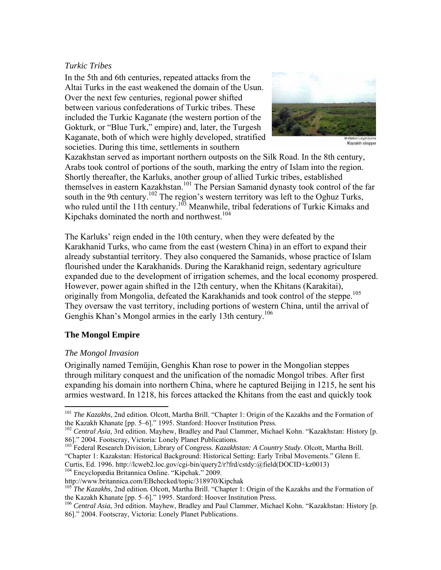# *Turkic Tribes*

In the 5th and 6th centuries, repeated attacks from the Altai Turks in the east weakened the domain of the Usun. Over the next few centuries, regional power shifted between various confederations of Turkic tribes. These included the Turkic Kaganate (the western portion of the Gokturk, or "Blue Turk," empire) and, later, the Turgesh Kaganate, both of which were highly developed, stratified societies. During this time, settlements in southern



Kazakh steppe

Kazakhstan served as important northern outposts on the Silk Road. In the 8th century, Arabs took control of portions of the south, marking the entry of Islam into the region. Shortly thereafter, the Karluks, another group of allied Turkic tribes, established themselves in eastern Kazakhstan.<sup>101</sup> The Persian Samanid dynasty took control of the far south in the 9th century.<sup>102</sup> The region's western territory was left to the Oghuz Turks, who ruled until the 11th century.<sup>103</sup> Meanwhile, tribal federations of Turkic Kimaks and Kipchaks dominated the north and northwest.<sup>104</sup>

The Karluks' reign ended in the 10th century, when they were defeated by the Karakhanid Turks, who came from the east (western China) in an effort to expand their already substantial territory. They also conquered the Samanids, whose practice of Islam flourished under the Karakhanids. During the Karakhanid reign, sedentary agriculture expanded due to the development of irrigation schemes, and the local economy prospered. However, power again shifted in the 12th century, when the Khitans (Karakitai), originally from Mongolia, defeated the Karakhanids and took control of the steppe.<sup>105</sup> They oversaw the vast territory, including portions of western China, until the arrival of Genghis Khan's Mongol armies in the early 13th century.<sup>106</sup>

# **The Mongol Empire**

# *The Mongol Invasion*

 $\overline{a}$ 

Originally named Temüjin, Genghis Khan rose to power in the Mongolian steppes through military conquest and the unification of the nomadic Mongol tribes. After first expanding his domain into northern China, where he captured Beijing in 1215, he sent his armies westward. In 1218, his forces attacked the Khitans from the east and quickly took

103 Federal Research Division, Library of Congress. *Kazakhstan: A Country Study*. Olcott, Martha Brill. "Chapter 1: Kazakstan: Historical Background: Historical Setting: Early Tribal Movements." Glenn E. Curtis, Ed. 1996. http://lcweb2.loc.gov/cgi-bin/query2/r?frd/cstdy:@field(DOCID+kz0013) 104 Encyclopædia Britannica Online. "Kipchak." 2009.

<sup>&</sup>lt;sup>101</sup> *The Kazakhs*, 2nd edition. Olcott, Martha Brill. "Chapter 1: Origin of the Kazakhs and the Formation of the Kazakh Khanate [pp. 5–6]." 1995. Stanford: Hoover Institution Press.

<sup>&</sup>lt;sup>102</sup> Central Asia, 3rd edition. Mayhew, Bradley and Paul Clammer, Michael Kohn. "Kazakhstan: History [p. 86]." 2004. Footscray, Victoria: Lonely Planet Publications.

http://www.britannica.com/EBchecked/topic/318970/Kipchak

<sup>&</sup>lt;sup>105</sup> *The Kazakhs*, 2nd edition. Olcott, Martha Brill. "Chapter 1: Origin of the Kazakhs and the Formation of the Kazakh Khanate [pp. 5–6]." 1995. Stanford: Hoover Institution Press.<br><sup>106</sup> *Central Asia*, 3rd edition. Mayhew, Bradley and Paul Clammer, Michael Kohn. "Kazakhstan: History [p.

<sup>86].&</sup>quot; 2004. Footscray, Victoria: Lonely Planet Publications.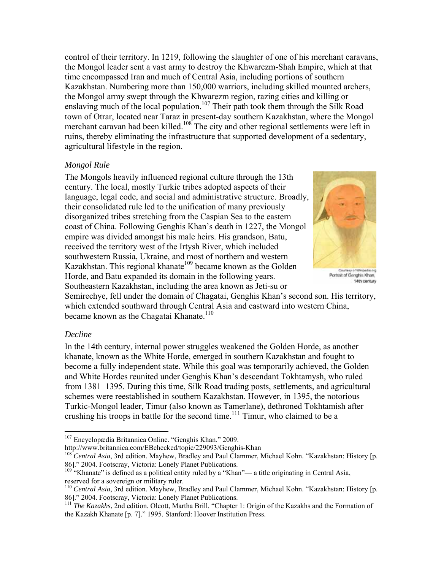control of their territory. In 1219, following the slaughter of one of his merchant caravans, the Mongol leader sent a vast army to destroy the Khwarezm-Shah Empire, which at that time encompassed Iran and much of Central Asia, including portions of southern Kazakhstan. Numbering more than 150,000 warriors, including skilled mounted archers, the Mongol army swept through the Khwarezm region, razing cities and killing or enslaving much of the local population.<sup>107</sup> Their path took them through the Silk Road town of Otrar, located near Taraz in present-day southern Kazakhstan, where the Mongol merchant caravan had been killed.<sup>108</sup> The city and other regional settlements were left in ruins, thereby eliminating the infrastructure that supported development of a sedentary, agricultural lifestyle in the region.

# *Mongol Rule*

The Mongols heavily influenced regional culture through the 13th century. The local, mostly Turkic tribes adopted aspects of their language, legal code, and social and administrative structure. Broadly, their consolidated rule led to the unification of many previously disorganized tribes stretching from the Caspian Sea to the eastern coast of China. Following Genghis Khan's death in 1227, the Mongol empire was divided amongst his male heirs. His grandson, Batu, received the territory west of the Irtysh River, which included southwestern Russia, Ukraine, and most of northern and western Kazakhstan. This regional khanate<sup>109</sup> became known as the Golden Horde, and Batu expanded its domain in the following years. Southeastern Kazakhstan, including the area known as Jeti-su or



Courtesy of Wikipedia org Portrait of Genghis Khan, 14th century

Semirechye, fell under the domain of Chagatai, Genghis Khan's second son. His territory, which extended southward through Central Asia and eastward into western China, became known as the Chagatai Khanate.<sup>110</sup>

# *Decline*

 $\overline{a}$ 

In the 14th century, internal power struggles weakened the Golden Horde, as another khanate, known as the White Horde, emerged in southern Kazakhstan and fought to become a fully independent state. While this goal was temporarily achieved, the Golden and White Hordes reunited under Genghis Khan's descendant Tokhtamysh, who ruled from 1381–1395. During this time, Silk Road trading posts, settlements, and agricultural schemes were reestablished in southern Kazakhstan. However, in 1395, the notorious Turkic-Mongol leader, Timur (also known as Tamerlane), dethroned Tokhtamish after crushing his troops in battle for the second time.<sup>111</sup> Timur, who claimed to be a

<sup>107</sup> Encyclopædia Britannica Online. "Genghis Khan." 2009.<br>http://www.britannica.com/EBchecked/topic/229093/Genghis-Khan

<sup>&</sup>lt;sup>108</sup> Central Asia, 3rd edition. Mayhew, Bradley and Paul Clammer, Michael Kohn. "Kazakhstan: History [p. 86]." 2004. Footscray, Victoria: Lonely Planet Publications.

<sup>&</sup>lt;sup>109</sup> "Khanate" is defined as a political entity ruled by a "Khan"— a title originating in Central Asia, reserved for a sovereign or military ruler.

<sup>110</sup> *Central Asia*, 3rd edition. Mayhew, Bradley and Paul Clammer, Michael Kohn. "Kazakhstan: History [p. 86]." 2004. Footscray, Victoria: Lonely Planet Publications.

<sup>&</sup>lt;sup>111</sup> The Kazakhs, 2nd edition. Olcott, Martha Brill. "Chapter 1: Origin of the Kazakhs and the Formation of the Kazakh Khanate [p. 7]." 1995. Stanford: Hoover Institution Press.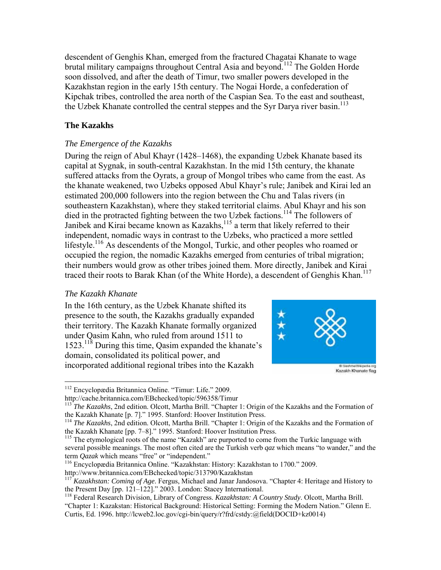descendent of Genghis Khan, emerged from the fractured Chagatai Khanate to wage brutal military campaigns throughout Central Asia and beyond.<sup>112</sup> The Golden Horde soon dissolved, and after the death of Timur, two smaller powers developed in the Kazakhstan region in the early 15th century. The Nogai Horde, a confederation of Kipchak tribes, controlled the area north of the Caspian Sea. To the east and southeast, the Uzbek Khanate controlled the central steppes and the Syr Darya river basin.<sup>113</sup>

#### **The Kazakhs**

# *The Emergence of the Kazakhs*

During the reign of Abul Khayr (1428–1468), the expanding Uzbek Khanate based its capital at Sygnak, in south-central Kazakhstan. In the mid 15th century, the khanate suffered attacks from the Oyrats, a group of Mongol tribes who came from the east. As the khanate weakened, two Uzbeks opposed Abul Khayr's rule; Janibek and Kirai led an estimated 200,000 followers into the region between the Chu and Talas rivers (in southeastern Kazakhstan), where they staked territorial claims. Abul Khayr and his son died in the protracted fighting between the two Uzbek factions.<sup>114</sup> The followers of Janibek and Kirai became known as Kazakhs,<sup>115</sup> a term that likely referred to their independent, nomadic ways in contrast to the Uzbeks, who practiced a more settled lifestyle.<sup>116</sup> As descendents of the Mongol, Turkic, and other peoples who roamed or occupied the region, the nomadic Kazakhs emerged from centuries of tribal migration; their numbers would grow as other tribes joined them. More directly, Janibek and Kirai traced their roots to Barak Khan (of the White Horde), a descendent of Genghis Khan.<sup>117</sup>

# *The Kazakh Khanate*

In the 16th century, as the Uzbek Khanate shifted its presence to the south, the Kazakhs gradually expanded their territory. The Kazakh Khanate formally organized under Qasim Kahn, who ruled from around 1511 to 1523.118 During this time, Qasim expanded the khanate's domain, consolidated its political power, and incorporated additional regional tribes into the Kazakh



 $\overline{a}$ 112 Encyclopædia Britannica Online. "Timur: Life." 2009.

http://cache.britannica.com/EBchecked/topic/596358/Timur<br><sup>113</sup> *The Kazakhs*, 2nd edition. Olcott, Martha Brill. "Chapter 1: Origin of the Kazakhs and the Formation of

the Kazakh Khanate [p. 7]." 1995. Stanford: Hoover Institution Press.<br><sup>114</sup> *The Kazakhs*, 2nd edition. Olcott, Martha Brill. "Chapter 1: Origin of the Kazakhs and the Formation of<br>the Kazakh Khanate [pp. 7–8]." 1995. Stan

 $115$  The etymological roots of the name "Kazakh" are purported to come from the Turkic language with several possible meanings. The most often cited are the Turkish verb *qaz* which means "to wander," and the term *Qazak* which means "free" or "independent." 116 Encyclopædia Britannica Online. "Kazakhstan: History: Kazakhstan to 1700." 2009.

http://www.britannica.com/EBchecked/topic/313790/Kazakhstan

<sup>&</sup>lt;sup>117</sup> *Kazakhstan: Coming of Age*. Fergus, Michael and Janar Jandosova. "Chapter 4: Heritage and History to the Present Day [pp. 121–122]." 2003. London: Stacey International.

<sup>&</sup>lt;sup>118</sup> Federal Research Division, Library of Congress. *Kazakhstan: A Country Study*. Olcott, Martha Brill. "Chapter 1: Kazakstan: Historical Background: Historical Setting: Forming the Modern Nation." Glenn E. Curtis, Ed. 1996. http://lcweb2.loc.gov/cgi-bin/query/r?frd/cstdy:@field(DOCID+kz0014)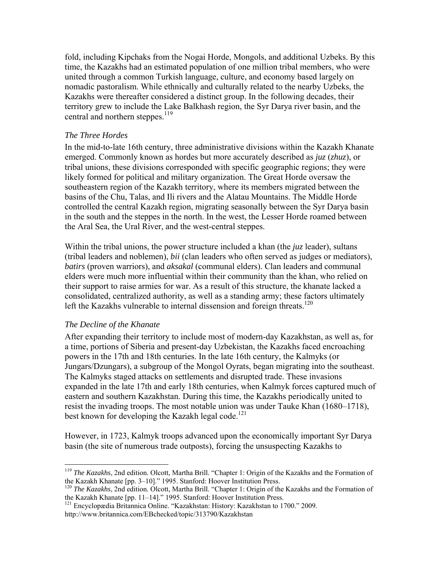fold, including Kipchaks from the Nogai Horde, Mongols, and additional Uzbeks. By this time, the Kazakhs had an estimated population of one million tribal members, who were united through a common Turkish language, culture, and economy based largely on nomadic pastoralism. While ethnically and culturally related to the nearby Uzbeks, the Kazakhs were thereafter considered a distinct group. In the following decades, their territory grew to include the Lake Balkhash region, the Syr Darya river basin, and the central and northern steppes.<sup>119</sup>

#### *The Three Hordes*

In the mid-to-late 16th century, three administrative divisions within the Kazakh Khanate emerged. Commonly known as hordes but more accurately described as *juz* (*zhuz*), or tribal unions, these divisions corresponded with specific geographic regions; they were likely formed for political and military organization. The Great Horde oversaw the southeastern region of the Kazakh territory, where its members migrated between the basins of the Chu, Talas, and Ili rivers and the Alatau Mountains. The Middle Horde controlled the central Kazakh region, migrating seasonally between the Syr Darya basin in the south and the steppes in the north. In the west, the Lesser Horde roamed between the Aral Sea, the Ural River, and the west-central steppes.

Within the tribal unions, the power structure included a khan (the *juz* leader), sultans (tribal leaders and noblemen), *bii* (clan leaders who often served as judges or mediators), *batirs* (proven warriors), and *aksakal* (communal elders). Clan leaders and communal elders were much more influential within their community than the khan, who relied on their support to raise armies for war. As a result of this structure, the khanate lacked a consolidated, centralized authority, as well as a standing army; these factors ultimately left the Kazakhs vulnerable to internal dissension and foreign threats.<sup>120</sup>

#### *The Decline of the Khanate*

 $\overline{a}$ 

After expanding their territory to include most of modern-day Kazakhstan, as well as, for a time, portions of Siberia and present-day Uzbekistan, the Kazakhs faced encroaching powers in the 17th and 18th centuries. In the late 16th century, the Kalmyks (or Jungars/Dzungars), a subgroup of the Mongol Oyrats, began migrating into the southeast. The Kalmyks staged attacks on settlements and disrupted trade. These invasions expanded in the late 17th and early 18th centuries, when Kalmyk forces captured much of eastern and southern Kazakhstan. During this time, the Kazakhs periodically united to resist the invading troops. The most notable union was under Tauke Khan (1680–1718), best known for developing the Kazakh legal code.<sup>121</sup>

However, in 1723, Kalmyk troops advanced upon the economically important Syr Darya basin (the site of numerous trade outposts), forcing the unsuspecting Kazakhs to

<sup>119</sup> *The Kazakhs*, 2nd edition. Olcott, Martha Brill. "Chapter 1: Origin of the Kazakhs and the Formation of

the Kazakh Khanate [pp. 3–10]." 1995. Stanford: Hoover Institution Press.<br><sup>120</sup> *The Kazakhs*, 2nd edition. Olcott, Martha Brill. "Chapter 1: Origin of the Kazakhs and the Formation of<br>the Kazakh Khanate [pp. 11–14]." 1995

<sup>&</sup>lt;sup>121</sup> Encyclopædia Britannica Online. "Kazakhstan: History: Kazakhstan to 1700." 2009. http://www.britannica.com/EBchecked/topic/313790/Kazakhstan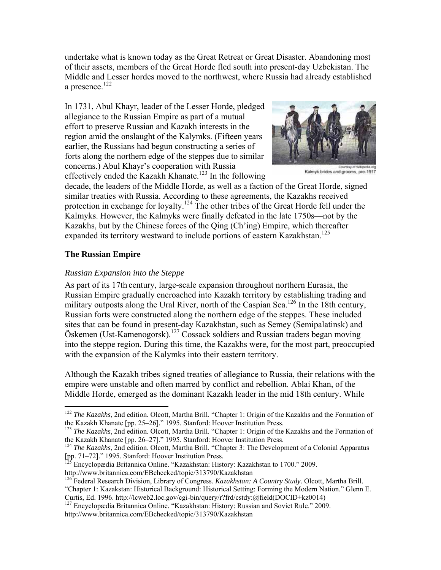undertake what is known today as the Great Retreat or Great Disaster. Abandoning most of their assets, members of the Great Horde fled south into present-day Uzbekistan. The Middle and Lesser hordes moved to the northwest, where Russia had already established a presence.<sup>122</sup>

In 1731, Abul Khayr, leader of the Lesser Horde, pledged allegiance to the Russian Empire as part of a mutual effort to preserve Russian and Kazakh interests in the region amid the onslaught of the Kalymks. (Fifteen years earlier, the Russians had begun constructing a series of forts along the northern edge of the steppes due to similar concerns.) Abul Khayr's cooperation with Russia effectively ended the Kazakh Khanate.<sup>123</sup> In the following



Kalmyk brides and grooms, pre-1917

decade, the leaders of the Middle Horde, as well as a faction of the Great Horde, signed similar treaties with Russia. According to these agreements, the Kazakhs received protection in exchange for loyalty.<sup>124</sup> The other tribes of the Great Horde fell under the Kalmyks. However, the Kalmyks were finally defeated in the late 1750s—not by the Kazakhs, but by the Chinese forces of the Qing (Ch'ing) Empire, which thereafter expanded its territory westward to include portions of eastern Kazakhstan.<sup>125</sup>

#### **The Russian Empire**

 $\overline{a}$ 

#### *Russian Expansion into the Steppe*

As part of its 17th century, large-scale expansion throughout northern Eurasia, the Russian Empire gradually encroached into Kazakh territory by establishing trading and military outposts along the Ural River, north of the Caspian Sea.<sup>126</sup> In the 18th century, Russian forts were constructed along the northern edge of the steppes. These included sites that can be found in present-day Kazakhstan, such as Semey (Semipalatinsk) and Öskemen (Ust-Kamenogorsk).<sup>127</sup> Cossack soldiers and Russian traders began moving into the steppe region. During this time, the Kazakhs were, for the most part, preoccupied with the expansion of the Kalymks into their eastern territory.

Although the Kazakh tribes signed treaties of allegiance to Russia, their relations with the empire were unstable and often marred by conflict and rebellion. Ablai Khan, of the Middle Horde, emerged as the dominant Kazakh leader in the mid 18th century. While

<sup>&</sup>lt;sup>122</sup> *The Kazakhs*, 2nd edition. Olcott, Martha Brill. "Chapter 1: Origin of the Kazakhs and the Formation of

the Kazakh Khanate [pp. 25–26]." 1995. Stanford: Hoover Institution Press.<br><sup>123</sup> *The Kazakhs*, 2nd edition. Olcott, Martha Brill. "Chapter 1: Origin of the Kazakhs and the Formation of<br>the Kazakh Khanate [pp. 26–27]." 199

<sup>&</sup>lt;sup>124</sup> The Kazakhs, 2nd edition. Olcott, Martha Brill. "Chapter 3: The Development of a Colonial Apparatus [pp. 71–72]." 1995. Stanford: Hoover Institution Press.

<sup>125</sup> Encyclopædia Britannica Online. "Kazakhstan: History: Kazakhstan to 1700." 2009. http://www.britannica.com/EBchecked/topic/313790/Kazakhstan

<sup>126</sup> Federal Research Division, Library of Congress. *Kazakhstan: A Country Study*. Olcott, Martha Brill.

<sup>&</sup>quot;Chapter 1: Kazakstan: Historical Background: Historical Setting: Forming the Modern Nation." Glenn E. Curtis, Ed. 1996. http://lcweb2.loc.gov/cgi-bin/query/r?frd/cstdy:@field(DOCID+kz0014)

<sup>&</sup>lt;sup>127</sup> Encyclopædia Britannica Online. "Kazakhstan: History: Russian and Soviet Rule." 2009. http://www.britannica.com/EBchecked/topic/313790/Kazakhstan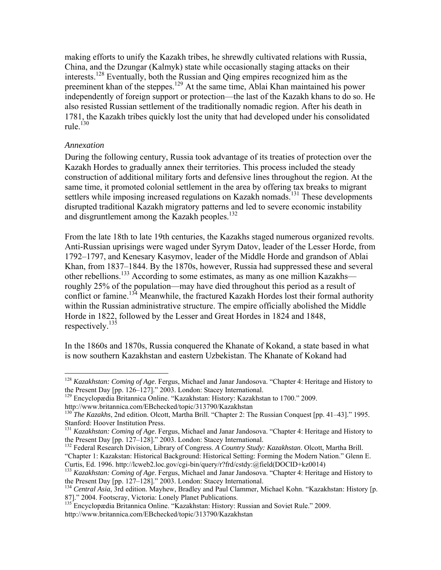making efforts to unify the Kazakh tribes, he shrewdly cultivated relations with Russia, China, and the Dzungar (Kalmyk) state while occasionally staging attacks on their interests.128 Eventually, both the Russian and Qing empires recognized him as the preeminent khan of the steppes.129 At the same time, Ablai Khan maintained his power independently of foreign support or protection—the last of the Kazakh khans to do so. He also resisted Russian settlement of the traditionally nomadic region. After his death in 1781, the Kazakh tribes quickly lost the unity that had developed under his consolidated rule. $130$ 

#### *Annexation*

 $\overline{a}$ 

During the following century, Russia took advantage of its treaties of protection over the Kazakh Hordes to gradually annex their territories. This process included the steady construction of additional military forts and defensive lines throughout the region. At the same time, it promoted colonial settlement in the area by offering tax breaks to migrant settlers while imposing increased regulations on Kazakh nomads.<sup>131</sup> These developments disrupted traditional Kazakh migratory patterns and led to severe economic instability and disgruntlement among the Kazakh peoples.<sup>132</sup>

From the late 18th to late 19th centuries, the Kazakhs staged numerous organized revolts. Anti-Russian uprisings were waged under Syrym Datov, leader of the Lesser Horde, from 1792–1797, and Kenesary Kasymov, leader of the Middle Horde and grandson of Ablai Khan, from 1837–1844. By the 1870s, however, Russia had suppressed these and several other rebellions.<sup>133</sup> According to some estimates, as many as one million Kazakhs roughly 25% of the population—may have died throughout this period as a result of conflict or famine.<sup>134</sup> Meanwhile, the fractured Kazakh Hordes lost their formal authority within the Russian administrative structure. The empire officially abolished the Middle Horde in 1822, followed by the Lesser and Great Hordes in 1824 and 1848, respectively.<sup>135</sup>

In the 1860s and 1870s, Russia conquered the Khanate of Kokand, a state based in what is now southern Kazakhstan and eastern Uzbekistan. The Khanate of Kokand had

<sup>128</sup> *Kazakhstan: Coming of Age*. Fergus, Michael and Janar Jandosova. "Chapter 4: Heritage and History to the Present Day [pp. 126–127]." 2003. London: Stacey International. 129 Encyclopædia Britannica Online. "Kazakhstan: History: Kazakhstan to 1700." 2009.

http://www.britannica.com/EBchecked/topic/313790/Kazakhstan

<sup>&</sup>lt;sup>130</sup> *The Kazakhs*, 2nd edition. Olcott, Martha Brill. "Chapter 2: The Russian Conquest [pp. 41–43]." 1995. Stanford: Hoover Institution Press.

<sup>&</sup>lt;sup>131</sup> *Kazakhstan: Coming of Age.* Fergus, Michael and Janar Jandosova. "Chapter 4: Heritage and History to the Present Day [pp. 127–128]." 2003. London: Stacey International.

<sup>&</sup>lt;sup>132</sup> Federal Research Division, Library of Congress. *A Country Study: Kazakhstan*. Olcott, Martha Brill. "Chapter 1: Kazakstan: Historical Background: Historical Setting: Forming the Modern Nation." Glenn E. Curtis, Ed. 1996. http://lcweb2.loc.gov/cgi-bin/query/r?frd/cstdy:@field(DOCID+kz0014)

<sup>&</sup>lt;sup>133</sup> *Kazakhstan: Coming of Age.* Fergus, Michael and Janar Jandosova. "Chapter 4: Heritage and History to the Present Day [pp. 127–128]." 2003. London: Stacey International.

<sup>&</sup>lt;sup>134</sup> Central Asia, 3rd edition. Mayhew, Bradley and Paul Clammer, Michael Kohn. "Kazakhstan: History [p. 87]." 2004. Footscray, Victoria: Lonely Planet Publications.

<sup>&</sup>lt;sup>135</sup> Encyclopædia Britannica Online. "Kazakhstan: History: Russian and Soviet Rule." 2009. http://www.britannica.com/EBchecked/topic/313790/Kazakhstan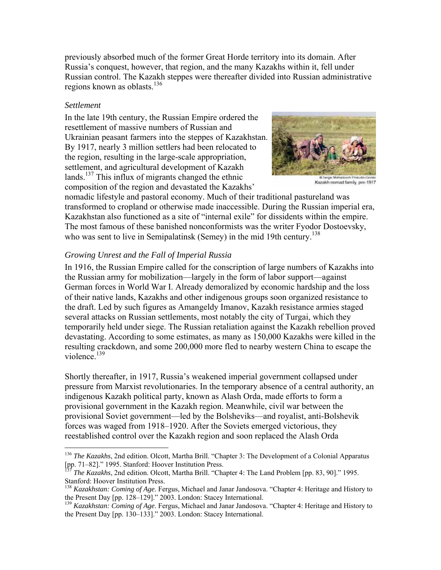previously absorbed much of the former Great Horde territory into its domain. After Russia's conquest, however, that region, and the many Kazakhs within it, fell under Russian control. The Kazakh steppes were thereafter divided into Russian administrative regions known as oblasts.<sup>136</sup>

#### *Settlement*

 $\overline{a}$ 

In the late 19th century, the Russian Empire ordered the resettlement of massive numbers of Russian and Ukrainian peasant farmers into the steppes of Kazakhstan. By 1917, nearly 3 million settlers had been relocated to the region, resulting in the large-scale appropriation, settlement, and agricultural development of Kazakh lands.<sup>137</sup> This influx of migrants changed the ethnic composition of the region and devastated the Kazakhs'



Kazakh nomad family, pre-1917

nomadic lifestyle and pastoral economy. Much of their traditional pastureland was transformed to cropland or otherwise made inaccessible. During the Russian imperial era, Kazakhstan also functioned as a site of "internal exile" for dissidents within the empire. The most famous of these banished nonconformists was the writer Fyodor Dostoevsky, who was sent to live in Semipalatinsk (Semey) in the mid 19th century.<sup>138</sup>

#### *Growing Unrest and the Fall of Imperial Russia*

In 1916, the Russian Empire called for the conscription of large numbers of Kazakhs into the Russian army for mobilization—largely in the form of labor support—against German forces in World War I. Already demoralized by economic hardship and the loss of their native lands, Kazakhs and other indigenous groups soon organized resistance to the draft. Led by such figures as Amangeldy Imanov, Kazakh resistance armies staged several attacks on Russian settlements, most notably the city of Turgai, which they temporarily held under siege. The Russian retaliation against the Kazakh rebellion proved devastating. According to some estimates, as many as 150,000 Kazakhs were killed in the resulting crackdown, and some 200,000 more fled to nearby western China to escape the violence.<sup>139</sup>

Shortly thereafter, in 1917, Russia's weakened imperial government collapsed under pressure from Marxist revolutionaries. In the temporary absence of a central authority, an indigenous Kazakh political party, known as Alash Orda, made efforts to form a provisional government in the Kazakh region. Meanwhile, civil war between the provisional Soviet government—led by the Bolsheviks—and royalist, anti-Bolshevik forces was waged from 1918–1920. After the Soviets emerged victorious, they reestablished control over the Kazakh region and soon replaced the Alash Orda

<sup>&</sup>lt;sup>136</sup> *The Kazakhs*, 2nd edition. Olcott, Martha Brill. "Chapter 3: The Development of a Colonial Apparatus [pp. 71–82]." 1995. Stanford: Hoover Institution Press.

<sup>137</sup> *The Kazakhs*, 2nd edition. Olcott, Martha Brill. "Chapter 4: The Land Problem [pp. 83, 90]." 1995. Stanford: Hoover Institution Press.

<sup>138</sup> *Kazakhstan: Coming of Age*. Fergus, Michael and Janar Jandosova. "Chapter 4: Heritage and History to the Present Day [pp. 128–129]." 2003. London: Stacey International. 139 *Kazakhstan: Coming of Age*. Fergus, Michael and Janar Jandosova. "Chapter 4: Heritage and History to

the Present Day [pp. 130–133]." 2003. London: Stacey International.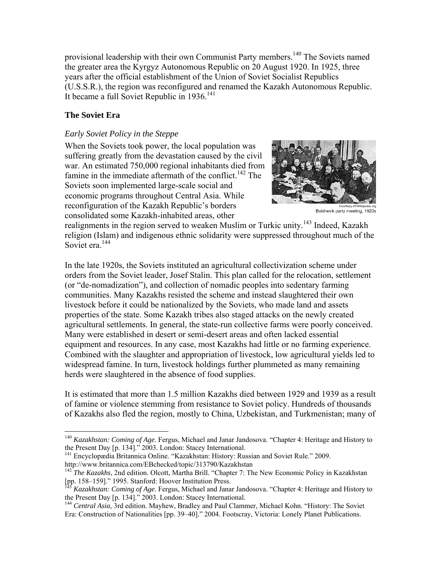provisional leadership with their own Communist Party members.<sup>140</sup> The Soviets named the greater area the Kyrgyz Autonomous Republic on 20 August 1920. In 1925, three years after the official establishment of the Union of Soviet Socialist Republics (U.S.S.R.), the region was reconfigured and renamed the Kazakh Autonomous Republic. It became a full Soviet Republic in  $1936$ <sup>141</sup>

# **The Soviet Era**

 $\overline{a}$ 

# *Early Soviet Policy in the Steppe*

When the Soviets took power, the local population was suffering greatly from the devastation caused by the civil war. An estimated 750,000 regional inhabitants died from famine in the immediate aftermath of the conflict.<sup>142</sup> The Soviets soon implemented large-scale social and economic programs throughout Central Asia. While reconfiguration of the Kazakh Republic's borders consolidated some Kazakh-inhabited areas, other



Bolshevik party meeting, 1920s

realignments in the region served to weaken Muslim or Turkic unity.<sup>143</sup> Indeed, Kazakh religion (Islam) and indigenous ethnic solidarity were suppressed throughout much of the Soviet era.<sup>144</sup>

In the late 1920s, the Soviets instituted an agricultural collectivization scheme under orders from the Soviet leader, Josef Stalin. This plan called for the relocation, settlement (or "de-nomadization"), and collection of nomadic peoples into sedentary farming communities. Many Kazakhs resisted the scheme and instead slaughtered their own livestock before it could be nationalized by the Soviets, who made land and assets properties of the state. Some Kazakh tribes also staged attacks on the newly created agricultural settlements. In general, the state-run collective farms were poorly conceived. Many were established in desert or semi-desert areas and often lacked essential equipment and resources. In any case, most Kazakhs had little or no farming experience. Combined with the slaughter and appropriation of livestock, low agricultural yields led to widespread famine. In turn, livestock holdings further plummeted as many remaining herds were slaughtered in the absence of food supplies.

It is estimated that more than 1.5 million Kazakhs died between 1929 and 1939 as a result of famine or violence stemming from resistance to Soviet policy. Hundreds of thousands of Kazakhs also fled the region, mostly to China, Uzbekistan, and Turkmenistan; many of

the Present Day [p. 134]." 2003. London: Stacey International. 141 Encyclopædia Britannica Online. "Kazakhstan: History: Russian and Soviet Rule." 2009. http://www.britannica.com/EBchecked/topic/313790/Kazakhstan

<sup>&</sup>lt;sup>140</sup> *Kazakhstan: Coming of Age*. Fergus, Michael and Janar Jandosova. "Chapter 4: Heritage and History to the Present Day [p. 134]." 2003. London: Stacey International.

<sup>142</sup> *The Kazakhs*, 2nd edition. Olcott, Martha Brill. "Chapter 7: The New Economic Policy in Kazakhstan [pp. 158–159]." 1995. Stanford: Hoover Institution Press.

<sup>&</sup>lt;sup>143</sup> *Kazakhstan: Coming of Age*. Fergus, Michael and Janar Jandosova. "Chapter 4: Heritage and History to the Present Day [p. 134]." 2003. London: Stacey International.

<sup>&</sup>lt;sup>144</sup> Central Asia, 3rd edition. Mayhew, Bradley and Paul Clammer, Michael Kohn. "History: The Soviet Era: Construction of Nationalities [pp. 39–40]." 2004. Footscray, Victoria: Lonely Planet Publications.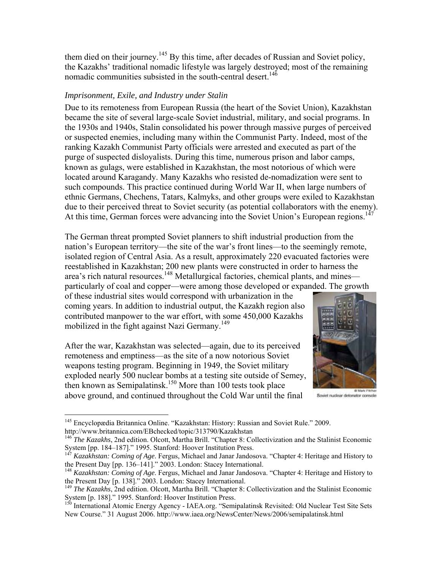them died on their journey.<sup>145</sup> By this time, after decades of Russian and Soviet policy, the Kazakhs' traditional nomadic lifestyle was largely destroyed; most of the remaining nomadic communities subsisted in the south-central desert.<sup>146</sup>

#### *Imprisonment, Exile, and Industry under Stalin*

Due to its remoteness from European Russia (the heart of the Soviet Union), Kazakhstan became the site of several large-scale Soviet industrial, military, and social programs. In the 1930s and 1940s, Stalin consolidated his power through massive purges of perceived or suspected enemies, including many within the Communist Party. Indeed, most of the ranking Kazakh Communist Party officials were arrested and executed as part of the purge of suspected disloyalists. During this time, numerous prison and labor camps, known as gulags, were established in Kazakhstan, the most notorious of which were located around Karagandy. Many Kazakhs who resisted de-nomadization were sent to such compounds. This practice continued during World War II, when large numbers of ethnic Germans, Chechens, Tatars, Kalmyks, and other groups were exiled to Kazakhstan due to their perceived threat to Soviet security (as potential collaborators with the enemy). At this time, German forces were advancing into the Soviet Union's European regions.<sup>147</sup>

The German threat prompted Soviet planners to shift industrial production from the nation's European territory—the site of the war's front lines—to the seemingly remote, isolated region of Central Asia. As a result, approximately 220 evacuated factories were reestablished in Kazakhstan; 200 new plants were constructed in order to harness the area's rich natural resources.<sup>148</sup> Metallurgical factories, chemical plants, and mines particularly of coal and copper—were among those developed or expanded. The growth

of these industrial sites would correspond with urbanization in the coming years. In addition to industrial output, the Kazakh region also contributed manpower to the war effort, with some 450,000 Kazakhs mobilized in the fight against Nazi Germany.<sup>149</sup>

After the war, Kazakhstan was selected—again, due to its perceived remoteness and emptiness—as the site of a now notorious Soviet weapons testing program. Beginning in 1949, the Soviet military exploded nearly 500 nuclear bombs at a testing site outside of Semey, then known as Semipalatinsk.<sup>150</sup> More than 100 tests took place above ground, and continued throughout the Cold War until the final



@ Mark Pitch Soviet nuclear detonator console

<sup>&</sup>lt;sup>145</sup> Encyclopædia Britannica Online. "Kazakhstan: History: Russian and Soviet Rule." 2009. http://www.britannica.com/EBchecked/topic/313790/Kazakhstan

<sup>&</sup>lt;sup>146</sup> *The Kazakhs*, 2nd edition. Olcott, Martha Brill. "Chapter 8: Collectivization and the Stalinist Economic System [pp. 184–187]." 1995. Stanford: Hoover Institution Press.

<sup>&</sup>lt;sup>147</sup> *Kazakhstan: Coming of Age*. Fergus, Michael and Janar Jandosova. "Chapter 4: Heritage and History to the Present Day [pp. 136–141]." 2003. London: Stacey International.

<sup>&</sup>lt;sup>148</sup> *Kazakhstan: Coming of Age*. Fergus, Michael and Janar Jandosova. "Chapter 4: Heritage and History to the Present Day [p. 138]." 2003. London: Stacey International. 149 *The Kazakhs*, 2nd edition. Olcott, Martha Brill. "Chapter 8: Collectivization and the Stalinist Economic

System [p. 188]." 1995. Stanford: Hoover Institution Press.

<sup>150</sup> International Atomic Energy Agency - IAEA.org. "Semipalatinsk Revisited: Old Nuclear Test Site Sets New Course." 31 August 2006. http://www.iaea.org/NewsCenter/News/2006/semipalatinsk.html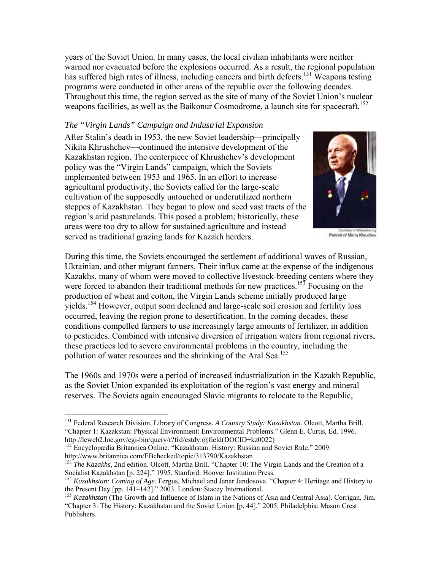years of the Soviet Union. In many cases, the local civilian inhabitants were neither warned nor evacuated before the explosions occurred. As a result, the regional population has suffered high rates of illness, including cancers and birth defects.<sup>151</sup> Weapons testing programs were conducted in other areas of the republic over the following decades. Throughout this time, the region served as the site of many of the Soviet Union's nuclear weapons facilities, as well as the Baikonur Cosmodrome, a launch site for spacecraft.<sup>152</sup>

#### *The "Virgin Lands" Campaign and Industrial Expansion*

After Stalin's death in 1953, the new Soviet leadership—principally Nikita Khrushchev—continued the intensive development of the Kazakhstan region. The centerpiece of Khrushchev's development policy was the "Virgin Lands" campaign, which the Soviets implemented between 1953 and 1965. In an effort to increase agricultural productivity, the Soviets called for the large-scale cultivation of the supposedly untouched or underutilized northern steppes of Kazakhstan. They began to plow and seed vast tracts of the region's arid pasturelands. This posed a problem; historically, these areas were too dry to allow for sustained agriculture and instead served as traditional grazing lands for Kazakh herders.



Portrait of Nikita Khruchev

During this time, the Soviets encouraged the settlement of additional waves of Russian, Ukrainian, and other migrant farmers. Their influx came at the expense of the indigenous Kazakhs, many of whom were moved to collective livestock-breeding centers where they were forced to abandon their traditional methods for new practices.<sup>153</sup> Focusing on the production of wheat and cotton, the Virgin Lands scheme initially produced large yields.<sup>154</sup> However, output soon declined and large-scale soil erosion and fertility loss occurred, leaving the region prone to desertification. In the coming decades, these conditions compelled farmers to use increasingly large amounts of fertilizer, in addition to pesticides. Combined with intensive diversion of irrigation waters from regional rivers, these practices led to severe environmental problems in the country, including the pollution of water resources and the shrinking of the Aral Sea.<sup>155</sup>

The 1960s and 1970s were a period of increased industrialization in the Kazakh Republic, as the Soviet Union expanded its exploitation of the region's vast energy and mineral reserves. The Soviets again encouraged Slavic migrants to relocate to the Republic,

<sup>151</sup> Federal Research Division, Library of Congress. *A Country Study: Kazakhstan*. Olcott, Martha Brill. "Chapter 1: Kazakstan: Physical Environment: Environmental Problems." Glenn E. Curtis, Ed. 1996. http://lcweb2.loc.gov/cgi-bin/query/r?frd/cstdy:@field(DOCID+kz0022)

<sup>&</sup>lt;sup>152</sup> Encyclopædia Britannica Online. "Kazakhstan: History: Russian and Soviet Rule." 2009. http://www.britannica.com/EBchecked/topic/313790/Kazakhstan

<sup>&</sup>lt;sup>5</sup> *The Kazakhs*, 2nd edition. Olcott, Martha Brill. "Chapter 10: The Virgin Lands and the Creation of a Socialist Kazakhstan [p. 224]." 1995. Stanford: Hoover Institution Press.

<sup>&</sup>lt;sup>154</sup> *Kazakhstan: Coming of Age*. Fergus, Michael and Janar Jandosova. "Chapter 4: Heritage and History to the Present Day [pp. 141–142]." 2003. London: Stacey International.

<sup>&</sup>lt;sup>155</sup> *Kazakhstan* (The Growth and Influence of Islam in the Nations of Asia and Central Asia). Corrigan, Jim. "Chapter 3: The History: Kazakhstan and the Soviet Union [p. 44]." 2005. Philadelphia: Mason Crest Publishers.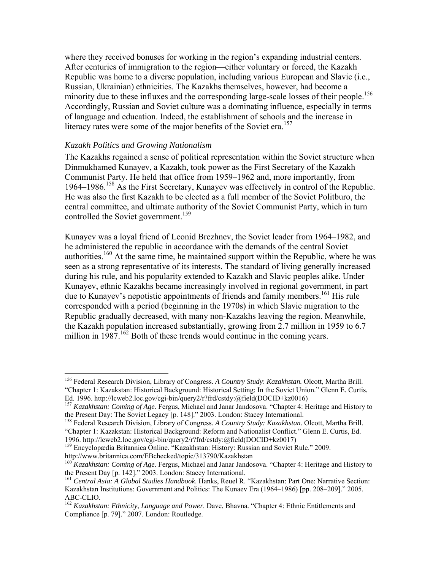where they received bonuses for working in the region's expanding industrial centers. After centuries of immigration to the region—either voluntary or forced, the Kazakh Republic was home to a diverse population, including various European and Slavic (i.e., Russian, Ukrainian) ethnicities. The Kazakhs themselves, however, had become a minority due to these influxes and the corresponding large-scale losses of their people.<sup>156</sup> Accordingly, Russian and Soviet culture was a dominating influence, especially in terms of language and education. Indeed, the establishment of schools and the increase in literacy rates were some of the major benefits of the Soviet era.<sup>157</sup>

#### *Kazakh Politics and Growing Nationalism*

1

The Kazakhs regained a sense of political representation within the Soviet structure when Dinmukhamed Kunayev, a Kazakh, took power as the First Secretary of the Kazakh Communist Party. He held that office from 1959–1962 and, more importantly, from 1964–1986.158 As the First Secretary, Kunayev was effectively in control of the Republic. He was also the first Kazakh to be elected as a full member of the Soviet Politburo, the central committee, and ultimate authority of the Soviet Communist Party, which in turn controlled the Soviet government.<sup>159</sup>

Kunayev was a loyal friend of Leonid Brezhnev, the Soviet leader from 1964–1982, and he administered the republic in accordance with the demands of the central Soviet authorities.<sup>160</sup> At the same time, he maintained support within the Republic, where he was seen as a strong representative of its interests. The standard of living generally increased during his rule, and his popularity extended to Kazakh and Slavic peoples alike. Under Kunayev, ethnic Kazakhs became increasingly involved in regional government, in part due to Kunayev's nepotistic appointments of friends and family members.<sup>161</sup> His rule corresponded with a period (beginning in the 1970s) in which Slavic migration to the Republic gradually decreased, with many non-Kazakhs leaving the region. Meanwhile, the Kazakh population increased substantially, growing from 2.7 million in 1959 to 6.7 million in  $1987$ <sup>162</sup> Both of these trends would continue in the coming years.

<sup>156</sup> Federal Research Division, Library of Congress. *A Country Study*: *Kazakhstan.* Olcott, Martha Brill. "Chapter 1: Kazakstan: Historical Background: Historical Setting: In the Soviet Union." Glenn E. Curtis,

<sup>&</sup>lt;sup>157</sup> Kazakhstan: Coming of Age. Fergus, Michael and Janar Jandosova. "Chapter 4: Heritage and History to the Present Day: The Soviet Legacy [p. 148]." 2003. London: Stacey International. 158 Federal Research Division, Library of Congress. *A Country Study: Kazakhstan*. Olcott, Martha Brill.

<sup>&</sup>quot;Chapter 1: Kazakstan: Historical Background: Reform and Nationalist Conflict." Glenn E. Curtis, Ed. 1996. http://lcweb2.loc.gov/cgi-bin/query2/r?frd/cstdy:@field(DOCID+kz0017)

<sup>&</sup>lt;sup>159</sup> Encyclopædia Britannica Online. "Kazakhstan: History: Russian and Soviet Rule." 2009. http://www.britannica.com/EBchecked/topic/313790/Kazakhstan

<sup>&</sup>lt;sup>160</sup> *Kazakhstan: Coming of Age*. Fergus, Michael and Janar Jandosova. "Chapter 4: Heritage and History to the Present Day [p. 142]." 2003. London: Stacey International.

<sup>&</sup>lt;sup>161</sup> Central Asia: A Global Studies Handbook. Hanks, Reuel R. "Kazakhstan: Part One: Narrative Section: Kazakhstan Institutions: Government and Politics: The Kunaev Era (1964–1986) [pp. 208–209]." 2005. ABC-CLIO.

<sup>162</sup> *Kazakhstan: Ethnicity, Language and Power*. Dave, Bhavna. "Chapter 4: Ethnic Entitlements and Compliance [p. 79]." 2007. London: Routledge.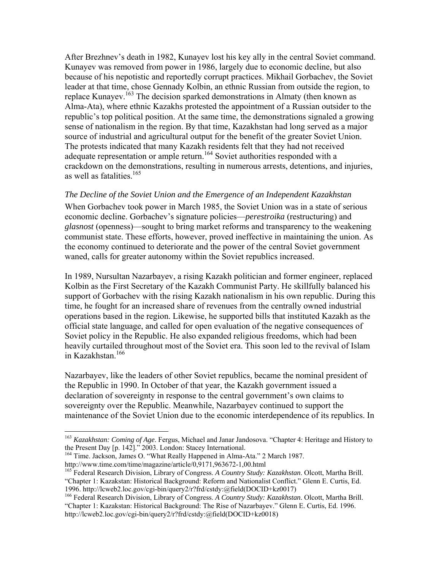After Brezhnev's death in 1982, Kunayev lost his key ally in the central Soviet command. Kunayev was removed from power in 1986, largely due to economic decline, but also because of his nepotistic and reportedly corrupt practices. Mikhail Gorbachev, the Soviet leader at that time, chose Gennady Kolbin, an ethnic Russian from outside the region, to replace Kunayev.<sup>163</sup> The decision sparked demonstrations in Almaty (then known as Alma-Ata), where ethnic Kazakhs protested the appointment of a Russian outsider to the republic's top political position. At the same time, the demonstrations signaled a growing sense of nationalism in the region. By that time, Kazakhstan had long served as a major source of industrial and agricultural output for the benefit of the greater Soviet Union. The protests indicated that many Kazakh residents felt that they had not received adequate representation or ample return.<sup>164</sup> Soviet authorities responded with a crackdown on the demonstrations, resulting in numerous arrests, detentions, and injuries, as well as fatalities.<sup>165</sup>

#### *The Decline of the Soviet Union and the Emergence of an Independent Kazakhstan*

When Gorbachev took power in March 1985, the Soviet Union was in a state of serious economic decline. Gorbachev's signature policies—*perestroika* (restructuring) and *glasnost* (openness)—sought to bring market reforms and transparency to the weakening communist state. These efforts, however, proved ineffective in maintaining the union. As the economy continued to deteriorate and the power of the central Soviet government waned, calls for greater autonomy within the Soviet republics increased.

In 1989, Nursultan Nazarbayev, a rising Kazakh politician and former engineer, replaced Kolbin as the First Secretary of the Kazakh Communist Party. He skillfully balanced his support of Gorbachev with the rising Kazakh nationalism in his own republic. During this time, he fought for an increased share of revenues from the centrally owned industrial operations based in the region. Likewise, he supported bills that instituted Kazakh as the official state language, and called for open evaluation of the negative consequences of Soviet policy in the Republic. He also expanded religious freedoms, which had been heavily curtailed throughout most of the Soviet era. This soon led to the revival of Islam in Kazakhstan.166

Nazarbayev, like the leaders of other Soviet republics, became the nominal president of the Republic in 1990. In October of that year, the Kazakh government issued a declaration of sovereignty in response to the central government's own claims to sovereignty over the Republic. Meanwhile, Nazarbayev continued to support the maintenance of the Soviet Union due to the economic interdependence of its republics. In

1

<sup>&</sup>lt;sup>163</sup> *Kazakhstan: Coming of Age*. Fergus, Michael and Janar Jandosova. "Chapter 4: Heritage and History to the Present Day [p. 142]." 2003. London: Stacey International.

<sup>&</sup>lt;sup>164</sup> Time. Jackson, James O. "What Really Happened in Alma-Ata." 2 March 1987.<br>http://www.time.com/time/magazine/article/0,9171,963672-1,00.html

<sup>&</sup>lt;sup>165</sup> Federal Research Division, Library of Congress. *A Country Study: Kazakhstan*. Olcott, Martha Brill. "Chapter 1: Kazakstan: Historical Background: Reform and Nationalist Conflict." Glenn E. Curtis, Ed. 1996. http://lcweb2.loc.gov/cgi-bin/query2/r?frd/cstdy:@field(DOCID+kz0017)

<sup>166</sup> Federal Research Division, Library of Congress. *A Country Study: Kazakhstan*. Olcott, Martha Brill. "Chapter 1: Kazakstan: Historical Background: The Rise of Nazarbayev." Glenn E. Curtis, Ed. 1996. http://lcweb2.loc.gov/cgi-bin/query2/r?frd/cstdy:@field(DOCID+kz0018)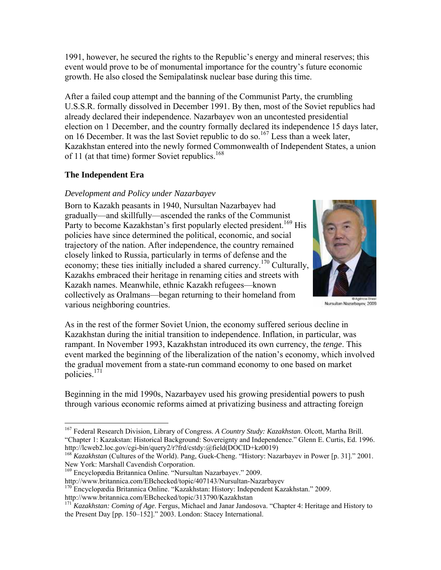1991, however, he secured the rights to the Republic's energy and mineral reserves; this event would prove to be of monumental importance for the country's future economic growth. He also closed the Semipalatinsk nuclear base during this time.

After a failed coup attempt and the banning of the Communist Party, the crumbling U.S.S.R. formally dissolved in December 1991. By then, most of the Soviet republics had already declared their independence. Nazarbayev won an uncontested presidential election on 1 December, and the country formally declared its independence 15 days later, on 16 December. It was the last Soviet republic to do so.<sup>167</sup> Less than a week later, Kazakhstan entered into the newly formed Commonwealth of Independent States, a union of 11 (at that time) former Soviet republics.<sup>168</sup>

# **The Independent Era**

 $\overline{a}$ 

# *Development and Policy under Nazarbayev*

Born to Kazakh peasants in 1940, Nursultan Nazarbayev had gradually—and skillfully—ascended the ranks of the Communist Party to become Kazakhstan's first popularly elected president.<sup>169</sup> His policies have since determined the political, economic, and social trajectory of the nation. After independence, the country remained closely linked to Russia, particularly in terms of defense and the economy; these ties initially included a shared currency.<sup>170</sup> Culturally, Kazakhs embraced their heritage in renaming cities and streets with Kazakh names. Meanwhile, ethnic Kazakh refugees—known collectively as Oralmans—began returning to their homeland from various neighboring countries.



Nursultan Nazarbayev, 2009

As in the rest of the former Soviet Union, the economy suffered serious decline in Kazakhstan during the initial transition to independence. Inflation, in particular, was rampant. In November 1993, Kazakhstan introduced its own currency, the *tenge*. This event marked the beginning of the liberalization of the nation's economy, which involved the gradual movement from a state-run command economy to one based on market policies.171

Beginning in the mid 1990s, Nazarbayev used his growing presidential powers to push through various economic reforms aimed at privatizing business and attracting foreign

169 Encyclopædia Britannica Online. "Nursultan Nazarbayev." 2009.

http://www.britannica.com/EBchecked/topic/407143/Nursultan-Nazarbayev 170 Encyclopædia Britannica Online. "Kazakhstan: History: Independent Kazakhstan." 2009.

<sup>167</sup> Federal Research Division, Library of Congress. *A Country Study: Kazakhstan*. Olcott, Martha Brill. "Chapter 1: Kazakstan: Historical Background: Sovereignty and Independence." Glenn E. Curtis, Ed. 1996. http://lcweb2.loc.gov/cgi-bin/query2/r?frd/cstdy:@field(DOCID+kz0019)

<sup>&</sup>lt;sup>168</sup> *Kazakhstan* (Cultures of the World). Pang, Guek-Cheng. "History: Nazarbayev in Power [p. 31]." 2001. New York: Marshall Cavendish Corporation.

http://www.britannica.com/EBchecked/topic/313790/Kazakhstan

<sup>&</sup>lt;sup>171</sup> *Kazakhstan: Coming of Age*. Fergus, Michael and Janar Jandosova. "Chapter 4: Heritage and History to the Present Day [pp. 150–152]." 2003. London: Stacey International.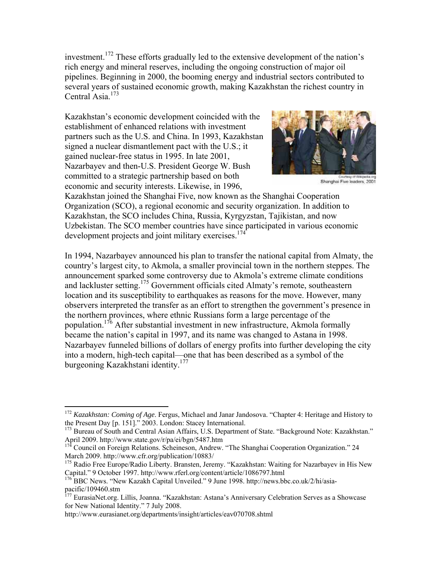investment.172 These efforts gradually led to the extensive development of the nation's rich energy and mineral reserves, including the ongoing construction of major oil pipelines. Beginning in 2000, the booming energy and industrial sectors contributed to several years of sustained economic growth, making Kazakhstan the richest country in Central Asia.<sup>173</sup>

Kazakhstan's economic development coincided with the establishment of enhanced relations with investment partners such as the U.S. and China. In 1993, Kazakhstan signed a nuclear dismantlement pact with the U.S.; it gained nuclear-free status in 1995. In late 2001, Nazarbayev and then-U.S. President George W. Bush committed to a strategic partnership based on both economic and security interests. Likewise, in 1996,



Shanghai Five leaders, 2001

Kazakhstan joined the Shanghai Five, now known as the Shanghai Cooperation Organization (SCO), a regional economic and security organization. In addition to Kazakhstan, the SCO includes China, Russia, Kyrgyzstan, Tajikistan, and now Uzbekistan. The SCO member countries have since participated in various economic development projects and joint military exercises.<sup>174</sup>

In 1994, Nazarbayev announced his plan to transfer the national capital from Almaty, the country's largest city, to Akmola, a smaller provincial town in the northern steppes. The announcement sparked some controversy due to Akmola's extreme climate conditions and lackluster setting.<sup>175</sup> Government officials cited Almaty's remote, southeastern location and its susceptibility to earthquakes as reasons for the move. However, many observers interpreted the transfer as an effort to strengthen the government's presence in the northern provinces, where ethnic Russians form a large percentage of the population.<sup>176</sup> After substantial investment in new infrastructure, Akmola formally became the nation's capital in 1997, and its name was changed to Astana in 1998. Nazarbayev funneled billions of dollars of energy profits into further developing the city into a modern, high-tech capital—one that has been described as a symbol of the burgeoning Kazakhstani identity.<sup>177</sup>

<sup>172</sup> *Kazakhstan: Coming of Age*. Fergus, Michael and Janar Jandosova. "Chapter 4: Heritage and History to

the Present Day [p. 151]." 2003. London: Stacey International.<br>
<sup>173</sup> Bureau of South and Central Asian Affairs, U.S. Department of State. "Background Note: Kazakhstan."<br>
April 2009. http://www.state.gov/r/pa/ei/bgn/5487.h

Kouncil on Foreign Relations. Scheineson, Andrew. "The Shanghai Cooperation Organization." 24 March 2009. http://www.cfr.org/publication/10883/

<sup>&</sup>lt;sup>175</sup> Radio Free Europe/Radio Liberty. Bransten, Jeremy. "Kazakhstan: Waiting for Nazarbayev in His New Capital." 9 October 1997. http://www.rferl.org/content/article/1086797.html

<sup>&</sup>lt;sup>176</sup> BBC News. "New Kazakh Capital Unveiled." 9 June 1998. http://news.bbc.co.uk/2/hi/asiapacific/109460.stm

<sup>&</sup>lt;sup>177</sup> EurasiaNet.org. Lillis, Joanna. "Kazakhstan: Astana's Anniversary Celebration Serves as a Showcase for New National Identity." 7 July 2008.

http://www.eurasianet.org/departments/insight/articles/eav070708.shtml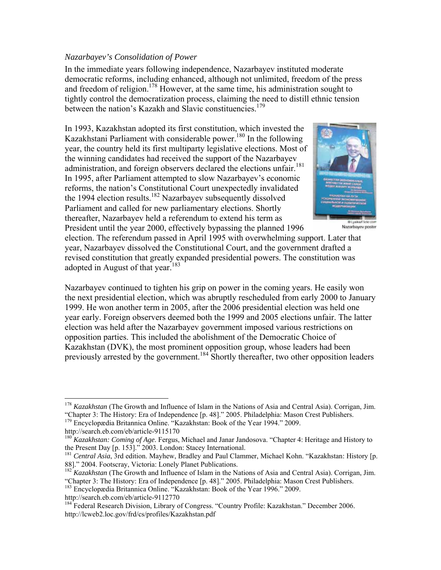#### *Nazarbayev's Consolidation of Power*

In the immediate years following independence, Nazarbayev instituted moderate democratic reforms, including enhanced, although not unlimited, freedom of the press and freedom of religion.<sup>178</sup> However, at the same time, his administration sought to tightly control the democratization process, claiming the need to distill ethnic tension between the nation's Kazakh and Slavic constituencies.<sup>179</sup>

In 1993, Kazakhstan adopted its first constitution, which invested the Kazakhstani Parliament with considerable power.<sup>180</sup> In the following year, the country held its first multiparty legislative elections. Most of the winning candidates had received the support of the Nazarbayev administration, and foreign observers declared the elections unfair.<sup>181</sup> In 1995, after Parliament attempted to slow Nazarbayev's economic reforms, the nation's Constitutional Court unexpectedly invalidated the 1994 election results.<sup>182</sup> Nazarbayev subsequently dissolved Parliament and called for new parliamentary elections. Shortly thereafter, Nazarbayev held a referendum to extend his term as President until the year 2000, effectively bypassing the planned 1996



Nazarbayev poster

election. The referendum passed in April 1995 with overwhelming support. Later that year, Nazarbayev dissolved the Constitutional Court, and the government drafted a revised constitution that greatly expanded presidential powers. The constitution was adopted in August of that year. $183$ 

Nazarbayev continued to tighten his grip on power in the coming years. He easily won the next presidential election, which was abruptly rescheduled from early 2000 to January 1999. He won another term in 2005, after the 2006 presidential election was held one year early. Foreign observers deemed both the 1999 and 2005 elections unfair. The latter election was held after the Nazarbayev government imposed various restrictions on opposition parties. This included the abolishment of the Democratic Choice of Kazakhstan (DVK), the most prominent opposition group, whose leaders had been previously arrested by the government.<sup>184</sup> Shortly thereafter, two other opposition leaders

<sup>178</sup> *Kazakhstan* (The Growth and Influence of Islam in the Nations of Asia and Central Asia). Corrigan, Jim. "Chapter 3: The History: Era of Independence [p. 48]." 2005. Philadelphia: Mason Crest Publishers. <sup>179</sup> Encyclopædia Britannica Online. "Kazakhstan: Book of the Year 1994." 2009.

http://search.eb.com/eb/article-9115170

<sup>&</sup>lt;sup>180</sup> *Kazakhstan: Coming of Age*. Fergus, Michael and Janar Jandosova. "Chapter 4: Heritage and History to the Present Day [p. 153]." 2003. London: Stacey International.

<sup>&</sup>lt;sup>181</sup> Central Asia, 3rd edition. Mayhew, Bradley and Paul Clammer, Michael Kohn. "Kazakhstan: History [p. 88]." 2004. Footscray, Victoria: Lonely Planet Publications.

<sup>&</sup>lt;sup>182</sup> *Kazakhstan* (The Growth and Influence of Islam in the Nations of Asia and Central Asia). Corrigan, Jim. "Chapter 3: The History: Era of Independence [p. 48]." 2005. Philadelphia: Mason Crest Publishers.

<sup>&</sup>lt;sup>183</sup> Encyclopædia Britannica Online. "Kazakhstan: Book of the Year 1996." 2009.

http://search.eb.com/eb/article-9112770

<sup>&</sup>lt;sup>184</sup> Federal Research Division, Library of Congress. "Country Profile: Kazakhstan." December 2006. http://lcweb2.loc.gov/frd/cs/profiles/Kazakhstan.pdf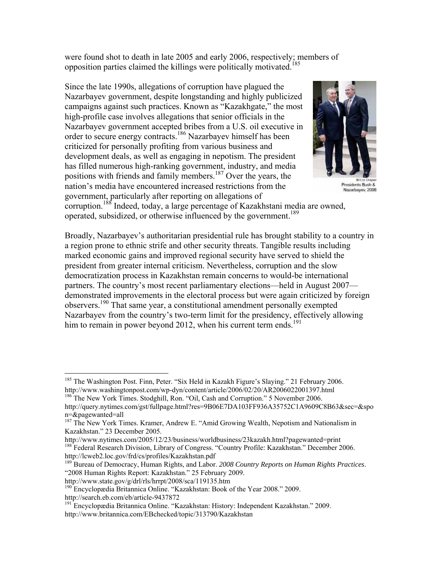were found shot to death in late 2005 and early 2006, respectively; members of opposition parties claimed the killings were politically motivated.185

Since the late 1990s, allegations of corruption have plagued the Nazarbayev government, despite longstanding and highly publicized campaigns against such practices. Known as "Kazakhgate," the most high-profile case involves allegations that senior officials in the Nazarbayev government accepted bribes from a U.S. oil executive in order to secure energy contracts.<sup>186</sup> Nazarbayev himself has been criticized for personally profiting from various business and development deals, as well as engaging in nepotism. The president has filled numerous high-ranking government, industry, and media positions with friends and family members.187 Over the years, the nation's media have encountered increased restrictions from the government, particularly after reporting on allegations of



Presidents Bush & Nazarbayev, 2006

corruption.<sup>188</sup> Indeed, today, a large percentage of Kazakhstani media are owned, operated, subsidized, or otherwise influenced by the government.<sup>189</sup>

Broadly, Nazarbayev's authoritarian presidential rule has brought stability to a country in a region prone to ethnic strife and other security threats. Tangible results including marked economic gains and improved regional security have served to shield the president from greater internal criticism. Nevertheless, corruption and the slow democratization process in Kazakhstan remain concerns to would-be international partners. The country's most recent parliamentary elections—held in August 2007 demonstrated improvements in the electoral process but were again criticized by foreign observers.190 That same year, a constitutional amendment personally exempted Nazarbayev from the country's two-term limit for the presidency, effectively allowing him to remain in power beyond 2012, when his current term ends.<sup>191</sup>

<sup>&</sup>lt;sup>185</sup> The Washington Post. Finn, Peter. "Six Held in Kazakh Figure's Slaying." 21 February 2006. http://www.washingtonpost.com/wp-dyn/content/article/2006/02/20/AR2006022001397.html 186 The New York Times. Stodghill, Ron. "Oil, Cash and Corruption." 5 November 2006.

http://query.nytimes.com/gst/fullpage.html?res=9B06E7DA103FF936A35752C1A9609C8B63&sec=&spo n=&pagewanted=all

<sup>&</sup>lt;sup>187</sup> The New York Times. Kramer, Andrew E. "Amid Growing Wealth, Nepotism and Nationalism in

Kazakhstan." 23 December 2005.<br>http://www.nytimes.com/2005/12/23/business/worldbusiness/23kazakh.html?pagewanted=print <sup>188</sup> Federal Research Division, Library of Congress. "Country Profile: Kazakhstan." December 2006.

http://lcweb2.loc.gov/frd/cs/profiles/Kazakhstan.pdf<br><sup>189</sup> Bureau of Democracy, Human Rights, and Labor. *2008 Country Reports on Human Rights Practices*. "2008 Human Rights Report: Kazakhstan." 25 February 2009.

http://www.state.gov/g/drl/rls/hrrpt/2008/sca/119135.htm<br><sup>190</sup> Encyclopædia Britannica Online. "Kazakhstan: Book of the Year 2008." 2009. http://search.eb.com/eb/article-9437872

<sup>&</sup>lt;sup>191</sup> Encyclopædia Britannica Online. "Kazakhstan: History: Independent Kazakhstan." 2009. http://www.britannica.com/EBchecked/topic/313790/Kazakhstan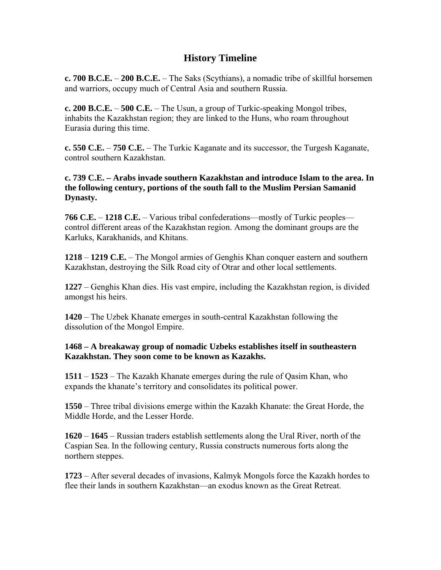# **History Timeline**

**c. 700 B.C.E.** – **200 B.C.E.** – The Saks (Scythians), a nomadic tribe of skillful horsemen and warriors, occupy much of Central Asia and southern Russia.

**c. 200 B.C.E.** – **500 C.E.** – The Usun, a group of Turkic-speaking Mongol tribes, inhabits the Kazakhstan region; they are linked to the Huns, who roam throughout Eurasia during this time.

**c. 550 C.E.** – **750 C.E.** – The Turkic Kaganate and its successor, the Turgesh Kaganate, control southern Kazakhstan.

**c. 739 C.E. – Arabs invade southern Kazakhstan and introduce Islam to the area. In the following century, portions of the south fall to the Muslim Persian Samanid Dynasty.** 

**766 C.E.** – **1218 C.E.** – Various tribal confederations—mostly of Turkic peoples control different areas of the Kazakhstan region. Among the dominant groups are the Karluks, Karakhanids, and Khitans.

**1218** – **1219 C.E.** – The Mongol armies of Genghis Khan conquer eastern and southern Kazakhstan, destroying the Silk Road city of Otrar and other local settlements.

**1227** – Genghis Khan dies. His vast empire, including the Kazakhstan region, is divided amongst his heirs.

**1420** – The Uzbek Khanate emerges in south-central Kazakhstan following the dissolution of the Mongol Empire.

# **1468 – A breakaway group of nomadic Uzbeks establishes itself in southeastern Kazakhstan. They soon come to be known as Kazakhs.**

**1511** – **1523** – The Kazakh Khanate emerges during the rule of Qasim Khan, who expands the khanate's territory and consolidates its political power.

**1550** – Three tribal divisions emerge within the Kazakh Khanate: the Great Horde, the Middle Horde, and the Lesser Horde.

**1620** – **1645** – Russian traders establish settlements along the Ural River, north of the Caspian Sea. In the following century, Russia constructs numerous forts along the northern steppes.

**1723** – After several decades of invasions, Kalmyk Mongols force the Kazakh hordes to flee their lands in southern Kazakhstan—an exodus known as the Great Retreat.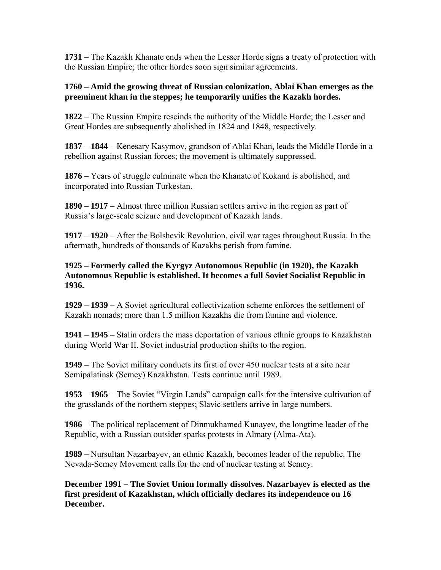**1731** – The Kazakh Khanate ends when the Lesser Horde signs a treaty of protection with the Russian Empire; the other hordes soon sign similar agreements.

#### **1760 – Amid the growing threat of Russian colonization, Ablai Khan emerges as the preeminent khan in the steppes; he temporarily unifies the Kazakh hordes.**

**1822** – The Russian Empire rescinds the authority of the Middle Horde; the Lesser and Great Hordes are subsequently abolished in 1824 and 1848, respectively.

**1837** – **1844** – Kenesary Kasymov, grandson of Ablai Khan, leads the Middle Horde in a rebellion against Russian forces; the movement is ultimately suppressed.

**1876** – Years of struggle culminate when the Khanate of Kokand is abolished, and incorporated into Russian Turkestan.

**1890** – **1917** – Almost three million Russian settlers arrive in the region as part of Russia's large-scale seizure and development of Kazakh lands.

**1917** – **1920** – After the Bolshevik Revolution, civil war rages throughout Russia. In the aftermath, hundreds of thousands of Kazakhs perish from famine.

**1925 – Formerly called the Kyrgyz Autonomous Republic (in 1920), the Kazakh Autonomous Republic is established. It becomes a full Soviet Socialist Republic in 1936.** 

**1929** – **1939** – A Soviet agricultural collectivization scheme enforces the settlement of Kazakh nomads; more than 1.5 million Kazakhs die from famine and violence.

**1941** – **1945** – Stalin orders the mass deportation of various ethnic groups to Kazakhstan during World War II. Soviet industrial production shifts to the region.

**1949** – The Soviet military conducts its first of over 450 nuclear tests at a site near Semipalatinsk (Semey) Kazakhstan. Tests continue until 1989.

**1953** – **1965** – The Soviet "Virgin Lands" campaign calls for the intensive cultivation of the grasslands of the northern steppes; Slavic settlers arrive in large numbers.

**1986** – The political replacement of Dinmukhamed Kunayev, the longtime leader of the Republic, with a Russian outsider sparks protests in Almaty (Alma-Ata).

**1989** – Nursultan Nazarbayev, an ethnic Kazakh, becomes leader of the republic. The Nevada-Semey Movement calls for the end of nuclear testing at Semey.

**December 1991 – The Soviet Union formally dissolves. Nazarbayev is elected as the first president of Kazakhstan, which officially declares its independence on 16 December.**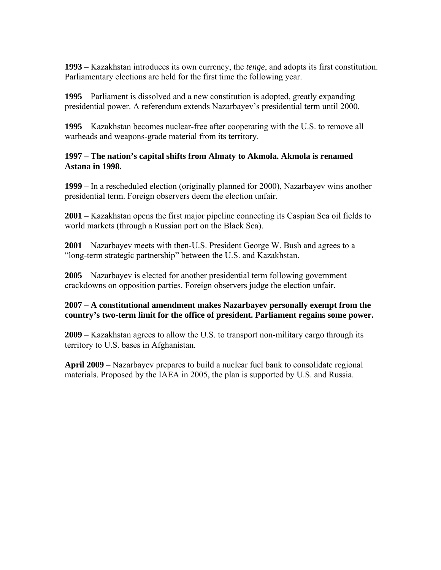**1993** – Kazakhstan introduces its own currency, the *tenge*, and adopts its first constitution. Parliamentary elections are held for the first time the following year.

**1995** – Parliament is dissolved and a new constitution is adopted, greatly expanding presidential power. A referendum extends Nazarbayev's presidential term until 2000.

**1995** – Kazakhstan becomes nuclear-free after cooperating with the U.S. to remove all warheads and weapons-grade material from its territory.

# **1997 – The nation's capital shifts from Almaty to Akmola. Akmola is renamed Astana in 1998.**

**1999** – In a rescheduled election (originally planned for 2000), Nazarbayev wins another presidential term. Foreign observers deem the election unfair.

**2001** – Kazakhstan opens the first major pipeline connecting its Caspian Sea oil fields to world markets (through a Russian port on the Black Sea).

**2001** – Nazarbayev meets with then-U.S. President George W. Bush and agrees to a "long-term strategic partnership" between the U.S. and Kazakhstan.

**2005** – Nazarbayev is elected for another presidential term following government crackdowns on opposition parties. Foreign observers judge the election unfair.

# **2007 – A constitutional amendment makes Nazarbayev personally exempt from the country's two-term limit for the office of president. Parliament regains some power.**

**2009** – Kazakhstan agrees to allow the U.S. to transport non-military cargo through its territory to U.S. bases in Afghanistan.

**April 2009** – Nazarbayev prepares to build a nuclear fuel bank to consolidate regional materials. Proposed by the IAEA in 2005, the plan is supported by U.S. and Russia.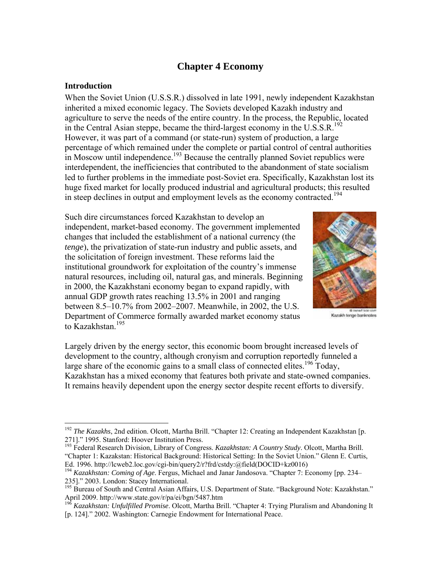# **Chapter 4 Economy**

#### **Introduction**

 $\overline{a}$ 

When the Soviet Union (U.S.S.R.) dissolved in late 1991, newly independent Kazakhstan inherited a mixed economic legacy. The Soviets developed Kazakh industry and agriculture to serve the needs of the entire country. In the process, the Republic, located in the Central Asian steppe, became the third-largest economy in the U.S.S.R.<sup>192</sup> However, it was part of a command (or state-run) system of production, a large percentage of which remained under the complete or partial control of central authorities in Moscow until independence.<sup>193</sup> Because the centrally planned Soviet republics were interdependent, the inefficiencies that contributed to the abandonment of state socialism led to further problems in the immediate post-Soviet era. Specifically, Kazakhstan lost its huge fixed market for locally produced industrial and agricultural products; this resulted in steep declines in output and employment levels as the economy contracted.<sup>194</sup>

Such dire circumstances forced Kazakhstan to develop an independent, market-based economy. The government implemented changes that included the establishment of a national currency (the *tenge*), the privatization of state-run industry and public assets, and the solicitation of foreign investment. These reforms laid the institutional groundwork for exploitation of the country's immense natural resources, including oil, natural gas, and minerals. Beginning in 2000, the Kazakhstani economy began to expand rapidly, with annual GDP growth rates reaching 13.5% in 2001 and ranging between 8.5–10.7% from 2002–2007. Meanwhile, in 2002, the U.S. Department of Commerce formally awarded market economy status to Kazakhstan $195$ 



Kazakh tenge banknotes

Largely driven by the energy sector, this economic boom brought increased levels of development to the country, although cronyism and corruption reportedly funneled a large share of the economic gains to a small class of connected elites.<sup>196</sup> Today, Kazakhstan has a mixed economy that features both private and state-owned companies. It remains heavily dependent upon the energy sector despite recent efforts to diversify.

<sup>&</sup>lt;sup>192</sup> *The Kazakhs*, 2nd edition. Olcott, Martha Brill. "Chapter 12: Creating an Independent Kazakhstan [p. 271]." 1995. Stanford: Hoover Institution Press.

<sup>193</sup> Federal Research Division, Library of Congress. *Kazakhstan: A Country Study*. Olcott, Martha Brill. "Chapter 1: Kazakstan: Historical Background: Historical Setting: In the Soviet Union." Glenn E. Curtis, Ed. 1996. http://lcweb2.loc.gov/cgi-bin/query2/r?frd/cstdy:@field(DOCID+kz0016)

<sup>&</sup>lt;sup>194</sup> Kazakhstan: Coming of Age. Fergus, Michael and Janar Jandosova. "Chapter 7: Economy [pp. 234– 235]." 2003. London: Stacey International.

<sup>195</sup> Bureau of South and Central Asian Affairs, U.S. Department of State. "Background Note: Kazakhstan."<br>April 2009. http://www.state.gov/r/pa/ei/bgn/5487.htm

<sup>&</sup>lt;sup>196</sup> Kazakhstan: Unfulfilled Promise. Olcott, Martha Brill. "Chapter 4: Trying Pluralism and Abandoning It [p. 124]." 2002. Washington: Carnegie Endowment for International Peace.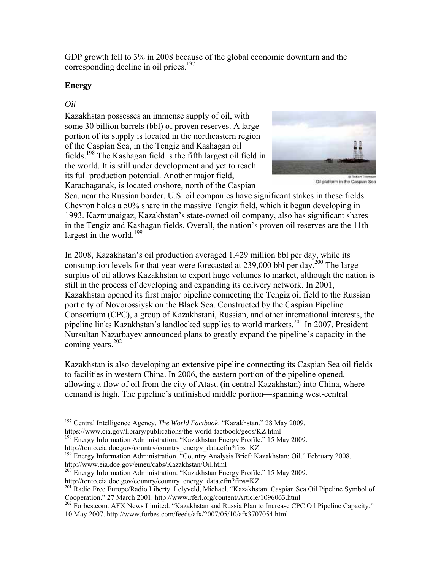GDP growth fell to 3% in 2008 because of the global economic downturn and the corresponding decline in oil prices.<sup>197</sup>

# **Energy**

# *Oil*

Kazakhstan possesses an immense supply of oil, with some 30 billion barrels (bbl) of proven reserves. A large portion of its supply is located in the northeastern region of the Caspian Sea, in the Tengiz and Kashagan oil fields.<sup>198</sup> The Kashagan field is the fifth largest oil field in the world. It is still under development and yet to reach its full production potential. Another major field, Karachaganak, is located onshore, north of the Caspian



Oil platform in the Caspian Sea

Sea, near the Russian border. U.S. oil companies have significant stakes in these fields. Chevron holds a 50% share in the massive Tengiz field, which it began developing in 1993. Kazmunaigaz, Kazakhstan's state-owned oil company, also has significant shares in the Tengiz and Kashagan fields. Overall, the nation's proven oil reserves are the 11th largest in the world.<sup>199</sup>

In 2008, Kazakhstan's oil production averaged 1.429 million bbl per day, while its consumption levels for that year were forecasted at 239,000 bbl per day.<sup>200</sup> The large surplus of oil allows Kazakhstan to export huge volumes to market, although the nation is still in the process of developing and expanding its delivery network. In 2001, Kazakhstan opened its first major pipeline connecting the Tengiz oil field to the Russian port city of Novorossiysk on the Black Sea. Constructed by the Caspian Pipeline Consortium (CPC), a group of Kazakhstani, Russian, and other international interests, the pipeline links Kazakhstan's landlocked supplies to world markets.201 In 2007, President Nursultan Nazarbayev announced plans to greatly expand the pipeline's capacity in the coming years.<sup>202</sup>

Kazakhstan is also developing an extensive pipeline connecting its Caspian Sea oil fields to facilities in western China. In 2006, the eastern portion of the pipeline opened, allowing a flow of oil from the city of Atasu (in central Kazakhstan) into China, where demand is high. The pipeline's unfinished middle portion—spanning west-central

Cooperation. Extern 2002. Http://www.rferl.org/content/Article/1096063.html 2022 Forbes.com. AFX News Limited. "Kazakhstan and Russia Plan to Increase CPC Oil Pipeline Capacity." 10 May 2007. http://www.forbes.com/feeds/afx/2007/05/10/afx3707054.html

<sup>1</sup> 197 Central Intelligence Agency. *The World Factbook*. "Kazakhstan." 28 May 2009.

https://www.cia.gov/library/publications/the-world-factbook/geos/KZ.html<br><sup>198</sup> Energy Information Administration. "Kazakhstan Energy Profile." 15 May 2009.<br>http://tonto.eia.doe.gov/country/country energy data.cfm?fips=KZ

<sup>&</sup>lt;sup>199</sup> Energy Information Administration. "Country Analysis Brief: Kazakhstan: Oil." February 2008.<br>http://www.eia.doe.gov/emeu/cabs/Kazakhstan/Oil.html

<sup>&</sup>lt;sup>200</sup> Energy Information Administration. "Kazakhstan Energy Profile." 15 May 2009.<br>http://tonto.eia.doe.gov/country/country\_energy\_data.cfm?fips=KZ

<sup>&</sup>lt;sup>201</sup> Radio Free Europe/Radio Liberty. Lelyveld, Michael. "Kazakhstan: Caspian Sea Oil Pipeline Symbol of Cooperation." 27 March 2001. http://www.rferl.org/content/Article/1096063.html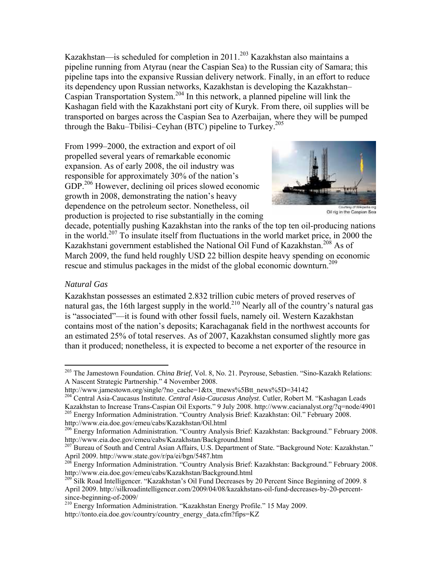Kazakhstan—is scheduled for completion in 2011.<sup>203</sup> Kazakhstan also maintains a pipeline running from Atyrau (near the Caspian Sea) to the Russian city of Samara; this pipeline taps into the expansive Russian delivery network. Finally, in an effort to reduce its dependency upon Russian networks, Kazakhstan is developing the Kazakhstan– Caspian Transportation System.204 In this network, a planned pipeline will link the Kashagan field with the Kazakhstani port city of Kuryk. From there, oil supplies will be transported on barges across the Caspian Sea to Azerbaijan, where they will be pumped through the Baku–Tbilisi–Ceyhan (BTC) pipeline to Turkey.<sup>205</sup>

From 1999–2000, the extraction and export of oil propelled several years of remarkable economic expansion. As of early 2008, the oil industry was responsible for approximately 30% of the nation's GDP.<sup>206</sup> However, declining oil prices slowed economic growth in 2008, demonstrating the nation's heavy dependence on the petroleum sector. Nonetheless, oil production is projected to rise substantially in the coming



Oil rig in the Caspian Sea

decade, potentially pushing Kazakhstan into the ranks of the top ten oil-producing nations in the world.<sup>207</sup> To insulate itself from fluctuations in the world market price, in 2000 the Kazakhstani government established the National Oil Fund of Kazakhstan.<sup>208</sup> As of March 2009, the fund held roughly USD 22 billion despite heavy spending on economic rescue and stimulus packages in the midst of the global economic downturn.<sup>209</sup>

#### *Natural Gas*

1

Kazakhstan possesses an estimated 2.832 trillion cubic meters of proved reserves of natural gas, the 16th largest supply in the world.<sup>210</sup> Nearly all of the country's natural gas is "associated"—it is found with other fossil fuels, namely oil. Western Kazakhstan contains most of the nation's deposits; Karachaganak field in the northwest accounts for an estimated 25% of total reserves. As of 2007, Kazakhstan consumed slightly more gas than it produced; nonetheless, it is expected to become a net exporter of the resource in

<sup>203</sup> The Jamestown Foundation. *China Brief*, Vol. 8, No. 21. Peyrouse, Sebastien. "Sino-Kazakh Relations: A Nascent Strategic Partnership." 4 November 2008.<br>http://www.jamestown.org/single/?no cache=1&tx ttnews%5Btt news%5D=34142

<sup>&</sup>lt;sup>204</sup> Central Asia-Caucasus Institute. *Central Asia-Caucasus Analyst*. Cutler, Robert M. "Kashagan Leads Kazakhstan to Increase Trans-Caspian Oil Exports." 9 July 2008. http://www.cacianalyst.org/?q=node/4901 <sup>205</sup> Energy Information Administration. "Country Analysis Brief: Kazakhstan: Oil." February 2008.

http://www.eia.doe.gov/emeu/cabs/Kazakhstan/Oil.html 206 Energy Information Administration. "Country Analysis Brief: Kazakhstan: Background." February 2008. http://www.eia.doe.gov/emeu/cabs/Kazakhstan/Background.html

<sup>&</sup>lt;sup>207</sup> Bureau of South and Central Asian Affairs, U.S. Department of State. "Background Note: Kazakhstan." April 2009. http://www.state.gov/r/pa/ei/bgn/5487.htm<br><sup>208</sup> Energy Information Administration. "Country Analysis Brief: Kazakhstan: Background." February 2008.

http://www.eia.doe.gov/emeu/cabs/Kazakhstan/Background.html

<sup>&</sup>lt;sup>209</sup> Silk Road Intelligencer. "Kazakhstan's Oil Fund Decreases by 20 Percent Since Beginning of 2009. 8 April 2009. http://silkroadintelligencer.com/2009/04/08/kazakhstans-oil-fund-decreases-by-20-percentsince-beginning-of-2009/

<sup>210</sup> Energy Information Administration. "Kazakhstan Energy Profile." 15 May 2009. http://tonto.eia.doe.gov/country/country\_energy\_data.cfm?fips=KZ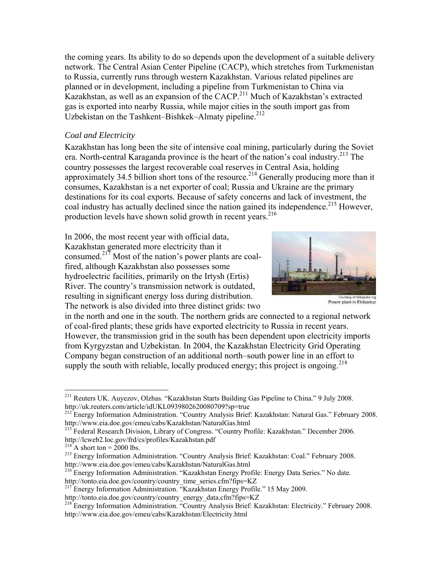the coming years. Its ability to do so depends upon the development of a suitable delivery network. The Central Asian Center Pipeline (CACP), which stretches from Turkmenistan to Russia, currently runs through western Kazakhstan. Various related pipelines are planned or in development, including a pipeline from Turkmenistan to China via Kazakhstan, as well as an expansion of the CACP.<sup>211</sup> Much of Kazakhstan's extracted gas is exported into nearby Russia, while major cities in the south import gas from Uzbekistan on the Tashkent–Bishkek–Almaty pipeline.<sup>212</sup>

#### *Coal and Electricity*

Kazakhstan has long been the site of intensive coal mining, particularly during the Soviet era. North-central Karaganda province is the heart of the nation's coal industry.<sup>213</sup> The country possesses the largest recoverable coal reserves in Central Asia, holding approximately 34.5 billion short tons of the resource.<sup>214</sup> Generally producing more than it consumes, Kazakhstan is a net exporter of coal; Russia and Ukraine are the primary destinations for its coal exports. Because of safety concerns and lack of investment, the coal industry has actually declined since the nation gained its independence.<sup>215</sup> However, production levels have shown solid growth in recent years.<sup>216</sup>

In 2006, the most recent year with official data, Kazakhstan generated more electricity than it consumed.<sup>217</sup> Most of the nation's power plants are coalfired, although Kazakhstan also possesses some hydroelectric facilities, primarily on the Irtysh (Ertis) River. The country's transmission network is outdated, resulting in significant energy loss during distribution. The network is also divided into three distinct grids: two



Power plant in Ekibastuz

in the north and one in the south. The northern grids are connected to a regional network of coal-fired plants; these grids have exported electricity to Russia in recent years. However, the transmission grid in the south has been dependent upon electricity imports from Kyrgyzstan and Uzbekistan. In 2004, the Kazakhstan Electricity Grid Operating Company began construction of an additional north–south power line in an effort to supply the south with reliable, locally produced energy; this project is ongoing.<sup>218</sup>

1

<sup>&</sup>lt;sup>211</sup> Reuters UK. Auyezov, Olzhas. "Kazakhstan Starts Building Gas Pipeline to China." 9 July 2008. http://uk.reuters.com/article/idUKL0939802620080709?sp=true

<sup>&</sup>lt;sup>212</sup> Energy Information Administration. "Country Analysis Brief: Kazakhstan: Natural Gas." February 2008.

http://www.eia.doe.gov/emeu/cabs/Kazakhstan/NaturalGas.html<br>
<sup>213</sup> Federal Research Division, Library of Congress. "Country Profile: Kazakhstan." December 2006.<br>
http://lcweb2.loc.gov/frd/cs/profiles/Kazakhstan.pdf

<sup>&</sup>lt;sup>214</sup> A short ton = 2000 lbs.  $\frac{215 \text{ Energy Information Administration}}{215 \text{ Energy Information Administration}}$ . "Country Analysis Brief: Kazakhstan: Coal." February 2008. http://www.eia.doe.gov/emeu/cabs/Kazakhstan/NaturalGas.html

<sup>&</sup>lt;sup>216</sup> Energy Information Administration. "Kazakhstan Energy Profile: Energy Data Series." No date.

http://tonto.eia.doe.gov/country/country\_time\_series.cfm?fips=KZ<br><sup>217</sup> Energy Information Administration. "Kazakhstan Energy Profile." 15 May 2009.

http://tonto.eia.doe.gov/country/country\_energy\_data.cfm?fips=KZ<br><sup>218</sup> Energy Information Administration. "Country Analysis Brief: Kazakhstan: Electricity." February 2008. http://www.eia.doe.gov/emeu/cabs/Kazakhstan/Electricity.html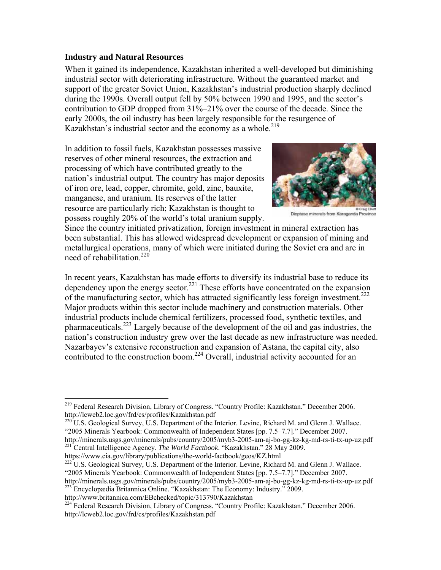#### **Industry and Natural Resources**

When it gained its independence, Kazakhstan inherited a well-developed but diminishing industrial sector with deteriorating infrastructure. Without the guaranteed market and support of the greater Soviet Union, Kazakhstan's industrial production sharply declined during the 1990s. Overall output fell by 50% between 1990 and 1995, and the sector's contribution to GDP dropped from 31%–21% over the course of the decade. Since the early 2000s, the oil industry has been largely responsible for the resurgence of Kazakhstan's industrial sector and the economy as a whole.<sup>219</sup>

In addition to fossil fuels, Kazakhstan possesses massive reserves of other mineral resources, the extraction and processing of which have contributed greatly to the nation's industrial output. The country has major deposits of iron ore, lead, copper, chromite, gold, zinc, bauxite, manganese, and uranium. Its reserves of the latter resource are particularly rich; Kazakhstan is thought to possess roughly 20% of the world's total uranium supply.



Dioptase minerals from Karaganda Province

Since the country initiated privatization, foreign investment in mineral extraction has been substantial. This has allowed widespread development or expansion of mining and metallurgical operations, many of which were initiated during the Soviet era and are in need of rehabilitation.<sup>220</sup>

In recent years, Kazakhstan has made efforts to diversify its industrial base to reduce its dependency upon the energy sector.<sup>221</sup> These efforts have concentrated on the expansion of the manufacturing sector, which has attracted significantly less foreign investment.<sup>222</sup> Major products within this sector include machinery and construction materials. Other industrial products include chemical fertilizers, processed food, synthetic textiles, and pharmaceuticals.223 Largely because of the development of the oil and gas industries, the nation's construction industry grew over the last decade as new infrastructure was needed. Nazarbayev's extensive reconstruction and expansion of Astana, the capital city, also contributed to the construction boom.<sup>224</sup> Overall, industrial activity accounted for an

"2005 Minerals Yearbook: Commonwealth of Independent States [pp. 7.5–7.7]." December 2007. http://minerals.usgs.gov/minerals/pubs/country/2005/myb3-2005-am-aj-bo-gg-kz-kg-md-rs-ti-tx-up-uz.pdf

221 Central Intelligence Agency. *The World Factbook*. "Kazakhstan." 28 May 2009.

https://www.cia.gov/library/publications/the-world-factbook/geos/KZ.html<br><sup>222</sup> U.S. Geological Survey, U.S. Department of the Interior. Levine, Richard M. and Glenn J. Wallace. "2005 Minerals Yearbook: Commonwealth of Independent States [pp. 7.5–7.7]." December 2007.

http://minerals.usgs.gov/minerals/pubs/country/2005/myb3-2005-am-aj-bo-gg-kz-kg-md-rs-ti-tx-up-uz.pdf 223 Encyclopædia Britannica Online. "Kazakhstan: The Economy: Industry." 2009.

1

<sup>&</sup>lt;sup>219</sup> Federal Research Division, Library of Congress. "Country Profile: Kazakhstan." December 2006. http://lcweb2.loc.gov/frd/cs/profiles/Kazakhstan.pdf<br><sup>220</sup> U.S. Geological Survey, U.S. Department of the Interior. Levine, Richard M. and Glenn J. Wallace.

http://www.britannica.com/EBchecked/topic/313790/Kazakhstan

<sup>&</sup>lt;sup>224</sup> Federal Research Division, Library of Congress. "Country Profile: Kazakhstan." December 2006. http://lcweb2.loc.gov/frd/cs/profiles/Kazakhstan.pdf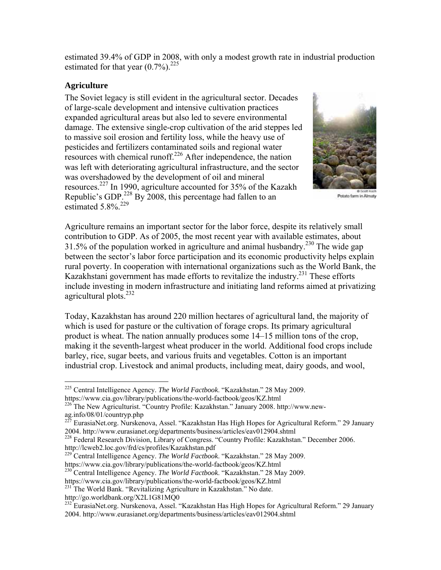estimated 39.4% of GDP in 2008, with only a modest growth rate in industrial production estimated for that year  $(0.7\%)$ <sup>225</sup>

#### **Agriculture**

The Soviet legacy is still evident in the agricultural sector. Decades of large-scale development and intensive cultivation practices expanded agricultural areas but also led to severe environmental damage. The extensive single-crop cultivation of the arid steppes led to massive soil erosion and fertility loss, while the heavy use of pesticides and fertilizers contaminated soils and regional water resources with chemical runoff. $226$  After independence, the nation was left with deteriorating agricultural infrastructure, and the sector was overshadowed by the development of oil and mineral resources.227 In 1990, agriculture accounted for 35% of the Kazakh Republic's GDP.<sup>228</sup> By 2008, this percentage had fallen to an estimated  $5.8\%$ <sup>229</sup>



Potato farm in Almaty

Agriculture remains an important sector for the labor force, despite its relatively small contribution to GDP. As of 2005, the most recent year with available estimates, about 31.5% of the population worked in agriculture and animal husbandry.<sup>230</sup> The wide gap between the sector's labor force participation and its economic productivity helps explain rural poverty. In cooperation with international organizations such as the World Bank, the Kazakhstani government has made efforts to revitalize the industry.231 These efforts include investing in modern infrastructure and initiating land reforms aimed at privatizing agricultural plots. $^{232}$ 

Today, Kazakhstan has around 220 million hectares of agricultural land, the majority of which is used for pasture or the cultivation of forage crops. Its primary agricultural product is wheat. The nation annually produces some 14–15 million tons of the crop, making it the seventh-largest wheat producer in the world. Additional food crops include barley, rice, sugar beets, and various fruits and vegetables. Cotton is an important industrial crop. Livestock and animal products, including meat, dairy goods, and wool,

http://lcweb2.loc.gov/frd/cs/profiles/Kazakhstan.pdf<br><sup>229</sup> Central Intelligence Agency. *The World Factbook*. "Kazakhstan." 28 May 2009.<br>https://www.cia.gov/library/publications/the-world-factbook/geos/KZ.html

<sup>230</sup> Central Intelligence Agency. *The World Factbook*. "Kazakhstan." 28 May 2009.

http://go.worldbank.org/X2L1G81MQ0

<sup>225</sup> Central Intelligence Agency. *The World Factbook*. "Kazakhstan." 28 May 2009. https://www.cia.gov/library/publications/the-world-factbook/geos/KZ.html <sup>226</sup> The New Agriculturist. "Country Profile: Kazakhstan." January 2008. http://www.new-

ag.info/08/01/countryp.php

<sup>&</sup>lt;sup>227</sup> EurasiaNet.org. Nurskenova, Assel. "Kazakhstan Has High Hopes for Agricultural Reform." 29 January 2004. http://www.eurasianet.org/departments/business/articles/eav012904.shtml

<sup>&</sup>lt;sup>228</sup> Federal Research Division, Library of Congress. "Country Profile: Kazakhstan." December 2006.

https://www.cia.gov/library/publications/the-world-factbook/geos/KZ.html 231 The World Bank. "Revitalizing Agriculture in Kazakhstan." No date.

<sup>&</sup>lt;sup>232</sup> EurasiaNet.org. Nurskenova, Assel. "Kazakhstan Has High Hopes for Agricultural Reform." 29 January 2004. http://www.eurasianet.org/departments/business/articles/eav012904.shtml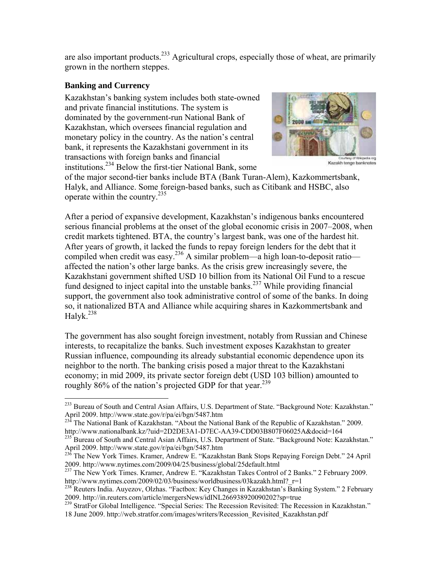are also important products.<sup>233</sup> Agricultural crops, especially those of wheat, are primarily grown in the northern steppes.

#### **Banking and Currency**

 $\overline{a}$ 

Kazakhstan's banking system includes both state-owned and private financial institutions. The system is dominated by the government-run National Bank of Kazakhstan, which oversees financial regulation and monetary policy in the country. As the nation's central bank, it represents the Kazakhstani government in its transactions with foreign banks and financial institutions.234 Below the first-tier National Bank, some



Kazakh tenge banknotes

of the major second-tier banks include BTA (Bank Turan-Alem), Kazkommertsbank, Halyk, and Alliance. Some foreign-based banks, such as Citibank and HSBC, also operate within the country. $^{235}$ 

After a period of expansive development, Kazakhstan's indigenous banks encountered serious financial problems at the onset of the global economic crisis in 2007–2008, when credit markets tightened. BTA, the country's largest bank, was one of the hardest hit. After years of growth, it lacked the funds to repay foreign lenders for the debt that it compiled when credit was easy.<sup>236</sup> A similar problem—a high loan-to-deposit ratio affected the nation's other large banks. As the crisis grew increasingly severe, the Kazakhstani government shifted USD 10 billion from its National Oil Fund to a rescue fund designed to inject capital into the unstable banks.<sup>237</sup> While providing financial support, the government also took administrative control of some of the banks. In doing so, it nationalized BTA and Alliance while acquiring shares in Kazkommertsbank and Halyk.<sup>238</sup>

The government has also sought foreign investment, notably from Russian and Chinese interests, to recapitalize the banks. Such investment exposes Kazakhstan to greater Russian influence, compounding its already substantial economic dependence upon its neighbor to the north. The banking crisis posed a major threat to the Kazakhstani economy; in mid 2009, its private sector foreign debt (USD 103 billion) amounted to roughly  $86\%$  of the nation's projected GDP for that year.<sup>239</sup>

<sup>239</sup> StratFor Global Intelligence. "Special Series: The Recession Revisited: The Recession in Kazakhstan." 18 June 2009. http://web.stratfor.com/images/writers/Recession\_Revisited\_Kazakhstan.pdf

<sup>&</sup>lt;sup>233</sup> Bureau of South and Central Asian Affairs, U.S. Department of State. "Background Note: Kazakhstan." April 2009. http://www.state.gov/r/pa/ei/bgn/5487.htm<br>
<sup>234</sup> The National Bank of Kazakhstan. "About the National Bank of the Republic of Kazakhstan." 2009.

http://www.nationalbank.kz/?uid=2D2DE3A1-D7EC-AA39-CDD03B807F06025A&docid=164

<sup>&</sup>lt;sup>235</sup> Bureau of South and Central Asian Affairs, U.S. Department of State. "Background Note: Kazakhstan."<br>April 2009. http://www.state.gov/r/pa/ei/bgn/5487.htm

 $^{236}$  The New York Times. Kramer, Andrew E. "Kazakhstan Bank Stops Repaying Foreign Debt." 24 April 2009. http://www.nytimes.com/2009/04/25/business/global/25default.html

<sup>&</sup>lt;sup>237</sup> The New York Times. Kramer, Andrew E. "Kazakhstan Takes Control of 2 Banks." 2 February 2009. http://www.nytimes.com/2009/02/03/business/worldbusiness/03kazakh.html?\_r=1

<sup>&</sup>lt;sup>238</sup> Reuters India. Auyezov, Olzhas. "Factbox: Key Changes in Kazakhstan's Banking System." 2 February 2009. http://in.reuters.com/article/mergersNews/idINL266938920090202?sp=true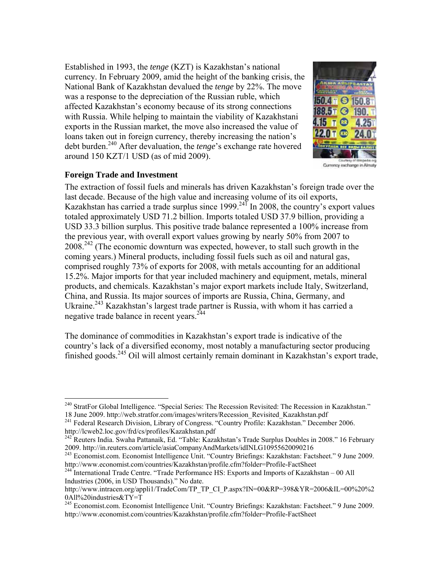Established in 1993, the *tenge* (KZT) is Kazakhstan's national currency. In February 2009, amid the height of the banking crisis, the National Bank of Kazakhstan devalued the *tenge* by 22%. The move was a response to the depreciation of the Russian ruble, which affected Kazakhstan's economy because of its strong connections with Russia. While helping to maintain the viability of Kazakhstani exports in the Russian market, the move also increased the value of loans taken out in foreign currency, thereby increasing the nation's debt burden.240 After devaluation, the *tenge*'s exchange rate hovered around 150 KZT/1 USD (as of mid 2009).



Currency exchange in Almaty

# **Foreign Trade and Investment**

The extraction of fossil fuels and minerals has driven Kazakhstan's foreign trade over the last decade. Because of the high value and increasing volume of its oil exports, Kazakhstan has carried a trade surplus since 1999.<sup>241</sup> In 2008, the country's export values totaled approximately USD 71.2 billion. Imports totaled USD 37.9 billion, providing a USD 33.3 billion surplus. This positive trade balance represented a 100% increase from the previous year, with overall export values growing by nearly 50% from 2007 to  $2008.<sup>242</sup>$  (The economic downturn was expected, however, to stall such growth in the coming years.) Mineral products, including fossil fuels such as oil and natural gas, comprised roughly 73% of exports for 2008, with metals accounting for an additional 15.2%. Major imports for that year included machinery and equipment, metals, mineral products, and chemicals. Kazakhstan's major export markets include Italy, Switzerland, China, and Russia. Its major sources of imports are Russia, China, Germany, and Ukraine.<sup>243</sup> Kazakhstan's largest trade partner is Russia, with whom it has carried a negative trade balance in recent years.<sup>244</sup>

The dominance of commodities in Kazakhstan's export trade is indicative of the country's lack of a diversified economy, most notably a manufacturing sector producing finished goods.<sup>245</sup> Oil will almost certainly remain dominant in Kazakhstan's export trade,

 $\overline{a}$ <sup>240</sup> StratFor Global Intelligence. "Special Series: The Recession Revisited: The Recession in Kazakhstan."

<sup>18</sup> June 2009. http://web.stratfor.com/images/writers/Recession\_Revisited\_Kazakhstan.pdf <sup>241</sup> Federal Research Division, Library of Congress. "Country Profile: Kazakhstan." December 2006. http://lcweb2.loc.gov/frd/cs/profi

<sup>&</sup>lt;sup>242</sup> Reuters India. Swaha Pattanaik, Ed. "Table: Kazakhstan's Trade Surplus Doubles in 2008." 16 February 2009. http://in.reuters.com/article/asiaCompanyAndMarkets/idINLG10955620090216

<sup>&</sup>lt;sup>243</sup> Economist.com. Economist Intelligence Unit. "Country Briefings: Kazakhstan: Factsheet." 9 June 2009.<br>http://www.economist.com/countries/Kazakhstan/profile.cfm?folder=Profile-FactSheet

 $^{244}$ International Trade Centre. "Trade Performance HS: Exports and Imports of Kazakhstan – 00 All Industries (2006, in USD Thousands)." No date.

http://www.intracen.org/appli1/TradeCom/TP\_TP\_CI\_P.aspx?IN=00&RP=398&YR=2006&IL=00%20%2 0All%20industries&TY=T

<sup>&</sup>lt;sup>245</sup> Economist.com. Economist Intelligence Unit. "Country Briefings: Kazakhstan: Factsheet." 9 June 2009. http://www.economist.com/countries/Kazakhstan/profile.cfm?folder=Profile-FactSheet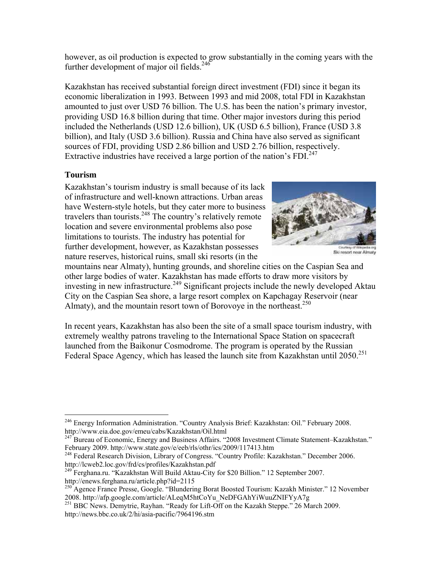however, as oil production is expected to grow substantially in the coming years with the further development of major oil fields.<sup>246</sup>

Kazakhstan has received substantial foreign direct investment (FDI) since it began its economic liberalization in 1993. Between 1993 and mid 2008, total FDI in Kazakhstan amounted to just over USD 76 billion. The U.S. has been the nation's primary investor, providing USD 16.8 billion during that time. Other major investors during this period included the Netherlands (USD 12.6 billion), UK (USD 6.5 billion), France (USD 3.8 billion), and Italy (USD 3.6 billion). Russia and China have also served as significant sources of FDI, providing USD 2.86 billion and USD 2.76 billion, respectively. Extractive industries have received a large portion of the nation's  $FDI^{247}$ 

# **Tourism**

Kazakhstan's tourism industry is small because of its lack of infrastructure and well-known attractions. Urban areas have Western-style hotels, but they cater more to business travelers than tourists.<sup>248</sup> The country's relatively remote location and severe environmental problems also pose limitations to tourists. The industry has potential for further development, however, as Kazakhstan possesses nature reserves, historical ruins, small ski resorts (in the



Ski resort near Almaty

mountains near Almaty), hunting grounds, and shoreline cities on the Caspian Sea and other large bodies of water. Kazakhstan has made efforts to draw more visitors by investing in new infrastructure.<sup>249</sup> Significant projects include the newly developed Aktau City on the Caspian Sea shore, a large resort complex on Kapchagay Reservoir (near Almaty), and the mountain resort town of Borovoye in the northeast.<sup>250</sup>

In recent years, Kazakhstan has also been the site of a small space tourism industry, with extremely wealthy patrons traveling to the International Space Station on spacecraft launched from the Baikonur Cosmodrome. The program is operated by the Russian Federal Space Agency, which has leased the launch site from Kazakhstan until 2050.<sup>251</sup>

<sup>1</sup> <sup>246</sup> Energy Information Administration. "Country Analysis Brief: Kazakhstan: Oil." February 2008.

http://www.eia.doe.gov/emeu/cabs/Kazakhstan/Oil.html<br>
<sup>247</sup> Bureau of Economic, Energy and Business Affairs. "2008 Investment Climate Statement–Kazakhstan."<br>
February 2009. http://www.state.gov/e/eeb/rls/othr/ics/2009/1174

<sup>&</sup>lt;sup>248</sup> Federal Research Division, Library of Congress. "Country Profile: Kazakhstan." December 2006.<br>http://lcweb2.loc.gov/frd/cs/profiles/Kazakhstan.pdf

<sup>&</sup>lt;sup>249</sup> Ferghana.ru. "Kazakhstan Will Build Aktau-City for \$20 Billion." 12 September 2007.<br>http://enews.ferghana.ru/article.php?id=2115

<sup>&</sup>lt;sup>250</sup> Agence France Presse, Google. "Blundering Borat Boosted Tourism: Kazakh Minister." 12 November 2008. http://afp.google.com/article/ALeqM5htCoYu NeDFGAhYiWuuZNIFYyA7g

 $\frac{251}{BBC}$  News. Demytrie, Rayhan. "Ready for Lift-Off on the Kazakh Steppe." 26 March 2009. http://news.bbc.co.uk/2/hi/asia-pacific/7964196.stm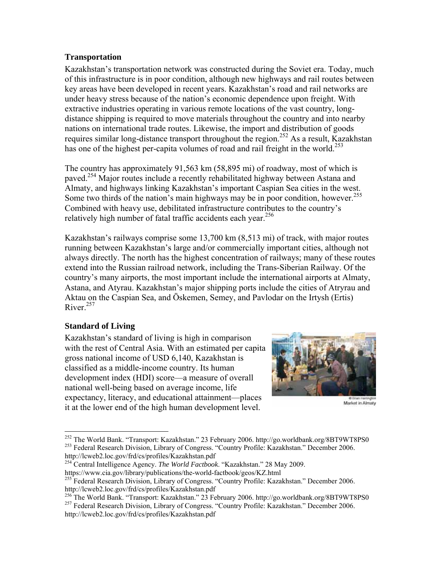#### **Transportation**

Kazakhstan's transportation network was constructed during the Soviet era. Today, much of this infrastructure is in poor condition, although new highways and rail routes between key areas have been developed in recent years. Kazakhstan's road and rail networks are under heavy stress because of the nation's economic dependence upon freight. With extractive industries operating in various remote locations of the vast country, longdistance shipping is required to move materials throughout the country and into nearby nations on international trade routes. Likewise, the import and distribution of goods requires similar long-distance transport throughout the region.<sup>252</sup> As a result, Kazakhstan has one of the highest per-capita volumes of road and rail freight in the world.<sup>253</sup>

The country has approximately 91,563 km (58,895 mi) of roadway, most of which is paved.<sup>254</sup> Major routes include a recently rehabilitated highway between Astana and Almaty, and highways linking Kazakhstan's important Caspian Sea cities in the west. Some two thirds of the nation's main highways may be in poor condition, however.<sup>255</sup> Combined with heavy use, debilitated infrastructure contributes to the country's relatively high number of fatal traffic accidents each year.<sup>256</sup>

Kazakhstan's railways comprise some 13,700 km (8,513 mi) of track, with major routes running between Kazakhstan's large and/or commercially important cities, although not always directly. The north has the highest concentration of railways; many of these routes extend into the Russian railroad network, including the Trans-Siberian Railway. Of the country's many airports, the most important include the international airports at Almaty, Astana, and Atyrau. Kazakhstan's major shipping ports include the cities of Atryrau and Aktau on the Caspian Sea, and Öskemen, Semey, and Pavlodar on the Irtysh (Ertis) River.<sup>257</sup>

# **Standard of Living**

Kazakhstan's standard of living is high in comparison with the rest of Central Asia. With an estimated per capita gross national income of USD 6,140, Kazakhstan is classified as a middle-income country. Its human development index (HDI) score—a measure of overall national well-being based on average income, life expectancy, literacy, and educational attainment—places it at the lower end of the high human development level.



Market in Almaty

<sup>&</sup>lt;sup>252</sup> The World Bank. "Transport: Kazakhstan." 23 February 2006. http://go.worldbank.org/8BT9WT8PS0 <sup>253</sup> Federal Research Division, Library of Congress. "Country Profile: Kazakhstan." December 2006.

http://lcweb2.loc.gov/frd/cs/profiles/Kazakhstan.pdf<br><sup>254</sup> Central Intelligence Agency. *The World Factbook*. "Kazakhstan." 28 May 2009.<br>https://www.cia.gov/library/publications/the-world-factbook/geos/KZ.html

<sup>&</sup>lt;sup>255</sup> Federal Research Division, Library of Congress. "Country Profile: Kazakhstan." December 2006.

http://lcweb2.loc.gov/frd/cs/profiles/Kazakhstan.pdf<br><sup>256</sup> The World Bank. "Transport: Kazakhstan." 23 February 2006. http://go.worldbank.org/8BT9WT8PS0<br><sup>257</sup> Federal Research Division, Library of Congress. "Country Profil http://lcweb2.loc.gov/frd/cs/profiles/Kazakhstan.pdf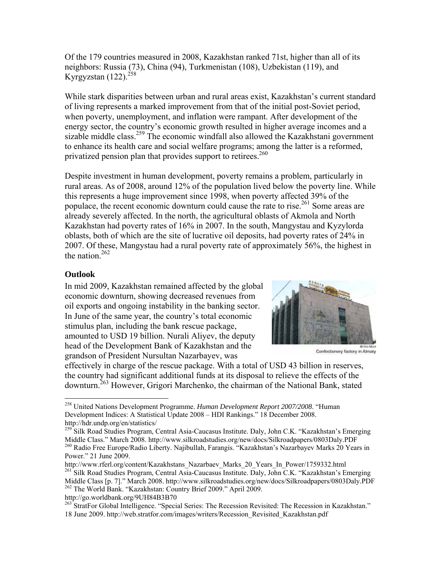Of the 179 countries measured in 2008, Kazakhstan ranked 71st, higher than all of its neighbors: Russia (73), China (94), Turkmenistan (108), Uzbekistan (119), and Kyrgyzstan  $(122).^{258}$ 

While stark disparities between urban and rural areas exist, Kazakhstan's current standard of living represents a marked improvement from that of the initial post-Soviet period, when poverty, unemployment, and inflation were rampant. After development of the energy sector, the country's economic growth resulted in higher average incomes and a sizable middle class.<sup>259</sup> The economic windfall also allowed the Kazakhstani government to enhance its health care and social welfare programs; among the latter is a reformed, privatized pension plan that provides support to retirees.<sup>260</sup>

Despite investment in human development, poverty remains a problem, particularly in rural areas. As of 2008, around 12% of the population lived below the poverty line. While this represents a huge improvement since 1998, when poverty affected 39% of the populace, the recent economic downturn could cause the rate to rise.<sup>261</sup> Some areas are already severely affected. In the north, the agricultural oblasts of Akmola and North Kazakhstan had poverty rates of 16% in 2007. In the south, Mangystau and Kyzylorda oblasts, both of which are the site of lucrative oil deposits, had poverty rates of 24% in 2007. Of these, Mangystau had a rural poverty rate of approximately 56%, the highest in the nation.<sup>262</sup>

#### **Outlook**

 $\overline{a}$ 

In mid 2009, Kazakhstan remained affected by the global economic downturn, showing decreased revenues from oil exports and ongoing instability in the banking sector. In June of the same year, the country's total economic stimulus plan, including the bank rescue package, amounted to USD 19 billion. Nurali Aliyev, the deputy head of the Development Bank of Kazakhstan and the grandson of President Nursultan Nazarbayev, was



Confectionery factory in Almaty

effectively in charge of the rescue package. With a total of USD 43 billion in reserves, the country had significant additional funds at its disposal to relieve the effects of the downturn.263 However, Grigori Marchenko, the chairman of the National Bank, stated

http://go.worldbank.org/9UH84B3B70

<sup>258</sup> United Nations Development Programme. *Human Development Report 2007/2008*. "Human Development Indices: A Statistical Update 2008 – HDI Rankings." 18 December 2008. http://hdr.undp.org/en/statistics/

<sup>&</sup>lt;sup>259</sup> Silk Road Studies Program, Central Asia-Caucasus Institute. Daly, John C.K. "Kazakhstan's Emerging Middle Class." March 2008. http://www.silkroadstudies.org/new/docs/Silkroadpapers/0803Daly.PDF <sup>260</sup> Radio Free Europe/Radio Liberty. Najibullah, Farangis. "Kazakhstan's Nazarbayev Marks 20 Years in

Power." 21 June 2009.<br>http://www.rferl.org/content/Kazakhstans Nazarbaev Marks 20 Years In Power/1759332.html <sup>261</sup> Silk Road Studies Program, Central Asia-Caucasus Institute. Daly, John C.K. "Kazakhstan's Emerging Middle Class [p. 7]." March 2008. http://www.silkroadstudies.org/new/docs/Silkroadpapers/0803Daly.PDF 262 The World Bank. "Kazakhstan: Country Brief 2009." April 2009.

<sup>&</sup>lt;sup>263</sup> StratFor Global Intelligence. "Special Series: The Recession Revisited: The Recession in Kazakhstan." 18 June 2009. http://web.stratfor.com/images/writers/Recession\_Revisited\_Kazakhstan.pdf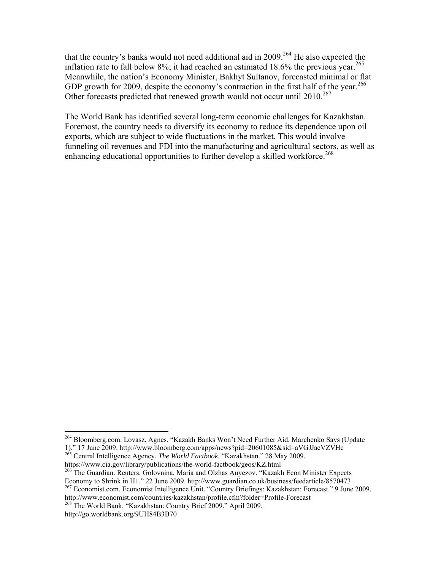that the country's banks would not need additional aid in  $2009$ <sup>264</sup> He also expected the inflation rate to fall below  $8\%$ ; it had reached an estimated 18.6% the previous year.<sup>265</sup> Meanwhile, the nation's Economy Minister, Bakhyt Sultanov, forecasted minimal or flat GDP growth for 2009, despite the economy's contraction in the first half of the year.<sup>266</sup> Other forecasts predicted that renewed growth would not occur until  $2010^{267}$ 

The World Bank has identified several long-term economic challenges for Kazakhstan. Foremost, the country needs to diversify its economy to reduce its dependence upon oil exports, which are subject to wide fluctuations in the market. This would involve funneling oil revenues and FDI into the manufacturing and agricultural sectors, as well as enhancing educational opportunities to further develop a skilled workforce.<sup>268</sup>

<sup>&</sup>lt;sup>264</sup> Bloomberg.com. Lovasz, Agnes. "Kazakh Banks Won't Need Further Aid, Marchenko Says (Update 1)." 17 June 2009. http://www.bloomberg.com/apps/news?pid=20601085&sid=aVGJJaeVZVHc

<sup>&</sup>lt;sup>265</sup> Central Intelligence Agency. *The World Factbook*. "Kazakhstan." 28 May 2009.<br>https://www.cia.gov/library/publications/the-world-factbook/geos/KZ.html

<sup>&</sup>lt;sup>266</sup> The Guardian. Reuters. Golovnina, Maria and Olzhas Auyezov. "Kazakh Econ Minister Expects Economy to Shrink in H1." 22 June 2009. http://www.guardian.co.uk/business/feedarticle/8570473

<sup>&</sup>lt;sup>267</sup> Economist.com. Economist Intelligence Unit. "Country Briefings: Kazakhstan: Forecast." 9 June 2009. http://www.economist.com/countries/kazakhstan/profile.cfm?folder=Profile-Forecast 268 The World Bank. "Kazakhstan: Country Brief 2009." April 2009.

http://go.worldbank.org/9UH84B3B70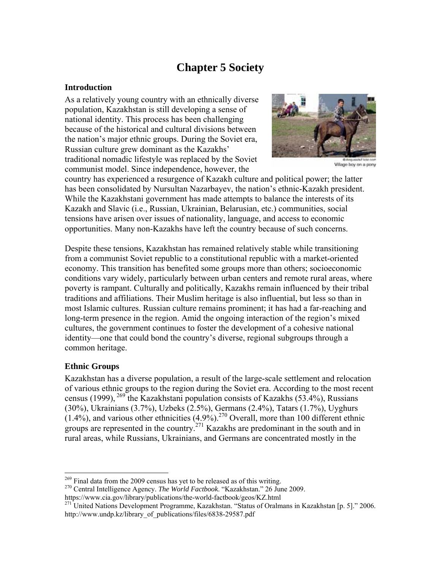# **Chapter 5 Society**

#### **Introduction**

As a relatively young country with an ethnically diverse population, Kazakhstan is still developing a sense of national identity. This process has been challenging because of the historical and cultural divisions between the nation's major ethnic groups. During the Soviet era, Russian culture grew dominant as the Kazakhs' traditional nomadic lifestyle was replaced by the Soviet communist model. Since independence, however, the



Village boy on a pony

country has experienced a resurgence of Kazakh culture and political power; the latter has been consolidated by Nursultan Nazarbayev, the nation's ethnic-Kazakh president. While the Kazakhstani government has made attempts to balance the interests of its Kazakh and Slavic (i.e., Russian, Ukrainian, Belarusian, etc.) communities, social tensions have arisen over issues of nationality, language, and access to economic opportunities. Many non-Kazakhs have left the country because of such concerns.

Despite these tensions, Kazakhstan has remained relatively stable while transitioning from a communist Soviet republic to a constitutional republic with a market-oriented economy. This transition has benefited some groups more than others; socioeconomic conditions vary widely, particularly between urban centers and remote rural areas, where poverty is rampant. Culturally and politically, Kazakhs remain influenced by their tribal traditions and affiliations. Their Muslim heritage is also influential, but less so than in most Islamic cultures. Russian culture remains prominent; it has had a far-reaching and long-term presence in the region. Amid the ongoing interaction of the region's mixed cultures, the government continues to foster the development of a cohesive national identity—one that could bond the country's diverse, regional subgroups through a common heritage.

#### **Ethnic Groups**

Kazakhstan has a diverse population, a result of the large-scale settlement and relocation of various ethnic groups to the region during the Soviet era. According to the most recent census (1999),  $^{269}$  the Kazakhstani population consists of Kazakhs (53.4%), Russians (30%), Ukrainians (3.7%), Uzbeks (2.5%), Germans (2.4%), Tatars (1.7%), Uyghurs  $(1.4\%)$ , and various other ethnicities  $(4.9\%)$ .<sup>270</sup> Overall, more than 100 different ethnic groups are represented in the country.<sup>271</sup> Kazakhs are predominant in the south and in rural areas, while Russians, Ukrainians, and Germans are concentrated mostly in the

<sup>&</sup>lt;sup>269</sup> Final data from the 2009 census has yet to be released as of this writing.

<sup>&</sup>lt;sup>270</sup> Central Intelligence Agency. *The World Factbook*. "Kazakhstan." 26 June 2009.<br>https://www.cia.gov/library/publications/the-world-factbook/geos/KZ.html

https://www.cia.gov/library-publications/the-world-factors-factors-factors-factors-factors-factors-factors-factors-factors-factors-factors-factors-factors-factors-factors-factors-factors-factors-factors-factors-factors-fac http://www.undp.kz/library\_of\_publications/files/6838-29587.pdf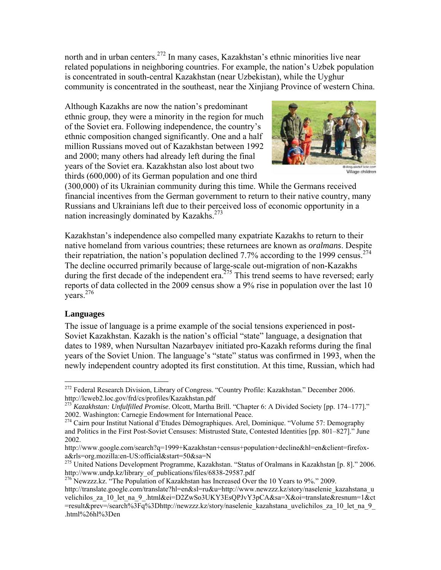north and in urban centers.<sup>272</sup> In many cases, Kazakhstan's ethnic minorities live near related populations in neighboring countries. For example, the nation's Uzbek population is concentrated in south-central Kazakhstan (near Uzbekistan), while the Uyghur community is concentrated in the southeast, near the Xinjiang Province of western China.

Although Kazakhs are now the nation's predominant ethnic group, they were a minority in the region for much of the Soviet era. Following independence, the country's ethnic composition changed significantly. One and a half million Russians moved out of Kazakhstan between 1992 and 2000; many others had already left during the final years of the Soviet era. Kazakhstan also lost about two thirds (600,000) of its German population and one third



Village children

(300,000) of its Ukrainian community during this time. While the Germans received financial incentives from the German government to return to their native country, many Russians and Ukrainians left due to their perceived loss of economic opportunity in a nation increasingly dominated by Kazakhs.<sup>273</sup>

Kazakhstan's independence also compelled many expatriate Kazakhs to return to their native homeland from various countries; these returnees are known as *oralmans*. Despite their repatriation, the nation's population declined 7.7% according to the 1999 census.<sup>274</sup> The decline occurred primarily because of large-scale out-migration of non-Kazakhs during the first decade of the independent era.<sup>275</sup> This trend seems to have reversed; early reports of data collected in the 2009 census show a 9% rise in population over the last 10  $years<sup>276</sup>$ 

#### **Languages**

The issue of language is a prime example of the social tensions experienced in post-Soviet Kazakhstan. Kazakh is the nation's official "state" language, a designation that dates to 1989, when Nursultan Nazarbayev initiated pro-Kazakh reforms during the final years of the Soviet Union. The language's "state" status was confirmed in 1993, when the newly independent country adopted its first constitution. At this time, Russian, which had

 $\overline{a}$ <sup>272</sup> Federal Research Division, Library of Congress. "Country Profile: Kazakhstan." December 2006. http://lcweb2.loc.gov/frd/cs/profiles/Kazakhstan.pdf 273 *Kazakhstan: Unfulfilled Promise*. Olcott, Martha Brill. "Chapter 6: A Divided Society [pp. 174–177]."

<sup>2002.</sup> Washington: Carnegie Endowment for International Peace. 274 Cairn pour Institut National d'Etudes Démographiques. Arel, Dominique. "Volume 57: Demography

and Politics in the First Post-Soviet Censuses: Mistrusted State, Contested Identities [pp. 801–827]." June 2002.

http://www.google.com/search?q=1999+Kazakhstan+census+population+decline&hl=en&client=firefoxa&rls=org.mozilla:en-US:official&start=50&sa=N

<sup>&</sup>lt;sup>275</sup> United Nations Development Programme, Kazakhstan. "Status of Oralmans in Kazakhstan [p. 8]." 2006.<br>http://www.undp.kz/library of publications/files/6838-29587.pdf

<sup>&</sup>lt;sup>276</sup> Newzzz.kz. "The Population of Kazakhstan has Increased Over the 10 Years to 9%." 2009.

http://translate.google.com/translate?hl=en&sl=ru&u=http://www.newzzz.kz/story/naselenie\_kazahstana\_u velichilos za 10 let na 9 .html&ei=D2ZwSo3UKY3EsQPJvY3pCA&sa=X&oi=translate&resnum=1&ct =result&prev=/search%3Fq%3Dhttp://newzzz.kz/story/naselenie\_kazahstana\_uvelichilos\_za\_10\_let\_na\_9\_ .html%26hl%3Den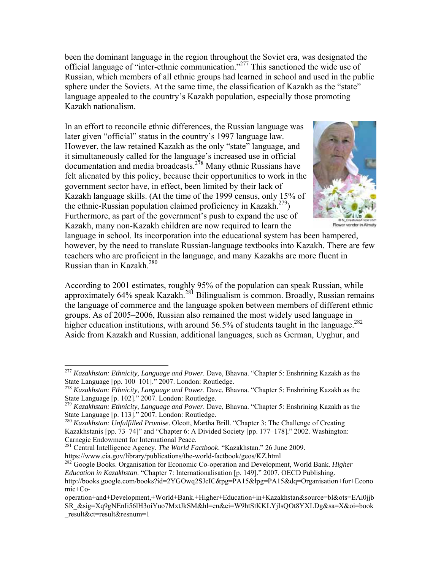been the dominant language in the region throughout the Soviet era, was designated the official language of "inter-ethnic communication."277 This sanctioned the wide use of Russian, which members of all ethnic groups had learned in school and used in the public sphere under the Soviets. At the same time, the classification of Kazakh as the "state" language appealed to the country's Kazakh population, especially those promoting Kazakh nationalism.

In an effort to reconcile ethnic differences, the Russian language was later given "official" status in the country's 1997 language law. However, the law retained Kazakh as the only "state" language, and it simultaneously called for the language's increased use in official documentation and media broadcasts.<sup>278</sup> Many ethnic Russians have felt alienated by this policy, because their opportunities to work in the government sector have, in effect, been limited by their lack of Kazakh language skills. (At the time of the 1999 census, only 15% of the ethnic-Russian population claimed proficiency in Kazakh.<sup>279</sup>) Furthermore, as part of the government's push to expand the use of Kazakh, many non-Kazakh children are now required to learn the



Flower vendor in Almaty

language in school. Its incorporation into the educational system has been hampered, however, by the need to translate Russian-language textbooks into Kazakh. There are few teachers who are proficient in the language, and many Kazakhs are more fluent in Russian than in Kazakh. $^{280}$ 

According to 2001 estimates, roughly 95% of the population can speak Russian, while approximately 64% speak Kazakh.<sup>281</sup> Bilingualism is common. Broadly, Russian remains the language of commerce and the language spoken between members of different ethnic groups. As of 2005–2006, Russian also remained the most widely used language in higher education institutions, with around 56.5% of students taught in the language.<sup>282</sup> Aside from Kazakh and Russian, additional languages, such as German, Uyghur, and

281 Central Intelligence Agency. *The World Factbook*. "Kazakhstan." 26 June 2009. https://www.cia.gov/library/publications/the-world-factbook/geos/KZ.html 282 Google Books. Organisation for Economic Co-operation and Development, World Bank. *Higher* 

1

<sup>277</sup> *Kazakhstan: Ethnicity, Language and Power*. Dave, Bhavna. "Chapter 5: Enshrining Kazakh as the State Language [pp. 100–101]." 2007. London: Routledge.

<sup>278</sup> *Kazakhstan: Ethnicity, Language and Power*. Dave, Bhavna. "Chapter 5: Enshrining Kazakh as the State Language [p. 102]." 2007. London: Routledge.

<sup>279</sup> *Kazakhstan: Ethnicity, Language and Power*. Dave, Bhavna. "Chapter 5: Enshrining Kazakh as the State Language [p. 113]." 2007. London: Routledge.

<sup>280</sup> *Kazakhstan: Unfulfilled Promise*. Olcott, Martha Brill. "Chapter 3: The Challenge of Creating Kazakhstanis [pp. 73–74]" and "Chapter 6: A Divided Society [pp. 177–178]." 2002. Washington: Carnegie Endowment for International Peace.

*Education in Kazakhstan*. "Chapter 7: Internationalisation [p. 149]." 2007. OECD Publishing. http://books.google.com/books?id=2YGOwq2SJcIC&pg=PA15&lpg=PA15&dq=Organisation+for+Econo mic+Co-

operation+and+Development,+World+Bank.+Higher+Education+in+Kazakhstan&source=bl&ots=EAi0jjb SR\_&sig=Xq9gNEnIi56lH3oiYuo7MxtJkSM&hl=en&ei=W9htStKKLYjIsQOt8YXLDg&sa=X&oi=book \_result&ct=result&resnum=1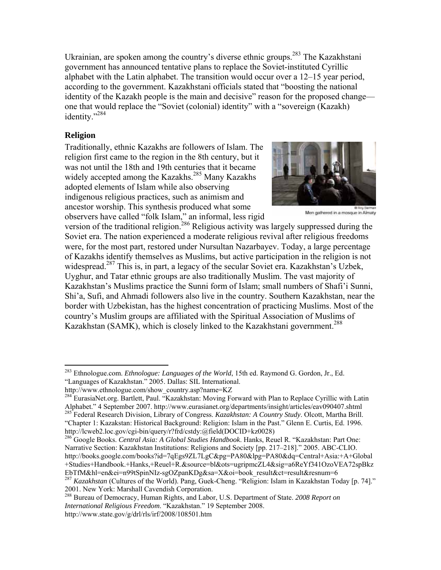Ukrainian, are spoken among the country's diverse ethnic groups.<sup>283</sup> The Kazakhstani government has announced tentative plans to replace the Soviet-instituted Cyrillic alphabet with the Latin alphabet. The transition would occur over a 12–15 year period, according to the government. Kazakhstani officials stated that "boosting the national identity of the Kazakh people is the main and decisive" reason for the proposed change one that would replace the "Soviet (colonial) identity" with a "sovereign (Kazakh) identity."284

# **Religion**

Traditionally, ethnic Kazakhs are followers of Islam. The religion first came to the region in the 8th century, but it was not until the 18th and 19th centuries that it became widely accepted among the Kazakhs.<sup>285</sup> Many Kazakhs adopted elements of Islam while also observing indigenous religious practices, such as animism and ancestor worship. This synthesis produced what some observers have called "folk Islam," an informal, less rigid



Men gathered in a mosque in Almaty

version of the traditional religion.<sup>286</sup> Religious activity was largely suppressed during the Soviet era. The nation experienced a moderate religious revival after religious freedoms were, for the most part, restored under Nursultan Nazarbayev. Today, a large percentage of Kazakhs identify themselves as Muslims, but active participation in the religion is not widespread.<sup>287</sup> This is, in part, a legacy of the secular Soviet era. Kazakhstan's Uzbek, Uyghur, and Tatar ethnic groups are also traditionally Muslim. The vast majority of Kazakhstan's Muslims practice the Sunni form of Islam; small numbers of Shafi'i Sunni, Shi'a, Sufi, and Ahmadi followers also live in the country. Southern Kazakhstan, near the border with Uzbekistan, has the highest concentration of practicing Muslims. Most of the country's Muslim groups are affiliated with the Spiritual Association of Muslims of Kazakhstan (SAMK), which is closely linked to the Kazakhstani government.<sup>288</sup>

286 Google Books. *Central Asia: A Global Studies Handbook*. Hanks, Reuel R. "Kazakhstan: Part One: Narrative Section: Kazakhstan Institutions: Religions and Society [pp. 217–218]." 2005. ABC-CLIO. http://books.google.com/books?id=7qEgs9ZL7LgC&pg=PA80&lpg=PA80&dq=Central+Asia:+A+Global +Studies+Handbook.+Hanks,+Reuel+R.&source=bl&ots=ugripmcZL4&sig=a6ReYf341OzoVEA72spBkz EbTfM&hl=en&ei=n99tSpinNIz-sgOZpanKDg&sa=X&oi=book\_result&ct=result&resnum=6

 $\overline{a}$ 283 Ethnologue.com. *Ethnologue: Languages of the World*, 15th ed. Raymond G. Gordon, Jr., Ed. "Languages of Kazakhstan." 2005. Dallas: SIL International.

http://www.ethnologue.com/show\_country.asp?name=KZ 284 EurasiaNet.org. Bartlett, Paul. "Kazakhstan: Moving Forward with Plan to Replace Cyrillic with Latin Alphabet." 4 September 2007. http://www.eurasianet.org/departments/insight/articles/eav090407.shtml 285 Federal Research Division, Library of Congress. *Kazakhstan: A Country Study*. Olcott, Martha Brill. "Chapter 1: Kazakstan: Historical Background: Religion: Islam in the Past." Glenn E. Curtis, Ed. 1996. http://lcweb2.loc.gov/cgi-bin/query/r?frd/cstdy:@field(DOCID+kz0028)

<sup>287</sup> *Kazakhstan* (Cultures of the World). Pang, Guek-Cheng. "Religion: Islam in Kazakhstan Today [p. 74]." 2001. New York: Marshall Cavendish Corporation.

<sup>288</sup> Bureau of Democracy, Human Rights, and Labor, U.S. Department of State. *2008 Report on International Religious Freedom*. "Kazakhstan." 19 September 2008. http://www.state.gov/g/drl/rls/irf/2008/108501.htm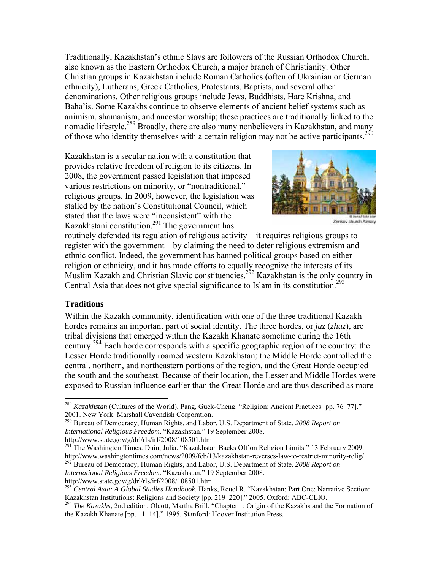Traditionally, Kazakhstan's ethnic Slavs are followers of the Russian Orthodox Church, also known as the Eastern Orthodox Church, a major branch of Christianity. Other Christian groups in Kazakhstan include Roman Catholics (often of Ukrainian or German ethnicity), Lutherans, Greek Catholics, Protestants, Baptists, and several other denominations. Other religious groups include Jews, Buddhists, Hare Krishna, and Baha'is. Some Kazakhs continue to observe elements of ancient belief systems such as animism, shamanism, and ancestor worship; these practices are traditionally linked to the nomadic lifestyle.<sup>289</sup> Broadly, there are also many nonbelievers in Kazakhstan, and many of those who identity themselves with a certain religion may not be active participants.<sup>290</sup>

Kazakhstan is a secular nation with a constitution that provides relative freedom of religion to its citizens. In 2008, the government passed legislation that imposed various restrictions on minority, or "nontraditional," religious groups. In 2009, however, the legislation was stalled by the nation's Constitutional Council, which stated that the laws were "inconsistent" with the Kazakhstani constitution. $291$  The government has



Zenkov church Almaty

routinely defended its regulation of religious activity—it requires religious groups to register with the government—by claiming the need to deter religious extremism and ethnic conflict. Indeed, the government has banned political groups based on either religion or ethnicity, and it has made efforts to equally recognize the interests of its Muslim Kazakh and Christian Slavic constituencies.<sup>292</sup> Kazakhstan is the only country in Central Asia that does not give special significance to Islam in its constitution.<sup>293</sup>

#### **Traditions**

1

Within the Kazakh community, identification with one of the three traditional Kazakh hordes remains an important part of social identity. The three hordes, or *juz* (*zhuz*), are tribal divisions that emerged within the Kazakh Khanate sometime during the 16th century.294 Each horde corresponds with a specific geographic region of the country: the Lesser Horde traditionally roamed western Kazakhstan; the Middle Horde controlled the central, northern, and northeastern portions of the region, and the Great Horde occupied the south and the southeast. Because of their location, the Lesser and Middle Hordes were exposed to Russian influence earlier than the Great Horde and are thus described as more

290 Bureau of Democracy, Human Rights, and Labor, U.S. Department of State. *2008 Report on International Religious Freedom*. "Kazakhstan." 19 September 2008.

 $h^{291}$ The Washington Times. Duin, Julia. "Kazakhstan Backs Off on Religion Limits." 13 February 2009. http://www.washingtontimes.com/news/2009/feb/13/kazakhstan-reverses-law-to-restrict-minority-relig/ 292 Bureau of Democracy, Human Rights, and Labor, U.S. Department of State. *2008 Report on International Religious Freedom*. "Kazakhstan." 19 September 2008.

<sup>289</sup> *Kazakhstan* (Cultures of the World). Pang, Guek-Cheng. "Religion: Ancient Practices [pp. 76–77]." 2001. New York: Marshall Cavendish Corporation.

http://www.state.gov/g/drl/rls/irf/2008/108501.htm 293 *Central Asia: A Global Studies Handbook*. Hanks, Reuel R. "Kazakhstan: Part One: Narrative Section: Kazakhstan Institutions: Religions and Society [pp. 219–220]." 2005. Oxford: ABC-CLIO. 294 *The Kazakhs*, 2nd edition. Olcott, Martha Brill. "Chapter 1: Origin of the Kazakhs and the Formation of

the Kazakh Khanate [pp. 11–14]." 1995. Stanford: Hoover Institution Press.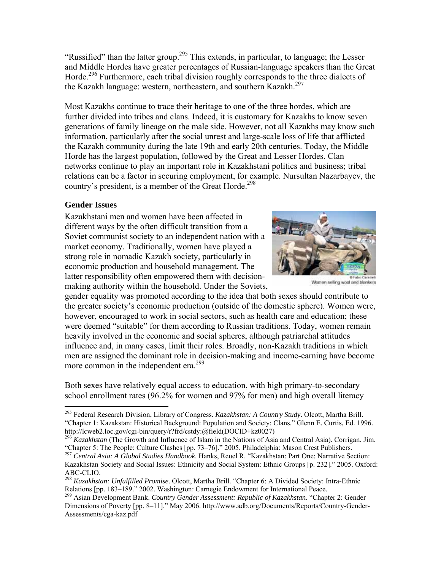"Russified" than the latter group.<sup>295</sup> This extends, in particular, to language; the Lesser and Middle Hordes have greater percentages of Russian-language speakers than the Great Horde.<sup>296</sup> Furthermore, each tribal division roughly corresponds to the three dialects of the Kazakh language: western, northeastern, and southern Kazakh. $^{297}$ 

Most Kazakhs continue to trace their heritage to one of the three hordes, which are further divided into tribes and clans. Indeed, it is customary for Kazakhs to know seven generations of family lineage on the male side. However, not all Kazakhs may know such information, particularly after the social unrest and large-scale loss of life that afflicted the Kazakh community during the late 19th and early 20th centuries. Today, the Middle Horde has the largest population, followed by the Great and Lesser Hordes. Clan networks continue to play an important role in Kazakhstani politics and business; tribal relations can be a factor in securing employment, for example. Nursultan Nazarbayev, the country's president, is a member of the Great Horde.<sup>298</sup>

# **Gender Issues**

Kazakhstani men and women have been affected in different ways by the often difficult transition from a Soviet communist society to an independent nation with a market economy. Traditionally, women have played a strong role in nomadic Kazakh society, particularly in economic production and household management. The latter responsibility often empowered them with decisionmaking authority within the household. Under the Soviets,



Women selling wool and blankets

gender equality was promoted according to the idea that both sexes should contribute to the greater society's economic production (outside of the domestic sphere). Women were, however, encouraged to work in social sectors, such as health care and education; these were deemed "suitable" for them according to Russian traditions. Today, women remain heavily involved in the economic and social spheres, although patriarchal attitudes influence and, in many cases, limit their roles. Broadly, non-Kazakh traditions in which men are assigned the dominant role in decision-making and income-earning have become more common in the independent era.<sup>299</sup>

Both sexes have relatively equal access to education, with high primary-to-secondary school enrollment rates (96.2% for women and 97% for men) and high overall literacy

 $\overline{a}$ 295 Federal Research Division, Library of Congress. *Kazakhstan: A Country Study*. Olcott, Martha Brill. "Chapter 1: Kazakstan: Historical Background: Population and Society: Clans." Glenn E. Curtis, Ed. 1996. http://lcweb2.loc.gov/cgi-bin/query/r?frd/cstdy:@field(DOCID+kz0027)

<sup>296</sup> *Kazakhstan* (The Growth and Influence of Islam in the Nations of Asia and Central Asia). Corrigan, Jim. "Chapter 5: The People: Culture Clashes [pp. 73–76]." 2005. Philadelphia: Mason Crest Publishers.

<sup>297</sup> *Central Asia: A Global Studies Handbook*. Hanks, Reuel R. "Kazakhstan: Part One: Narrative Section: Kazakhstan Society and Social Issues: Ethnicity and Social System: Ethnic Groups [p. 232]." 2005. Oxford: ABC-CLIO.

<sup>298</sup> *Kazakhstan: Unfulfilled Promise*. Olcott, Martha Brill. "Chapter 6: A Divided Society: Intra-Ethnic Relations [pp. 183–189." 2002. Washington: Carnegie Endowment for International Peace.

<sup>299</sup> Asian Development Bank. *Country Gender Assessment: Republic of Kazakhstan*. "Chapter 2: Gender Dimensions of Poverty [pp. 8–11]." May 2006. http://www.adb.org/Documents/Reports/Country-Gender-Assessments/cga-kaz.pdf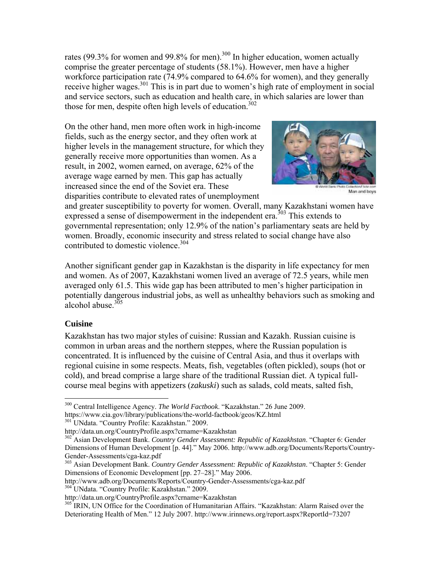rates (99.3% for women and 99.8% for men).<sup>300</sup> In higher education, women actually comprise the greater percentage of students (58.1%). However, men have a higher workforce participation rate (74.9% compared to 64.6% for women), and they generally receive higher wages.<sup>301</sup> This is in part due to women's high rate of employment in social and service sectors, such as education and health care, in which salaries are lower than those for men, despite often high levels of education. $302$ 

On the other hand, men more often work in high-income fields, such as the energy sector, and they often work at higher levels in the management structure, for which they generally receive more opportunities than women. As a result, in 2002, women earned, on average, 62% of the average wage earned by men. This gap has actually increased since the end of the Soviet era. These disparities contribute to elevated rates of unemployment



Man and boys

and greater susceptibility to poverty for women. Overall, many Kazakhstani women have expressed a sense of disempowerment in the independent era.<sup> $303$ </sup> This extends to governmental representation; only 12.9% of the nation's parliamentary seats are held by women. Broadly, economic insecurity and stress related to social change have also contributed to domestic violence. $304$ 

Another significant gender gap in Kazakhstan is the disparity in life expectancy for men and women. As of 2007, Kazakhstani women lived an average of 72.5 years, while men averaged only 61.5. This wide gap has been attributed to men's higher participation in potentially dangerous industrial jobs, as well as unhealthy behaviors such as smoking and alcohol abuse. $305$ 

#### **Cuisine**

1

Kazakhstan has two major styles of cuisine: Russian and Kazakh. Russian cuisine is common in urban areas and the northern steppes, where the Russian population is concentrated. It is influenced by the cuisine of Central Asia, and thus it overlaps with regional cuisine in some respects. Meats, fish, vegetables (often pickled), soups (hot or cold), and bread comprise a large share of the traditional Russian diet. A typical fullcourse meal begins with appetizers (*zakuski*) such as salads, cold meats, salted fish,

<sup>300</sup> Central Intelligence Agency. *The World Factbook*. "Kazakhstan." 26 June 2009. https://www.cia.gov/library/publications/the-world-factbook/geos/KZ.html 301 UNdata. "Country Profile: Kazakhstan." 2009.

http://data.un.org/CountryProfile.aspx?crname=Kazakhstan 302 Asian Development Bank. *Country Gender Assessment: Republic of Kazakhstan*. "Chapter 6: Gender Dimensions of Human Development [p. 44]." May 2006. http://www.adb.org/Documents/Reports/Country-Gender-Assessments/cga-kaz.pdf

<sup>303</sup> Asian Development Bank. *Country Gender Assessment: Republic of Kazakhstan*. "Chapter 5: Gender Dimensions of Economic Development [pp. 27–28]." May 2006.

http://www.adb.org/Documents/Reports/Country-Gender-Assessments/cga-kaz.pdf<br>
<sup>304</sup> UNdata. "Country Profile: Kazakhstan." 2009.<br>
http://data.un.org/CountryProfile.aspx?crname=Kazakhstan

<sup>&</sup>lt;sup>305</sup> IRIN, UN Office for the Coordination of Humanitarian Affairs. "Kazakhstan: Alarm Raised over the Deteriorating Health of Men." 12 July 2007. http://www.irinnews.org/report.aspx?ReportId=73207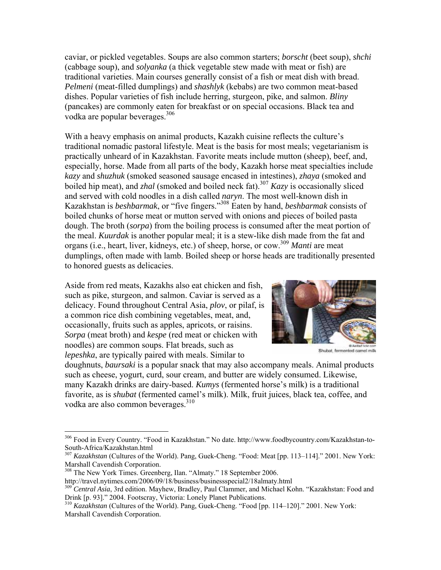caviar, or pickled vegetables. Soups are also common starters; *borscht* (beet soup), *shchi* (cabbage soup), and *solyanka* (a thick vegetable stew made with meat or fish) are traditional varieties. Main courses generally consist of a fish or meat dish with bread. *Pelmeni* (meat-filled dumplings) and *shashlyk* (kebabs) are two common meat-based dishes. Popular varieties of fish include herring, sturgeon, pike, and salmon. *Bliny* (pancakes) are commonly eaten for breakfast or on special occasions. Black tea and vodka are popular beverages.<sup>306</sup>

With a heavy emphasis on animal products, Kazakh cuisine reflects the culture's traditional nomadic pastoral lifestyle. Meat is the basis for most meals; vegetarianism is practically unheard of in Kazakhstan. Favorite meats include mutton (sheep), beef, and, especially, horse. Made from all parts of the body, Kazakh horse meat specialties include *kazy* and *shuzhuk* (smoked seasoned sausage encased in intestines), *zhaya* (smoked and boiled hip meat), and *zhal* (smoked and boiled neck fat).<sup>307</sup> *Kazy* is occasionally sliced and served with cold noodles in a dish called *naryn*. The most well-known dish in Kazakhstan is *beshbarmak*, or "five fingers."308 Eaten by hand, *beshbarmak* consists of boiled chunks of horse meat or mutton served with onions and pieces of boiled pasta dough. The broth (*sorpa*) from the boiling process is consumed after the meat portion of the meal. *Kuurdak* is another popular meal; it is a stew-like dish made from the fat and organs (i.e., heart, liver, kidneys, etc.) of sheep, horse, or cow.309 *Manti* are meat dumplings, often made with lamb. Boiled sheep or horse heads are traditionally presented to honored guests as delicacies.

Aside from red meats, Kazakhs also eat chicken and fish, such as pike, sturgeon, and salmon. Caviar is served as a delicacy. Found throughout Central Asia, *plov*, or pilaf, is a common rice dish combining vegetables, meat, and, occasionally, fruits such as apples, apricots, or raisins. *Sorpa* (meat broth) and *kespe* (red meat or chicken with noodles) are common soups. Flat breads, such as *lepeshka*, are typically paired with meals. Similar to



Shubat, fermented camel milk

doughnuts, *baursaki* is a popular snack that may also accompany meals. Animal products such as cheese, yogurt, curd, sour cream, and butter are widely consumed. Likewise, many Kazakh drinks are dairy-based. *Kumys* (fermented horse's milk) is a traditional favorite, as is *shubat* (fermented camel's milk). Milk, fruit juices, black tea, coffee, and vodka are also common beverages.<sup>310</sup>

1

<sup>306</sup> Food in Every Country. "Food in Kazakhstan." No date. http://www.foodbycountry.com/Kazakhstan-to-South-Africa/Kazakhstan.html

<sup>307</sup> *Kazakhstan* (Cultures of the World). Pang, Guek-Cheng. "Food: Meat [pp. 113–114]." 2001. New York: Marshall Cavendish Corporation.

<sup>308</sup> The New York Times. Greenberg, Ilan. "Almaty." 18 September 2006.

http://travel.nytimes.com/2006/09/18/business/businessspecial2/18almaty.html

<sup>309</sup> *Central Asia*, 3rd edition. Mayhew, Bradley, Paul Clammer, and Michael Kohn. "Kazakhstan: Food and Drink [p. 93]." 2004. Footscray, Victoria: Lonely Planet Publications.

<sup>310</sup> *Kazakhstan* (Cultures of the World). Pang, Guek-Cheng. "Food [pp. 114–120]." 2001. New York: Marshall Cavendish Corporation.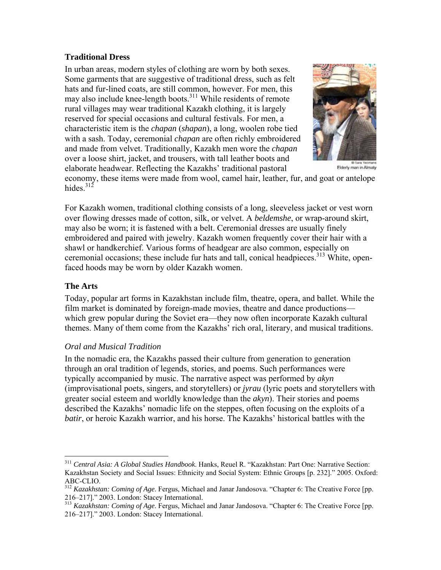#### **Traditional Dress**

In urban areas, modern styles of clothing are worn by both sexes. Some garments that are suggestive of traditional dress, such as felt hats and fur-lined coats, are still common, however. For men, this may also include knee-length boots. $311$  While residents of remote rural villages may wear traditional Kazakh clothing, it is largely reserved for special occasions and cultural festivals. For men, a characteristic item is the *chapan* (*shapan*), a long, woolen robe tied with a sash. Today, ceremonial *chapan* are often richly embroidered and made from velvet. Traditionally, Kazakh men wore the *chapan* over a loose shirt, jacket, and trousers, with tall leather boots and elaborate headwear. Reflecting the Kazakhs' traditional pastoral



Elderly man in Almaty

economy, these items were made from wool, camel hair, leather, fur, and goat or antelope hides  $312$ 

For Kazakh women, traditional clothing consists of a long, sleeveless jacket or vest worn over flowing dresses made of cotton, silk, or velvet. A *beldemshe*, or wrap-around skirt, may also be worn; it is fastened with a belt. Ceremonial dresses are usually finely embroidered and paired with jewelry. Kazakh women frequently cover their hair with a shawl or handkerchief. Various forms of headgear are also common, especially on ceremonial occasions; these include fur hats and tall, conical headpieces.<sup>313</sup> White, openfaced hoods may be worn by older Kazakh women.

#### **The Arts**

<u>.</u>

Today, popular art forms in Kazakhstan include film, theatre, opera, and ballet. While the film market is dominated by foreign-made movies, theatre and dance productions which grew popular during the Soviet era—they now often incorporate Kazakh cultural themes. Many of them come from the Kazakhs' rich oral, literary, and musical traditions.

#### *Oral and Musical Tradition*

In the nomadic era, the Kazakhs passed their culture from generation to generation through an oral tradition of legends, stories, and poems. Such performances were typically accompanied by music. The narrative aspect was performed by *akyn* (improvisational poets, singers, and storytellers) or *jyrau* (lyric poets and storytellers with greater social esteem and worldly knowledge than the *akyn*). Their stories and poems described the Kazakhs' nomadic life on the steppes, often focusing on the exploits of a *batir*, or heroic Kazakh warrior, and his horse. The Kazakhs' historical battles with the

<sup>311</sup> *Central Asia: A Global Studies Handbook*. Hanks, Reuel R. "Kazakhstan: Part One: Narrative Section: Kazakhstan Society and Social Issues: Ethnicity and Social System: Ethnic Groups [p. 232]." 2005. Oxford: ABC-CLIO.

<sup>312</sup> *Kazakhstan: Coming of Age*. Fergus, Michael and Janar Jandosova. "Chapter 6: The Creative Force [pp.

<sup>216–217].&</sup>quot; 2003. London: Stacey International. 313 *Kazakhstan: Coming of Age*. Fergus, Michael and Janar Jandosova. "Chapter 6: The Creative Force [pp. 216–217]." 2003. London: Stacey International.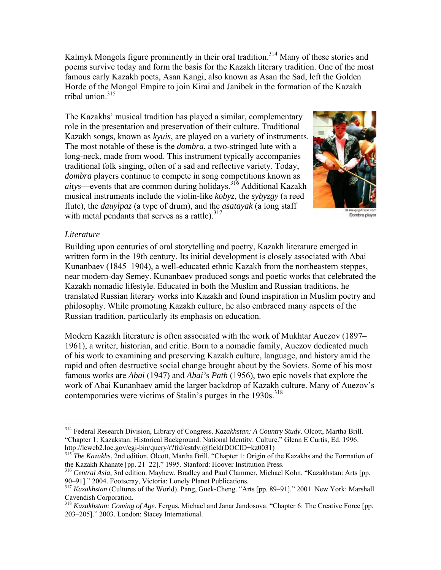Kalmyk Mongols figure prominently in their oral tradition.<sup>314</sup> Many of these stories and poems survive today and form the basis for the Kazakh literary tradition. One of the most famous early Kazakh poets, Asan Kangi, also known as Asan the Sad, left the Golden Horde of the Mongol Empire to join Kirai and Janibek in the formation of the Kazakh tribal union. $315$ 

The Kazakhs' musical tradition has played a similar, complementary role in the presentation and preservation of their culture. Traditional Kazakh songs, known as *kyuis*, are played on a variety of instruments. The most notable of these is the *dombra*, a two-stringed lute with a long-neck, made from wood. This instrument typically accompanies traditional folk singing, often of a sad and reflective variety. Today, *dombra* players continue to compete in song competitions known as *aitys*—events that are common during holidays.316 Additional Kazakh musical instruments include the violin-like *kobyz*, the *sybyzgy* (a reed flute), the *dauylpaz* (a type of drum), and the *asatayak* (a long staff with metal pendants that serves as a rattle). $317$ 



Dombra player

#### *Literature*

 $\overline{a}$ 

Building upon centuries of oral storytelling and poetry, Kazakh literature emerged in written form in the 19th century. Its initial development is closely associated with Abai Kunanbaev (1845–1904), a well-educated ethnic Kazakh from the northeastern steppes, near modern-day Semey. Kunanbaev produced songs and poetic works that celebrated the Kazakh nomadic lifestyle. Educated in both the Muslim and Russian traditions, he translated Russian literary works into Kazakh and found inspiration in Muslim poetry and philosophy. While promoting Kazakh culture, he also embraced many aspects of the Russian tradition, particularly its emphasis on education.

Modern Kazakh literature is often associated with the work of Mukhtar Auezov (1897– 1961), a writer, historian, and critic. Born to a nomadic family, Auezov dedicated much of his work to examining and preserving Kazakh culture, language, and history amid the rapid and often destructive social change brought about by the Soviets. Some of his most famous works are *Abai* (1947) and *Abai's Path* (1956), two epic novels that explore the work of Abai Kunanbaev amid the larger backdrop of Kazakh culture. Many of Auezov's contemporaries were victims of Stalin's purges in the  $1930s$ .<sup>318</sup>

<sup>314</sup> Federal Research Division, Library of Congress. *Kazakhstan: A Country Study*. Olcott, Martha Brill. "Chapter 1: Kazakstan: Historical Background: National Identity: Culture." Glenn E Curtis, Ed. 1996. http://lcweb2.loc.gov/cgi-bin/query/r?frd/cstdy:@field(DOCID+kz0031)

<sup>&</sup>lt;sup>315</sup> *The Kazakhs*, 2nd edition. Olcott, Martha Brill. "Chapter 1: Origin of the Kazakhs and the Formation of the Kazakh Khanate [pp. 21–22]." 1995. Stanford: Hoover Institution Press.

<sup>&</sup>lt;sup>316</sup> Central Asia, 3rd edition. Mayhew, Bradley and Paul Clammer, Michael Kohn. "Kazakhstan: Arts [pp. 90–91]." 2004. Footscray, Victoria: Lonely Planet Publications.

<sup>317</sup> *Kazakhstan* (Cultures of the World). Pang, Guek-Cheng. "Arts [pp. 89–91]." 2001. New York: Marshall Cavendish Corporation.

<sup>318</sup> *Kazakhstan: Coming of Age*. Fergus, Michael and Janar Jandosova. "Chapter 6: The Creative Force [pp. 203–205]." 2003. London: Stacey International.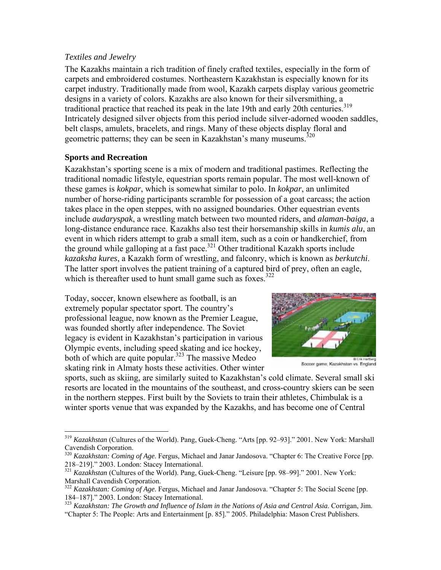## *Textiles and Jewelry*

The Kazakhs maintain a rich tradition of finely crafted textiles, especially in the form of carpets and embroidered costumes. Northeastern Kazakhstan is especially known for its carpet industry. Traditionally made from wool, Kazakh carpets display various geometric designs in a variety of colors. Kazakhs are also known for their silversmithing, a traditional practice that reached its peak in the late 19th and early 20th centuries.319 Intricately designed silver objects from this period include silver-adorned wooden saddles, belt clasps, amulets, bracelets, and rings. Many of these objects display floral and geometric patterns; they can be seen in Kazakhstan's many museums.<sup>320</sup>

# **Sports and Recreation**

 $\overline{a}$ 

Kazakhstan's sporting scene is a mix of modern and traditional pastimes. Reflecting the traditional nomadic lifestyle, equestrian sports remain popular. The most well-known of these games is *kokpar*, which is somewhat similar to polo. In *kokpar*, an unlimited number of horse-riding participants scramble for possession of a goat carcass; the action takes place in the open steppes, with no assigned boundaries. Other equestrian events include *audaryspak*, a wrestling match between two mounted riders, and *alaman-baiga*, a long-distance endurance race. Kazakhs also test their horsemanship skills in *kumis alu*, an event in which riders attempt to grab a small item, such as a coin or handkerchief, from the ground while galloping at a fast pace.<sup>321</sup> Other traditional Kazakh sports include *kazaksha kures*, a Kazakh form of wrestling, and falconry, which is known as *berkutchi*. The latter sport involves the patient training of a captured bird of prey, often an eagle, which is thereafter used to hunt small game such as foxes.<sup>322</sup>

Today, soccer, known elsewhere as football, is an extremely popular spectator sport. The country's professional league, now known as the Premier League, was founded shortly after independence. The Soviet legacy is evident in Kazakhstan's participation in various Olympic events, including speed skating and ice hockey, both of which are quite popular.<sup>323</sup> The massive Medeo skating rink in Almaty hosts these activities. Other winter



Soccer game, Kazakhstan vs. England

sports, such as skiing, are similarly suited to Kazakhstan's cold climate. Several small ski resorts are located in the mountains of the southeast, and cross-country skiers can be seen in the northern steppes. First built by the Soviets to train their athletes, Chimbulak is a winter sports venue that was expanded by the Kazakhs, and has become one of Central

<sup>319</sup> *Kazakhstan* (Cultures of the World). Pang, Guek-Cheng. "Arts [pp. 92–93]." 2001. New York: Marshall Cavendish Corporation.

<sup>&</sup>lt;sup>320</sup> *Kazakhstan: Coming of Age*. Fergus, Michael and Janar Jandosova. "Chapter 6: The Creative Force [pp. 218–219]." 2003. London: Stacey International.

<sup>&</sup>lt;sup>321</sup> Kazakhstan (Cultures of the World). Pang, Guek-Cheng. "Leisure [pp. 98–99]." 2001. New York: Marshall Cavendish Corporation.

<sup>322</sup> *Kazakhstan: Coming of Age*. Fergus, Michael and Janar Jandosova. "Chapter 5: The Social Scene [pp. 184–187]." 2003. London: Stacey International. 323 *Kazakhstan: The Growth and Influence of Islam in the Nations of Asia and Central Asia*. Corrigan, Jim.

<sup>&</sup>quot;Chapter 5: The People: Arts and Entertainment [p. 85]." 2005. Philadelphia: Mason Crest Publishers.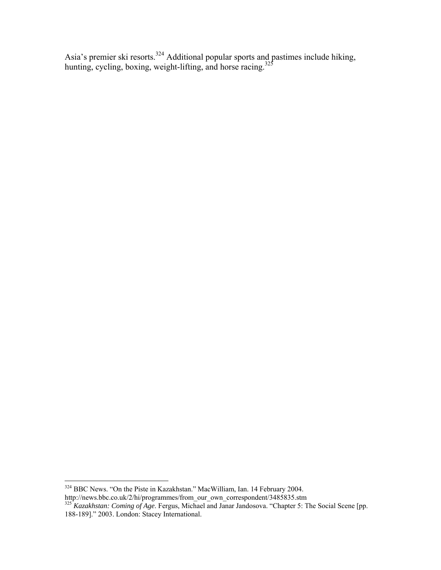Asia's premier ski resorts.<sup>324</sup> Additional popular sports and pastimes include hiking, hunting, cycling, boxing, weight-lifting, and horse racing.<sup>325</sup>

<u>.</u>

<sup>&</sup>lt;sup>324</sup> BBC News. "On the Piste in Kazakhstan." MacWilliam, Ian. 14 February 2004.

http://news.bbc.co.uk/2/hi/programmes/from\_our\_own\_correspondent/3485835.stm<br><sup>325</sup> *Kazakhstan: Coming of Age*. Fergus, Michael and Janar Jandosova. "Chapter 5: The Social Scene [pp. 188-189]." 2003. London: Stacey International.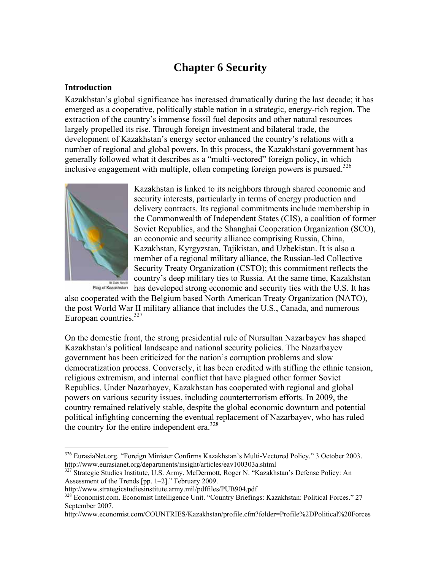# **Chapter 6 Security**

## **Introduction**

Kazakhstan's global significance has increased dramatically during the last decade; it has emerged as a cooperative, politically stable nation in a strategic, energy-rich region. The extraction of the country's immense fossil fuel deposits and other natural resources largely propelled its rise. Through foreign investment and bilateral trade, the development of Kazakhstan's energy sector enhanced the country's relations with a number of regional and global powers. In this process, the Kazakhstani government has generally followed what it describes as a "multi-vectored" foreign policy, in which inclusive engagement with multiple, often competing foreign powers is pursued. $326$ 



 $\overline{a}$ 

Kazakhstan is linked to its neighbors through shared economic and security interests, particularly in terms of energy production and delivery contracts. Its regional commitments include membership in the Commonwealth of Independent States (CIS), a coalition of former Soviet Republics, and the Shanghai Cooperation Organization (SCO), an economic and security alliance comprising Russia, China, Kazakhstan, Kyrgyzstan, Tajikistan, and Uzbekistan. It is also a member of a regional military alliance, the Russian-led Collective Security Treaty Organization (CSTO); this commitment reflects the country's deep military ties to Russia. At the same time, Kazakhstan has developed strong economic and security ties with the U.S. It has

also cooperated with the Belgium based North American Treaty Organization (NATO), the post World War II military alliance that includes the U.S., Canada, and numerous European countries.<sup>327</sup>

On the domestic front, the strong presidential rule of Nursultan Nazarbayev has shaped Kazakhstan's political landscape and national security policies. The Nazarbayev government has been criticized for the nation's corruption problems and slow democratization process. Conversely, it has been credited with stifling the ethnic tension, religious extremism, and internal conflict that have plagued other former Soviet Republics. Under Nazarbayev, Kazakhstan has cooperated with regional and global powers on various security issues, including counterterrorism efforts. In 2009, the country remained relatively stable, despite the global economic downturn and potential political infighting concerning the eventual replacement of Nazarbayev, who has ruled the country for the entire independent era.<sup>328</sup>

<sup>326</sup> EurasiaNet.org. "Foreign Minister Confirms Kazakhstan's Multi-Vectored Policy." 3 October 2003. http://www.eurasianet.org/departments/insight/articles/eav100303a.shtml 327 Strategic Studies Institute, U.S. Army. McDermott, Roger N. "Kazakhstan's Defense Policy: An

Assessment of the Trends [pp. 1–2]." February 2009.<br>http://www.strategicstudiesinstitute.army.mil/pdffiles/PUB904.pdf

<sup>&</sup>lt;sup>328</sup> Economist.com. Economist Intelligence Unit. "Country Briefings: Kazakhstan: Political Forces." 27 September 2007.

http://www.economist.com/COUNTRIES/Kazakhstan/profile.cfm?folder=Profile%2DPolitical%20Forces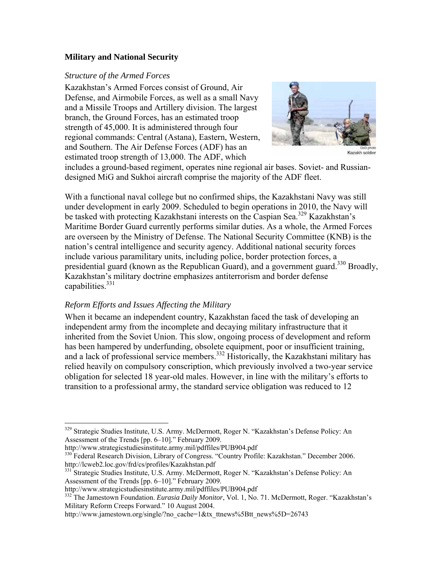## **Military and National Security**

#### *Structure of the Armed Forces*

Kazakhstan's Armed Forces consist of Ground, Air Defense, and Airmobile Forces, as well as a small Navy and a Missile Troops and Artillery division. The largest branch, the Ground Forces, has an estimated troop strength of 45,000. It is administered through four regional commands: Central (Astana), Eastern, Western, and Southern. The Air Defense Forces (ADF) has an estimated troop strength of 13,000. The ADF, which



includes a ground-based regiment, operates nine regional air bases. Soviet- and Russiandesigned MiG and Sukhoi aircraft comprise the majority of the ADF fleet.

With a functional naval college but no confirmed ships, the Kazakhstani Navy was still under development in early 2009. Scheduled to begin operations in 2010, the Navy will be tasked with protecting Kazakhstani interests on the Caspian Sea.<sup>329</sup> Kazakhstan's Maritime Border Guard currently performs similar duties. As a whole, the Armed Forces are overseen by the Ministry of Defense. The National Security Committee (KNB) is the nation's central intelligence and security agency. Additional national security forces include various paramilitary units, including police, border protection forces, a presidential guard (known as the Republican Guard), and a government guard.<sup>330</sup> Broadly, Kazakhstan's military doctrine emphasizes antiterrorism and border defense capabilities.<sup>331</sup>

### *Reform Efforts and Issues Affecting the Military*

When it became an independent country, Kazakhstan faced the task of developing an independent army from the incomplete and decaying military infrastructure that it inherited from the Soviet Union. This slow, ongoing process of development and reform has been hampered by underfunding, obsolete equipment, poor or insufficient training, and a lack of professional service members.<sup>332</sup> Historically, the Kazakhstani military has relied heavily on compulsory conscription, which previously involved a two-year service obligation for selected 18 year-old males. However, in line with the military's efforts to transition to a professional army, the standard service obligation was reduced to 12

1

<sup>329</sup> Strategic Studies Institute, U.S. Army. McDermott, Roger N. "Kazakhstan's Defense Policy: An Assessment of the Trends [pp. 6–10]." February 2009.<br>http://www.strategicstudiesinstitute.army.mil/pdffiles/PUB904.pdf

 $\frac{330}{330}$  Federal Research Division, Library of Congress. "Country Profile: Kazakhstan." December 2006.<br>http://lcweb2.loc.gov/frd/cs/profiles/Kazakhstan.pdf

<sup>&</sup>lt;sup>331</sup> Strategic Studies Institute, U.S. Army. McDermott, Roger N. "Kazakhstan's Defense Policy: An Assessment of the Trends [pp. 6–10]." February 2009.<br>http://www.strategicstudiesinstitute.army.mil/pdffiles/PUB904.pdf

<sup>&</sup>lt;sup>332</sup> The Jamestown Foundation. *Eurasia Daily Monitor*, Vol. 1, No. 71. McDermott, Roger. "Kazakhstan's Military Reform Creeps Forward." 10 August 2004.

http://www.jamestown.org/single/?no\_cache=1&tx\_ttnews%5Btt\_news%5D=26743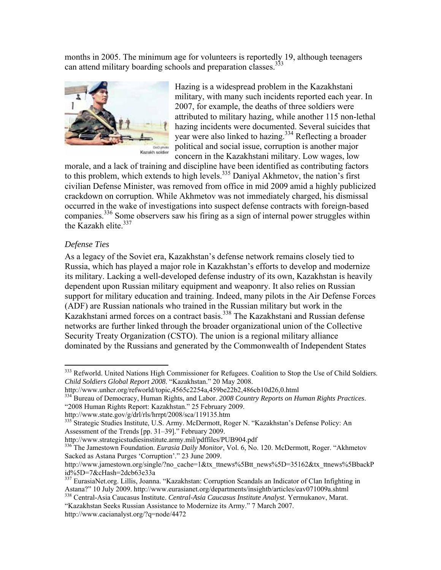months in 2005. The minimum age for volunteers is reportedly 19, although teenagers can attend military boarding schools and preparation classes.<sup>333</sup>



Hazing is a widespread problem in the Kazakhstani military, with many such incidents reported each year. In 2007, for example, the deaths of three soldiers were attributed to military hazing, while another 115 non-lethal hazing incidents were documented. Several suicides that year were also linked to hazing.<sup>334</sup> Reflecting a broader political and social issue, corruption is another major concern in the Kazakhstani military. Low wages, low

morale, and a lack of training and discipline have been identified as contributing factors to this problem, which extends to high levels.<sup>335</sup> Daniyal Akhmetov, the nation's first civilian Defense Minister, was removed from office in mid 2009 amid a highly publicized crackdown on corruption. While Akhmetov was not immediately charged, his dismissal occurred in the wake of investigations into suspect defense contracts with foreign-based companies.<sup>336</sup> Some observers saw his firing as a sign of internal power struggles within the Kazakh elite.<sup>337</sup>

### *Defense Ties*

 $\overline{a}$ 

As a legacy of the Soviet era, Kazakhstan's defense network remains closely tied to Russia, which has played a major role in Kazakhstan's efforts to develop and modernize its military. Lacking a well-developed defense industry of its own, Kazakhstan is heavily dependent upon Russian military equipment and weaponry. It also relies on Russian support for military education and training. Indeed, many pilots in the Air Defense Forces (ADF) are Russian nationals who trained in the Russian military but work in the Kazakhstani armed forces on a contract basis.338 The Kazakhstani and Russian defense networks are further linked through the broader organizational union of the Collective Security Treaty Organization (CSTO). The union is a regional military alliance dominated by the Russians and generated by the Commonwealth of Independent States

<sup>&</sup>lt;sup>333</sup> Refworld. United Nations High Commissioner for Refugees. Coalition to Stop the Use of Child Soldiers. *Child Soldiers Global Report 2008*. "Kazakhstan." 20 May 2008.

http://www.unhcr.org/refworld/topic,4565c2254a,459be22b2,486cb10d26,0.html

<sup>334</sup> Bureau of Democracy, Human Rights, and Labor. *2008 Country Reports on Human Rights Practices*. "2008 Human Rights Report: Kazakhstan." 25 February 2009.<br>http://www.state.gov/g/drl/rls/hrrpt/2008/sca/119135.htm

<sup>335</sup> Strategic Studies Institute, U.S. Army. McDermott, Roger N. "Kazakhstan's Defense Policy: An Assessment of the Trends [pp. 31–39]." February 2009.<br>http://www.strategicstudiesinstitute.army.mil/pdffiles/PUB904.pdf

<sup>&</sup>lt;sup>336</sup> The Jamestown Foundation. *Eurasia Daily Monitor*, Vol. 6, No. 120. McDermott, Roger. "Akhmetov Sacked as Astana Purges 'Corruption'." 23 June 2009.

http://www.jamestown.org/single/?no\_cache=1&tx\_ttnews%5Btt\_news%5D=35162&tx\_ttnews%5BbackP id%5D=7&cHash=2dcb63e33a

<sup>&</sup>lt;sup>337</sup> EurasiaNet.org. Lillis, Joanna. "Kazakhstan: Corruption Scandals an Indicator of Clan Infighting in Astana?" 10 July 2009. http://www.eurasianet.org/departments/insightb/articles/eav071009a.shtml <sup>338</sup> Central-Asia Caucasus Institute. *Central-Asia Caucasus Institute Analyst*. Yermukanov, Marat.

<sup>&</sup>quot;Kazakhstan Seeks Russian Assistance to Modernize its Army." 7 March 2007. http://www.cacianalyst.org/?q=node/4472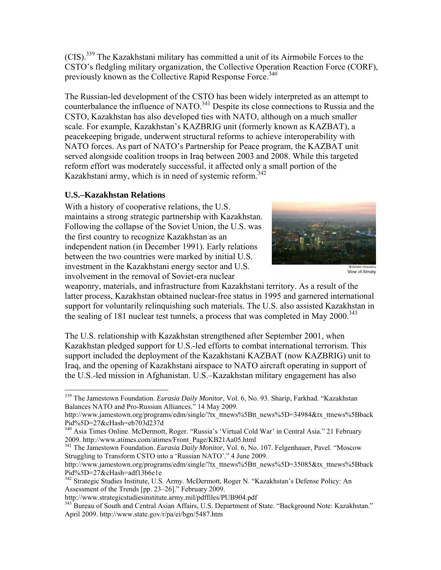(CIS).339 The Kazakhstani military has committed a unit of its Airmobile Forces to the CSTO's fledgling military organization, the Collective Operation Reaction Force (CORF), previously known as the Collective Rapid Response Force.<sup>340</sup>

The Russian-led development of the CSTO has been widely interpreted as an attempt to counterbalance the influence of NATO.<sup>341</sup> Despite its close connections to Russia and the CSTO, Kazakhstan has also developed ties with NATO, although on a much smaller scale. For example, Kazakhstan's KAZBRIG unit (formerly known as KAZBAT), a peacekeeping brigade, underwent structural reforms to achieve interoperability with NATO forces. As part of NATO's Partnership for Peace program, the KAZBAT unit served alongside coalition troops in Iraq between 2003 and 2008. While this targeted reform effort was moderately successful, it affected only a small portion of the Kazakhstani army, which is in need of systemic reform.<sup>342</sup>

# **U.S.–Kazakhstan Relations**

With a history of cooperative relations, the U.S. maintains a strong strategic partnership with Kazakhstan. Following the collapse of the Soviet Union, the U.S. was the first country to recognize Kazakhstan as an independent nation (in December 1991). Early relations between the two countries were marked by initial U.S. investment in the Kazakhstani energy sector and U.S. involvement in the removal of Soviet-era nuclear



View of Almaty

weaponry, materials, and infrastructure from Kazakhstani territory. As a result of the latter process, Kazakhstan obtained nuclear-free status in 1995 and garnered international support for voluntarily relinquishing such materials. The U.S. also assisted Kazakhstan in the sealing of 181 nuclear test tunnels, a process that was completed in May  $2000^{343}$ 

The U.S. relationship with Kazakhstan strengthened after September 2001, when Kazakhstan pledged support for U.S.-led efforts to combat international terrorism. This support included the deployment of the Kazakhstani KAZBAT (now KAZBRIG) unit to Iraq, and the opening of Kazakhstani airspace to NATO aircraft operating in support of the U.S.-led mission in Afghanistan. U.S.–Kazakhstan military engagement has also

<sup>1</sup> 339 The Jamestown Foundation. *Eurasia Daily Monitor*, Vol. 6, No. 93. Sharip, Farkhad. "Kazakhstan Balances NATO and Pro-Russian Alliances." 14 May 2009.

http://www.jamestown.org/programs/edm/single/?tx\_ttnews%5Btt\_news%5D=34984&tx\_ttnews%5Bback Pid%5D=27&cHash=eb703d237d

<sup>340</sup> Asia Times Online. McDermott, Roger. "Russia's 'Virtual Cold War' in Central Asia." 21 February 2009. http://www.atimes.com/atimes/Front\_Page/KB21Aa05.html

<sup>341</sup> The Jamestown Foundation. *Eurasia Daily Monitor*, Vol. 6, No. 107. Felgenhauer, Pavel. "Moscow Struggling to Transform CSTO into a 'Russian NATO'." 4 June 2009.

http://www.jamestown.org/programs/edm/single/?tx\_ttnews%5Btt\_news%5D=35085&tx\_ttnews%5Bback Pid%5D=27&cHash=adf13b6e1e

<sup>342</sup> Strategic Studies Institute, U.S. Army. McDermott, Roger N. "Kazakhstan's Defense Policy: An Assessment of the Trends [pp. 23–26]." February 2009.<br>http://www.strategicstudiesinstitute.army.mil/pdffiles/PUB904.pdf

<sup>&</sup>lt;sup>343</sup> Bureau of South and Central Asian Affairs, U.S. Department of State. "Background Note: Kazakhstan." April 2009. http://www.state.gov/r/pa/ei/bgn/5487.htm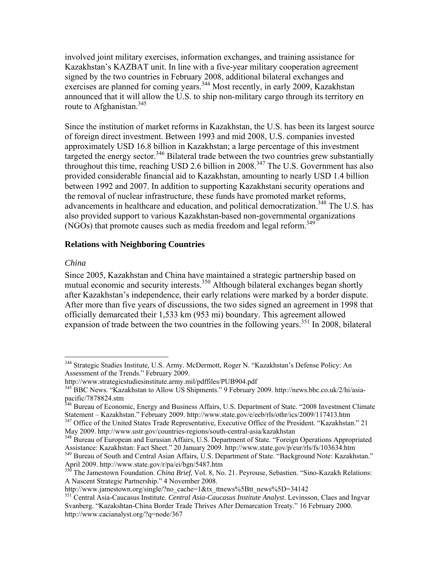involved joint military exercises, information exchanges, and training assistance for Kazakhstan's KAZBAT unit. In line with a five-year military cooperation agreement signed by the two countries in February 2008, additional bilateral exchanges and exercises are planned for coming years.<sup>344</sup> Most recently, in early 2009, Kazakhstan announced that it will allow the U.S. to ship non-military cargo through its territory en route to Afghanistan.<sup>345</sup>

Since the institution of market reforms in Kazakhstan, the U.S. has been its largest source of foreign direct investment. Between 1993 and mid 2008, U.S. companies invested approximately USD 16.8 billion in Kazakhstan; a large percentage of this investment targeted the energy sector.<sup>346</sup> Bilateral trade between the two countries grew substantially throughout this time, reaching USD 2.6 billion in 2008.347 The U.S. Government has also provided considerable financial aid to Kazakhstan, amounting to nearly USD 1.4 billion between 1992 and 2007. In addition to supporting Kazakhstani security operations and the removal of nuclear infrastructure, these funds have promoted market reforms, advancements in healthcare and education, and political democratization.<sup>348</sup> The U.S. has also provided support to various Kazakhstan-based non-governmental organizations (NGOs) that promote causes such as media freedom and legal reform.<sup>349</sup>

#### **Relations with Neighboring Countries**

#### *China*

 $\overline{a}$ 

Since 2005, Kazakhstan and China have maintained a strategic partnership based on mutual economic and security interests.<sup>350</sup> Although bilateral exchanges began shortly after Kazakhstan's independence, their early relations were marked by a border dispute. After more than five years of discussions, the two sides signed an agreement in 1998 that officially demarcated their 1,533 km (953 mi) boundary. This agreement allowed expansion of trade between the two countries in the following years.<sup>351</sup> In 2008, bilateral

<sup>&</sup>lt;sup>344</sup> Strategic Studies Institute, U.S. Army. McDermott, Roger N. "Kazakhstan's Defense Policy: An Assessment of the Trends." February 2009.

http://www.strategicstudiesinstitute.army.mil/pdffiles/PUB904.pdf<br><sup>345</sup> BBC News. "Kazakhstan to Allow US Shipments." 9 February 2009. http://news.bbc.co.uk/2/hi/asiapacific/7878824.stm

<sup>&</sup>lt;sup>346</sup> Bureau of Economic, Energy and Business Affairs, U.S. Department of State. "2008 Investment Climate Statement – Kazakhstan." February 2009. http://www.state.gov/e/eeb/rls/othr/ics/2009/117413.htm 347 Office of the United States Trade Representative, Executive Office of the President. "Kazakhstan." 21

May 2009. http://www.ustr.gov/countries-regions/south-central-asia/kazakhstan

<sup>&</sup>lt;sup>348</sup> Bureau of European and Eurasian Affairs, U.S. Department of State. "Foreign Operations Appropriated Assistance: Kazakhstan: Fact Sheet." 20 January 2009. http://www.state.gov/p/eur/rls/fs/103634.htm

<sup>&</sup>lt;sup>349</sup> Bureau of South and Central Asian Affairs, U.S. Department of State. "Background Note: Kazakhstan."<br>April 2009. http://www.state.gov/r/pa/ei/bgn/5487.htm

<sup>&</sup>lt;sup>350</sup> The Jamestown Foundation. *China Brief*, Vol. 8, No. 21. Peyrouse, Sebastien. "Sino-Kazakh Relations: A Nascent Strategic Partnership." 4 November 2008.<br>http://www.jamestown.org/single/?no\_cache=1&tx\_ttnews%5Btt\_news%5D=34142

<sup>&</sup>lt;sup>351</sup> Central Asia-Caucasus Institute. *Central Asia-Caucasus Institute Analyst*. Levinsson, Claes and Ingvar Svanberg. "Kazakshtan-China Border Trade Thrives After Demarcation Treaty." 16 February 2000. http://www.cacianalyst.org/?q=node/367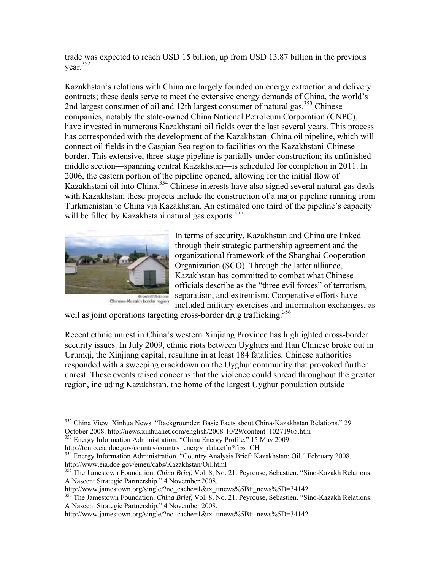trade was expected to reach USD 15 billion, up from USD 13.87 billion in the previous year.352

Kazakhstan's relations with China are largely founded on energy extraction and delivery contracts; these deals serve to meet the extensive energy demands of China, the world's 2nd largest consumer of oil and 12th largest consumer of natural gas.<sup>353</sup> Chinese companies, notably the state-owned China National Petroleum Corporation (CNPC), have invested in numerous Kazakhstani oil fields over the last several years. This process has corresponded with the development of the Kazakhstan–China oil pipeline, which will connect oil fields in the Caspian Sea region to facilities on the Kazakhstani-Chinese border. This extensive, three-stage pipeline is partially under construction; its unfinished middle section—spanning central Kazakhstan—is scheduled for completion in 2011. In 2006, the eastern portion of the pipeline opened, allowing for the initial flow of Kazakhstani oil into China.<sup>354</sup> Chinese interests have also signed several natural gas deals with Kazakhstan; these projects include the construction of a major pipeline running from Turkmenistan to China via Kazakhstan. An estimated one third of the pipeline's capacity will be filled by Kazakhstani natural gas exports.<sup>355</sup>



1

Chinese-Kazakh border region

In terms of security, Kazakhstan and China are linked through their strategic partnership agreement and the organizational framework of the Shanghai Cooperation Organization (SCO). Through the latter alliance, Kazakhstan has committed to combat what Chinese officials describe as the "three evil forces" of terrorism, separatism, and extremism. Cooperative efforts have included military exercises and information exchanges, as

well as joint operations targeting cross-border drug trafficking.<sup>356</sup>

Recent ethnic unrest in China's western Xinjiang Province has highlighted cross-border security issues. In July 2009, ethnic riots between Uyghurs and Han Chinese broke out in Urumqi, the Xinjiang capital, resulting in at least 184 fatalities. Chinese authorities responded with a sweeping crackdown on the Uyghur community that provoked further unrest. These events raised concerns that the violence could spread throughout the greater region, including Kazakhstan, the home of the largest Uyghur population outside

<sup>&</sup>lt;sup>352</sup> China View. Xinhua News. "Backgrounder: Basic Facts about China-Kazakhstan Relations." 29 October 2008. http://news.xinhuanet.com/english/2008-10/29/content\_10271965.htm 353 Energy Information Administration. "China Energy Profile." 15 May 2009.

<sup>&</sup>lt;sup>354</sup> Energy Information Administration. "Country Analysis Brief: Kazakhstan: Oil." February 2008.<br>http://www.eia.doe.gov/emeu/cabs/Kazakhstan/Oil.html

<sup>&</sup>lt;sup>355</sup> The Jamestown Foundation. *China Brief*, Vol. 8, No. 21. Peyrouse, Sebastien. "Sino-Kazakh Relations: A Nascent Strategic Partnership." 4 November 2008.<br>http://www.jamestown.org/single/?no\_cache=1&tx\_ttnews%5Btt\_news%5D=34142

<sup>&</sup>lt;sup>356</sup> The Jamestown Foundation. *China Brief*, Vol. 8, No. 21. Peyrouse, Sebastien. "Sino-Kazakh Relations: A Nascent Strategic Partnership." 4 November 2008.

http://www.jamestown.org/single/?no\_cache=1&tx\_ttnews%5Btt\_news%5D=34142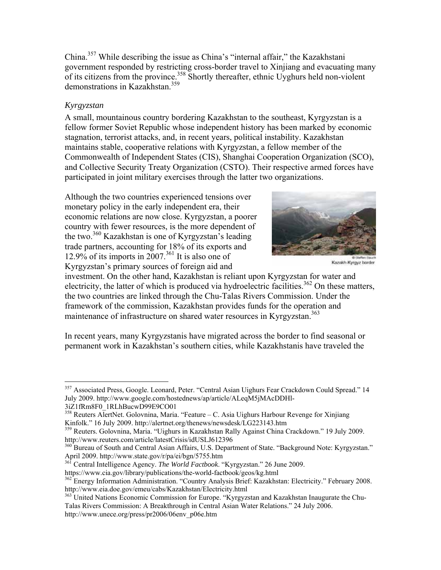China.357 While describing the issue as China's "internal affair," the Kazakhstani government responded by restricting cross-border travel to Xinjiang and evacuating many of its citizens from the province.<sup>358</sup> Shortly thereafter, ethnic Uyghurs held non-violent demonstrations in Kazakhstan.359

# *Kyrgyzstan*

A small, mountainous country bordering Kazakhstan to the southeast, Kyrgyzstan is a fellow former Soviet Republic whose independent history has been marked by economic stagnation, terrorist attacks, and, in recent years, political instability. Kazakhstan maintains stable, cooperative relations with Kyrgyzstan, a fellow member of the Commonwealth of Independent States (CIS), Shanghai Cooperation Organization (SCO), and Collective Security Treaty Organization (CSTO). Their respective armed forces have participated in joint military exercises through the latter two organizations.

Although the two countries experienced tensions over monetary policy in the early independent era, their economic relations are now close. Kyrgyzstan, a poorer country with fewer resources, is the more dependent of the two.360 Kazakhstan is one of Kyrgyzstan's leading trade partners, accounting for 18% of its exports and 12.9% of its imports in  $2007$ .<sup>361</sup> It is also one of Kyrgyzstan's primary sources of foreign aid and



Kazakh-Kyrgyz border

investment. On the other hand, Kazakhstan is reliant upon Kyrgyzstan for water and electricity, the latter of which is produced via hydroelectric facilities.<sup>362</sup> On these matters, the two countries are linked through the Chu-Talas Rivers Commission. Under the framework of the commission, Kazakhstan provides funds for the operation and maintenance of infrastructure on shared water resources in Kyrgyzstan.<sup>363</sup>

In recent years, many Kyrgyzstanis have migrated across the border to find seasonal or permanent work in Kazakhstan's southern cities, while Kazakhstanis have traveled the

 $\overline{a}$ <sup>357</sup> Associated Press, Google. Leonard, Peter. "Central Asian Uighurs Fear Crackdown Could Spread." 14 July 2009. http://www.google.com/hostednews/ap/article/ALeqM5jMAcDDHl-

<sup>3</sup>iZ1fRm8F0\_1RLhBucwD99E9CO01

<sup>&</sup>lt;sup>358</sup> Reuters AlertNet. Golovnina, Maria. "Feature – C. Asia Uighurs Harbour Revenge for Xinjiang Kinfolk." 16 July 2009. http://alertnet.org/thenews/newsdesk/LG223143.htm

<sup>&</sup>lt;sup>359</sup> Reuters. Golovnina, Maria. "Uighurs in Kazakhstan Rally Against China Crackdown." 19 July 2009.<br>http://www.reuters.com/article/latestCrisis/idUSLJ612396

<sup>&</sup>lt;sup>360</sup> Bureau of South and Central Asian Affairs, U.S. Department of State. "Background Note: Kyrgyzstan."

April 2009. http://www.state.gov/r/pa/ei/bgn/5755.htm<br><sup>361</sup> Central Intelligence Agency. *The World Factbook*. "Kyrgyzstan." 26 June 2009.<br>https://www.cia.gov/library/publications/the-world-factbook/geos/kg.html

<sup>&</sup>lt;sup>362</sup> Energy Information Administration. "Country Analysis Brief: Kazakhstan: Electricity." February 2008. http://www.eia.doe.gov/emeu/cabs/Kazakhstan/Electricity.html

<sup>&</sup>lt;sup>363</sup> United Nations Economic Commission for Europe. "Kyrgyzstan and Kazakhstan Inaugurate the Chu-Talas Rivers Commission: A Breakthrough in Central Asian Water Relations." 24 July 2006. http://www.unece.org/press/pr2006/06env\_p06e.htm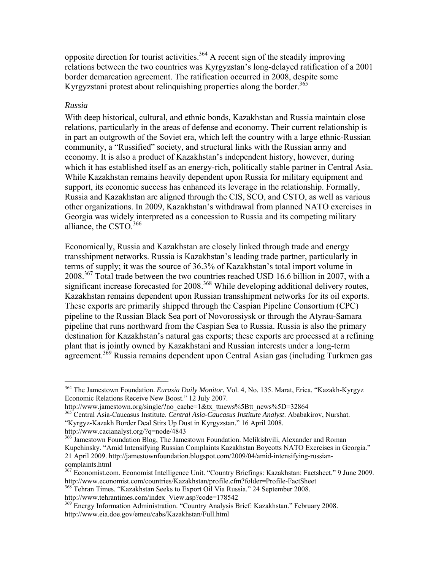opposite direction for tourist activities.<sup>364</sup> A recent sign of the steadily improving relations between the two countries was Kyrgyzstan's long-delayed ratification of a 2001 border demarcation agreement. The ratification occurred in 2008, despite some Kyrgyzstani protest about relinquishing properties along the border.<sup>365</sup>

### *Russia*

1

With deep historical, cultural, and ethnic bonds, Kazakhstan and Russia maintain close relations, particularly in the areas of defense and economy. Their current relationship is in part an outgrowth of the Soviet era, which left the country with a large ethnic-Russian community, a "Russified" society, and structural links with the Russian army and economy. It is also a product of Kazakhstan's independent history, however, during which it has established itself as an energy-rich, politically stable partner in Central Asia. While Kazakhstan remains heavily dependent upon Russia for military equipment and support, its economic success has enhanced its leverage in the relationship. Formally, Russia and Kazakhstan are aligned through the CIS, SCO, and CSTO, as well as various other organizations. In 2009, Kazakhstan's withdrawal from planned NATO exercises in Georgia was widely interpreted as a concession to Russia and its competing military alliance, the CSTO.366

Economically, Russia and Kazakhstan are closely linked through trade and energy transshipment networks. Russia is Kazakhstan's leading trade partner, particularly in terms of supply; it was the source of 36.3% of Kazakhstan's total import volume in 2008.<sup>367</sup> Total trade between the two countries reached USD 16.6 billion in 2007, with a significant increase forecasted for 2008.<sup>368</sup> While developing additional delivery routes, Kazakhstan remains dependent upon Russian transshipment networks for its oil exports. These exports are primarily shipped through the Caspian Pipeline Consortium (CPC) pipeline to the Russian Black Sea port of Novorossiysk or through the Atyrau-Samara pipeline that runs northward from the Caspian Sea to Russia. Russia is also the primary destination for Kazakhstan's natural gas exports; these exports are processed at a refining plant that is jointly owned by Kazakhstani and Russian interests under a long-term agreement.369 Russia remains dependent upon Central Asian gas (including Turkmen gas

"Kyrgyz-Kazakh Border Deal Stirs Up Dust in Kyrgyzstan." 16 April 2008.

http://www.cacianalyst.org/?q=node/4843

http://www.tehrantimes.com/index\_View.asp?code=178542

<sup>364</sup> The Jamestown Foundation. *Eurasia Daily Monitor*, Vol. 4, No. 135. Marat, Erica. "Kazakh-Kyrgyz Economic Relations Receive New Boost." 12 July 2007.

http://www.jamestown.org/single/?no\_cache=1&tx\_ttnews%5Btt\_news%5D=32864 365 Central Asia-Caucasus Institute. *Central Asia-Caucasus Institute Analyst*. Ababakirov, Nurshat.

<sup>&</sup>lt;sup>366</sup> Jamestown Foundation Blog, The Jamestown Foundation. Melikishvili, Alexander and Roman Kupchinsky. "Amid Intensifying Russian Complaints Kazakhstan Boycotts NATO Exercises in Georgia." 21 April 2009. http://jamestownfoundation.blogspot.com/2009/04/amid-intensifying-russiancomplaints.html

<sup>&</sup>lt;sup>367</sup> Economist.com. Economist Intelligence Unit. "Country Briefings: Kazakhstan: Factsheet." 9 June 2009. http://www.economist.com/countries/Kazakhstan/profile.cfm?folder=Profile-FactSheet 368 Tehran Times. "Kazakhstan Seeks to Export Oil Via Russia." 24 September 2008.

<sup>&</sup>lt;sup>369</sup> Energy Information Administration. "Country Analysis Brief: Kazakhstan." February 2008. http://www.eia.doe.gov/emeu/cabs/Kazakhstan/Full.html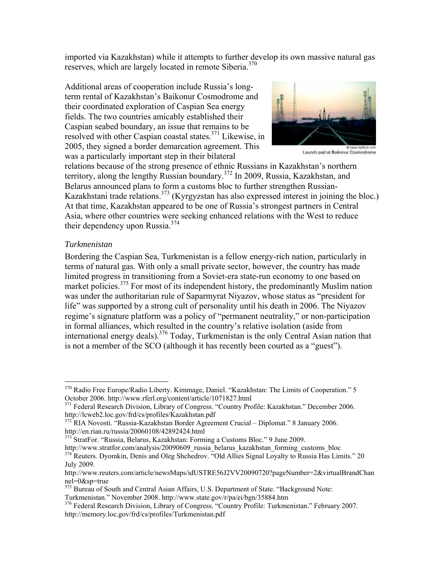imported via Kazakhstan) while it attempts to further develop its own massive natural gas reserves, which are largely located in remote Siberia.<sup>370</sup>

Additional areas of cooperation include Russia's longterm rental of Kazakhstan's Baikonur Cosmodrome and their coordinated exploration of Caspian Sea energy fields. The two countries amicably established their Caspian seabed boundary, an issue that remains to be resolved with other Caspian coastal states.<sup>371</sup> Likewise, in 2005, they signed a border demarcation agreement. This was a particularly important step in their bilateral



e nasa to dictation<br>Launch pad at Baikonur Cosmodrome

relations because of the strong presence of ethnic Russians in Kazakhstan's northern territory, along the lengthy Russian boundary.372 In 2009, Russia, Kazakhstan, and Belarus announced plans to form a customs bloc to further strengthen Russian-Kazakhstani trade relations.  $373$  (Kyrgyzstan has also expressed interest in joining the bloc.) At that time, Kazakhstan appeared to be one of Russia's strongest partners in Central Asia, where other countries were seeking enhanced relations with the West to reduce their dependency upon Russia.<sup>374</sup>

### *Turkmenistan*

Bordering the Caspian Sea, Turkmenistan is a fellow energy-rich nation, particularly in terms of natural gas. With only a small private sector, however, the country has made limited progress in transitioning from a Soviet-era state-run economy to one based on market policies.<sup>375</sup> For most of its independent history, the predominantly Muslim nation was under the authoritarian rule of Saparmyrat Niyazov, whose status as "president for life" was supported by a strong cult of personality until his death in 2006. The Niyazov regime's signature platform was a policy of "permanent neutrality," or non-participation in formal alliances, which resulted in the country's relative isolation (aside from international energy deals).376 Today, Turkmenistan is the only Central Asian nation that is not a member of the SCO (although it has recently been courted as a "guest").

<sup>373</sup> StratFor. "Russia, Belarus, Kazakhstan: Forming a Customs Bloc." 9 June 2009.<br>http://www.stratfor.com/analysis/20090609 russia belarus kazakhstan forming customs bloc  $\frac{374}{374}$  Reuters. Dyomkin, Denis and Oleg Shchedrov. "Old Allies Signal Loyalty to Russia Has Limits." 20

 $\overline{a}$ <sup>370</sup> Radio Free Europe/Radio Liberty. Kimmage, Daniel. "Kazakhstan: The Limits of Cooperation." 5 October 2006. http://www.rferl.org/content/article/1071827.html 371 Federal Research Division, Library of Congress. "Country Profile: Kazakhstan." December 2006.

http://lcweb2.loc.gov/frd/cs/profiles/Kazakhstan.pdf 372 RIA Novosti. "Russia-Kazakhstan Border Agreement Crucial – Diplomat." 8 January 2006.

http://en.rian.ru/russia/20060108/42892424.html

July 2009. http://www.reuters.com/article/newsMaps/idUSTRE56J2VV20090720?pageNumber=2&virtualBrandChan nel=0&sp=true

<sup>&</sup>lt;sup>375</sup> Bureau of South and Central Asian Affairs, U.S. Department of State. "Background Note: Turkmenistan." November 2008. http://www.state.gov/r/pa/ei/bgn/35884.htm

<sup>376</sup> Federal Research Division, Library of Congress. "Country Profile: Turkmenistan." February 2007. http://memory.loc.gov/frd/cs/profiles/Turkmenistan.pdf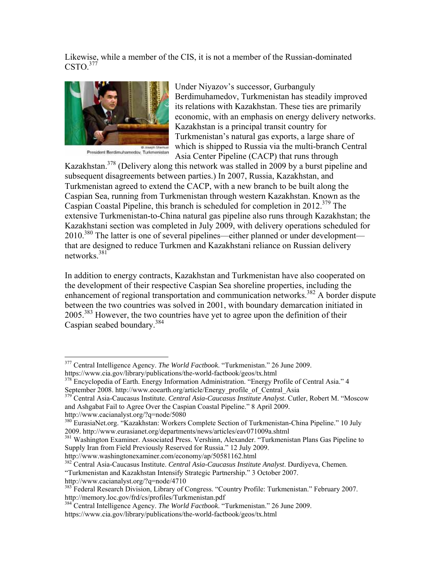Likewise, while a member of the CIS, it is not a member of the Russian-dominated  $\text{CSTO.}^{377}$ 



B Joseph Shemuel

Under Niyazov's successor, Gurbanguly Berdimuhamedov, Turkmenistan has steadily improved its relations with Kazakhstan. These ties are primarily economic, with an emphasis on energy delivery networks. Kazakhstan is a principal transit country for Turkmenistan's natural gas exports, a large share of which is shipped to Russia via the multi-branch Central Asia Center Pipeline (CACP) that runs through

Kazakhstan.378 (Delivery along this network was stalled in 2009 by a burst pipeline and subsequent disagreements between parties.) In 2007, Russia, Kazakhstan, and Turkmenistan agreed to extend the CACP, with a new branch to be built along the Caspian Sea, running from Turkmenistan through western Kazakhstan. Known as the Caspian Coastal Pipeline, this branch is scheduled for completion in  $2012^{379}$  The extensive Turkmenistan-to-China natural gas pipeline also runs through Kazakhstan; the Kazakhstani section was completed in July 2009, with delivery operations scheduled for  $2010^{380}$  The latter is one of several pipelines—either planned or under development that are designed to reduce Turkmen and Kazakhstani reliance on Russian delivery networks.381

In addition to energy contracts, Kazakhstan and Turkmenistan have also cooperated on the development of their respective Caspian Sea shoreline properties, including the enhancement of regional transportation and communication networks.<sup>382</sup> A border dispute between the two countries was solved in 2001, with boundary demarcation initiated in  $2005$ <sup>383</sup>. However, the two countries have yet to agree upon the definition of their Caspian seabed boundary.<sup>384</sup>

http://www.cacianalyst.org/?q=node/5080

 $\overline{a}$ 

```
380 EurasiaNet.org. "Kazakhstan: Workers Complete Section of Turkmenistan-China Pipeline." 10 July
2009. http://www.eurasianet.org/departments/news/articles/eav071009a.shtml 381 Washington Examiner. Associated Press. Vershinn, Alexander. "Turkmenistan Plans Gas Pipeline to
```
Supply Iran from Field Previously Reserved for Russia." 12 July 2009.

<sup>377</sup> Central Intelligence Agency. *The World Factbook*. "Turkmenistan." 26 June 2009. https://www.cia.gov/library/publications/the-world-factbook/geos/tx.html<br><sup>378</sup> Encyclopedia of Earth. Energy Information Administration. "Energy Profile of Central Asia." 4

September 2008. http://www.eoearth.org/article/Energy\_profile\_of\_Central\_Asia 379 Central Asia-Caucasus Institute. *Central Asia-Caucasus Institute Analyst*. Cutler, Robert M. "Moscow

and Ashgabat Fail to Agree Over the Caspian Coastal Pipeline." 8 April 2009.

http://www.washingtonexaminer.com/economy/ap/50581162.html 382 Central Asia-Caucasus Institute. *Central Asia-Caucasus Institute Analyst*. Durdiyeva, Chemen. "Turkmenistan and Kazakhstan Intensify Strategic Partnership." 3 October 2007. http://www.cacianalyst.org/?q=node/4710

<sup>&</sup>lt;sup>383</sup> Federal Research Division, Library of Congress. "Country Profile: Turkmenistan." February 2007. http://memory.loc.gov/frd/cs/profiles/Turkmenistan.pdf

<sup>&</sup>lt;sup>384</sup> Central Intelligence Agency. *The World Factbook*. "Turkmenistan." 26 June 2009. https://www.cia.gov/library/publications/the-world-factbook/geos/tx.html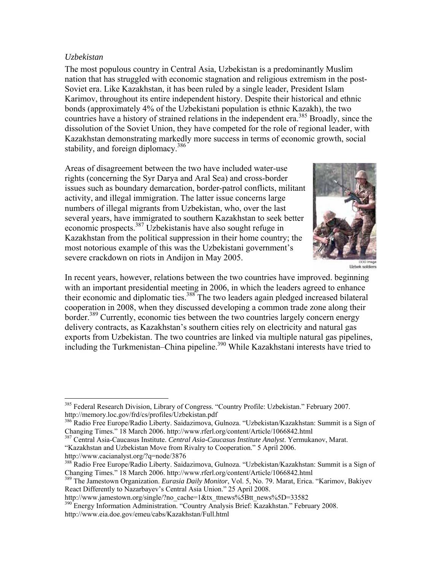### *Uzbekistan*

 $\overline{a}$ 

The most populous country in Central Asia, Uzbekistan is a predominantly Muslim nation that has struggled with economic stagnation and religious extremism in the post-Soviet era. Like Kazakhstan, it has been ruled by a single leader, President Islam Karimov, throughout its entire independent history. Despite their historical and ethnic bonds (approximately 4% of the Uzbekistani population is ethnic Kazakh), the two countries have a history of strained relations in the independent era.<sup>385</sup> Broadly, since the dissolution of the Soviet Union, they have competed for the role of regional leader, with Kazakhstan demonstrating markedly more success in terms of economic growth, social stability, and foreign diplomacy.<sup>386</sup>

Areas of disagreement between the two have included water-use rights (concerning the Syr Darya and Aral Sea) and cross-border issues such as boundary demarcation, border-patrol conflicts, militant activity, and illegal immigration. The latter issue concerns large numbers of illegal migrants from Uzbekistan, who, over the last several years, have immigrated to southern Kazakhstan to seek better economic prospects.387 Uzbekistanis have also sought refuge in Kazakhstan from the political suppression in their home country; the most notorious example of this was the Uzbekistani government's severe crackdown on riots in Andijon in May 2005.



Uzbek soldiers

In recent years, however, relations between the two countries have improved. beginning with an important presidential meeting in 2006, in which the leaders agreed to enhance their economic and diplomatic ties.<sup>388</sup> The two leaders again pledged increased bilateral cooperation in 2008, when they discussed developing a common trade zone along their border.<sup>389</sup> Currently, economic ties between the two countries largely concern energy delivery contracts, as Kazakhstan's southern cities rely on electricity and natural gas exports from Uzbekistan. The two countries are linked via multiple natural gas pipelines, including the Turkmenistan–China pipeline.<sup>390</sup> While Kazakhstani interests have tried to

387 Central Asia-Caucasus Institute. *Central Asia-Caucasus Institute Analyst*. Yermukanov, Marat.

"Kazakhstan and Uzbekistan Move from Rivalry to Cooperation." 5 April 2006. http://www.cacianalyst.org/?q=node/3876

<sup>&</sup>lt;sup>385</sup> Federal Research Division, Library of Congress. "Country Profile: Uzbekistan." February 2007. http://memory.loc.gov/frd/cs/profiles/Uzbekistan.pdf

<sup>386</sup> Radio Free Europe/Radio Liberty. Saidazimova, Gulnoza. "Uzbekistan/Kazakhstan: Summit is a Sign of Changing Times." 18 March 2006. http://www.rferl.org/content/Article/1066842.html

<sup>388</sup> Radio Free Europe/Radio Liberty. Saidazimova, Gulnoza. "Uzbekistan/Kazakhstan: Summit is a Sign of Changing Times." 18 March 2006. http://www.rferl.org/content/Article/1066842.html

<sup>389</sup> The Jamestown Organization. *Eurasia Daily Monitor*, Vol. 5, No. 79. Marat, Erica. "Karimov, Bakiyev React Differently to Nazarbayev's Central Asia Union." 25 April 2008.<br>http://www.jamestown.org/single/?no cache=1&tx ttnews%5Btt news%5D=33582

<sup>&</sup>lt;sup>390</sup> Energy Information Administration. "Country Analysis Brief: Kazakhstan." February 2008. http://www.eia.doe.gov/emeu/cabs/Kazakhstan/Full.html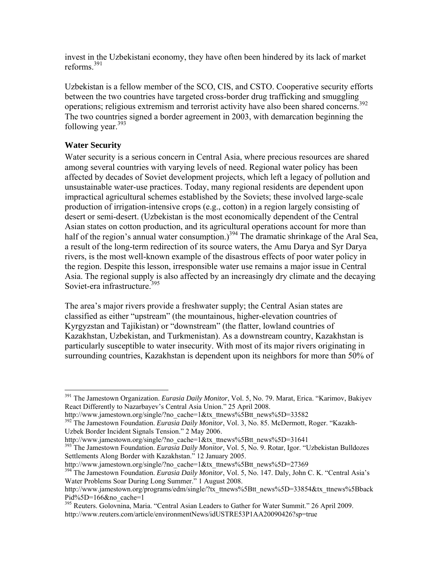invest in the Uzbekistani economy, they have often been hindered by its lack of market reforms<sup>391</sup>

Uzbekistan is a fellow member of the SCO, CIS, and CSTO. Cooperative security efforts between the two countries have targeted cross-border drug trafficking and smuggling operations; religious extremism and terrorist activity have also been shared concerns.<sup>392</sup> The two countries signed a border agreement in 2003, with demarcation beginning the following year.<sup>393</sup>

# **Water Security**

 $\overline{a}$ 

Water security is a serious concern in Central Asia, where precious resources are shared among several countries with varying levels of need. Regional water policy has been affected by decades of Soviet development projects, which left a legacy of pollution and unsustainable water-use practices. Today, many regional residents are dependent upon impractical agricultural schemes established by the Soviets; these involved large-scale production of irrigation-intensive crops (e.g., cotton) in a region largely consisting of desert or semi-desert. (Uzbekistan is the most economically dependent of the Central Asian states on cotton production, and its agricultural operations account for more than half of the region's annual water consumption.)<sup>394</sup> The dramatic shrinkage of the Aral Sea, a result of the long-term redirection of its source waters, the Amu Darya and Syr Darya rivers, is the most well-known example of the disastrous effects of poor water policy in the region. Despite this lesson, irresponsible water use remains a major issue in Central Asia. The regional supply is also affected by an increasingly dry climate and the decaying Soviet-era infrastructure.<sup>395</sup>

The area's major rivers provide a freshwater supply; the Central Asian states are classified as either "upstream" (the mountainous, higher-elevation countries of Kyrgyzstan and Tajikistan) or "downstream" (the flatter, lowland countries of Kazakhstan, Uzbekistan, and Turkmenistan). As a downstream country, Kazakhstan is particularly susceptible to water insecurity. With most of its major rivers originating in surrounding countries, Kazakhstan is dependent upon its neighbors for more than 50% of

<sup>393</sup> The Jamestown Foundation. *Eurasia Daily Monitor*, Vol. 5, No. 9. Rotar, Igor. "Uzbekistan Bulldozes

Settlements Along Border with Kazakhstan." 12 January 2005.<br>http://www.jamestown.org/single/?no\_cache=1&tx\_ttnews%5Btt\_news%5D=27369 <sup>394</sup> The Jamestown Foundation. *Eurasia Daily Monitor*, Vol. 5, No. 147. Daly, John C. K. "Central Asia's Water Problems Soar During Long Summer." 1 August 2008.

<sup>391</sup> The Jamestown Organization. *Eurasia Daily Monitor*, Vol. 5, No. 79. Marat, Erica. "Karimov, Bakiyev React Differently to Nazarbayev's Central Asia Union." 25 April 2008.

http://www.jamestown.org/single/?no\_cache=1&tx\_ttnews%5Btt\_news%5D=33582 392 The Jamestown Foundation. *Eurasia Daily Monitor*, Vol. 3, No. 85. McDermott, Roger. "Kazakh-Uzbek Border Incident Signals Tension." 2 May 2006.<br>http://www.jamestown.org/single/?no\_cache=1&tx\_ttnews%5Btt\_news%5D=31641

http://www.jamestown.org/programs/edm/single/?tx\_ttnews%5Btt\_news%5D=33854&tx\_ttnews%5Bback Pid%5D=166&no\_cache=1

<sup>&</sup>lt;sup>395</sup> Reuters. Golovnina, Maria. "Central Asian Leaders to Gather for Water Summit." 26 April 2009. http://www.reuters.com/article/environmentNews/idUSTRE53P1AA20090426?sp=true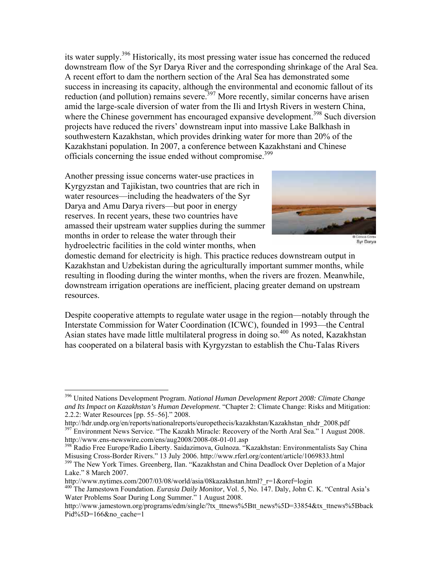its water supply.396 Historically, its most pressing water issue has concerned the reduced downstream flow of the Syr Darya River and the corresponding shrinkage of the Aral Sea. A recent effort to dam the northern section of the Aral Sea has demonstrated some success in increasing its capacity, although the environmental and economic fallout of its reduction (and pollution) remains severe.<sup>397</sup> More recently, similar concerns have arisen amid the large-scale diversion of water from the Ili and Irtysh Rivers in western China, where the Chinese government has encouraged expansive development.<sup>398</sup> Such diversion projects have reduced the rivers' downstream input into massive Lake Balkhash in southwestern Kazakhstan, which provides drinking water for more than 20% of the Kazakhstani population. In 2007, a conference between Kazakhstani and Chinese officials concerning the issue ended without compromise.<sup>399</sup>

Another pressing issue concerns water-use practices in Kyrgyzstan and Tajikistan, two countries that are rich in water resources—including the headwaters of the Syr Darya and Amu Darya rivers—but poor in energy reserves. In recent years, these two countries have amassed their upstream water supplies during the summer months in order to release the water through their hydroelectric facilities in the cold winter months, when

 $\overline{a}$ 



Syr Darya

domestic demand for electricity is high. This practice reduces downstream output in Kazakhstan and Uzbekistan during the agriculturally important summer months, while resulting in flooding during the winter months, when the rivers are frozen. Meanwhile, downstream irrigation operations are inefficient, placing greater demand on upstream resources.

Despite cooperative attempts to regulate water usage in the region—notably through the Interstate Commission for Water Coordination (ICWC), founded in 1993—the Central Asian states have made little multilateral progress in doing so.<sup>400</sup> As noted, Kazakhstan has cooperated on a bilateral basis with Kyrgyzstan to establish the Chu-Talas Rivers

<sup>396</sup> United Nations Development Program. *National Human Development Report 2008: Climate Change and Its Impact on Kazakhstan's Human Development*. "Chapter 2: Climate Change: Risks and Mitigation: 2.2.2: Water Resources [pp. 55–56]." 2008.<br>http://hdr.undp.org/en/reports/nationalreports/europethecis/kazakhstan/Kazakhstan nhdr 2008.pdf

<sup>&</sup>lt;sup>397</sup> Environment News Service. "The Kazakh Miracle: Recovery of the North Aral Sea." 1 August 2008.<br>http://www.ens-newswire.com/ens/aug2008/2008-08-01-01.asp

<sup>&</sup>lt;sup>398</sup> Radio Free Europe/Radio Liberty. Saidazimova, Gulnoza. "Kazakhstan: Environmentalists Say China Misusing Cross-Border Rivers." 13 July 2006. http://www.rferl.org/content/article/1069833.html<br><sup>399</sup> The New York Times. Greenberg, Ilan. "Kazakhstan and China Deadlock Over Depletion of a Major

Lake." 8 March 2007.

http://www.nytimes.com/2007/03/08/world/asia/08kazakhstan.html?\_r=1&oref=login<br><sup>400</sup> The Jamestown Foundation. *Eurasia Daily Monitor*, Vol. 5, No. 147. Daly, John C. K. "Central Asia's Water Problems Soar During Long Summer." 1 August 2008.

http://www.jamestown.org/programs/edm/single/?tx\_ttnews%5Btt\_news%5D=33854&tx\_ttnews%5Bback Pid%5D=166&no\_cache=1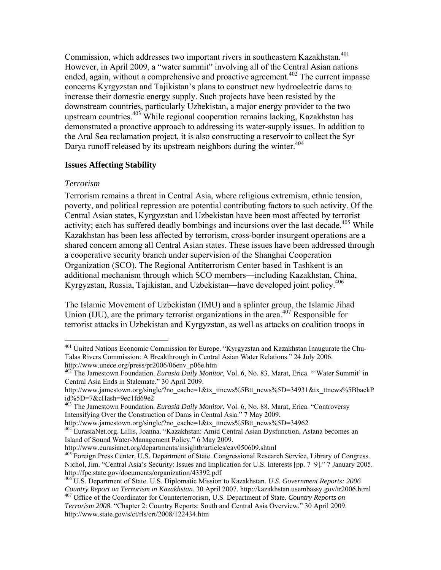Commission, which addresses two important rivers in southeastern Kazakhstan.<sup>401</sup> However, in April 2009, a "water summit" involving all of the Central Asian nations ended, again, without a comprehensive and proactive agreement.<sup> $402$ </sup> The current impasse concerns Kyrgyzstan and Tajikistan's plans to construct new hydroelectric dams to increase their domestic energy supply. Such projects have been resisted by the downstream countries, particularly Uzbekistan, a major energy provider to the two upstream countries.<sup>403</sup> While regional cooperation remains lacking, Kazakhstan has demonstrated a proactive approach to addressing its water-supply issues. In addition to the Aral Sea reclamation project, it is also constructing a reservoir to collect the Syr Darya runoff released by its upstream neighbors during the winter.<sup>404</sup>

## **Issues Affecting Stability**

### *Terrorism*

Terrorism remains a threat in Central Asia, where religious extremism, ethnic tension, poverty, and political repression are potential contributing factors to such activity. Of the Central Asian states, Kyrgyzstan and Uzbekistan have been most affected by terrorist activity; each has suffered deadly bombings and incursions over the last decade.<sup>405</sup> While Kazakhstan has been less affected by terrorism, cross-border insurgent operations are a shared concern among all Central Asian states. These issues have been addressed through a cooperative security branch under supervision of the Shanghai Cooperation Organization (SCO). The Regional Antiterrorism Center based in Tashkent is an additional mechanism through which SCO members—including Kazakhstan, China, Kyrgyzstan, Russia, Tajikistan, and Uzbekistan—have developed joint policy.<sup>406</sup>

The Islamic Movement of Uzbekistan (IMU) and a splinter group, the Islamic Jihad Union (IJU), are the primary terrorist organizations in the area.<sup>407</sup> Responsible for terrorist attacks in Uzbekistan and Kyrgyzstan, as well as attacks on coalition troops in

 $\overline{a}$ <sup>401</sup> United Nations Economic Commission for Europe. "Kyrgyzstan and Kazakhstan Inaugurate the Chu-Talas Rivers Commission: A Breakthrough in Central Asian Water Relations." 24 July 2006.<br>http://www.unece.org/press/pr2006/06env\_p06e.htm

<sup>&</sup>lt;sup>402</sup> The Jamestown Foundation. *Eurasia Daily Monitor*, Vol. 6, No. 83. Marat, Erica. "'Water Summit' in Central Asia Ends in Stalemate." 30 April 2009.

http://www.jamestown.org/single/?no\_cache=1&tx\_ttnews%5Btt\_news%5D=34931&tx\_ttnews%5BbackP id%5D=7&cHash=9ec1fd69e2

<sup>403</sup> The Jamestown Foundation. *Eurasia Daily Monitor*, Vol. 6, No. 88. Marat, Erica. "Controversy Intensifying Over the Construction of Dams in Central Asia." 7 May 2009.

http://www.jamestown.org/single/?no\_cache=1&tx\_ttnews%5Btt\_news%5D=34962 404 EurasiaNet.org. Lillis, Joanna. "Kazakhstan: Amid Central Asian Dysfunction, Astana becomes an Island of Sound Water-Management Policy." 6 May 2009.

<sup>&</sup>lt;sup>405</sup> Foreign Press Center, U.S. Department of State. Congressional Research Service, Library of Congress. Nichol, Jim. "Central Asia's Security: Issues and Implication for U.S. Interests [pp. 7–9]." 7 January 2005. http://fpc.state.gov/documents/organization/43392.pdf

<sup>406</sup> U.S. Department of State. U.S. Diplomatic Mission to Kazakhstan. *U.S. Government Reports: 2006*  <sup>407</sup> Office of the Coordinator for Counterterrorism, U.S. Department of State. *Country Reports on* 

*Terrorism 2008*. "Chapter 2: Country Reports: South and Central Asia Overview." 30 April 2009. http://www.state.gov/s/ct/rls/crt/2008/122434.htm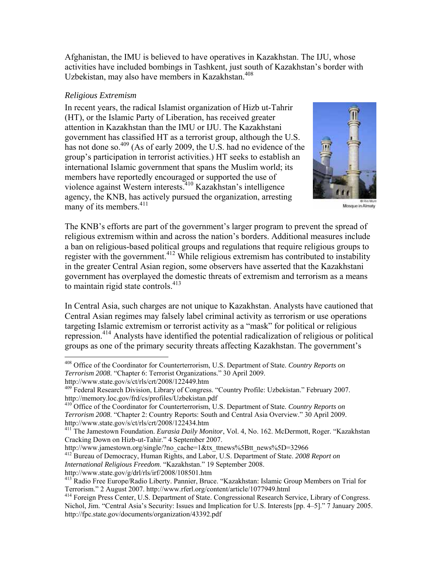Afghanistan, the IMU is believed to have operatives in Kazakhstan. The IJU, whose activities have included bombings in Tashkent, just south of Kazakhstan's border with Uzbekistan, may also have members in Kazakhstan.408

## *Religious Extremism*

In recent years, the radical Islamist organization of Hizb ut-Tahrir (HT), or the Islamic Party of Liberation, has received greater attention in Kazakhstan than the IMU or IJU. The Kazakhstani government has classified HT as a terrorist group, although the U.S. has not done so.<sup>409</sup> (As of early 2009, the U.S. had no evidence of the group's participation in terrorist activities.) HT seeks to establish an international Islamic government that spans the Muslim world; its members have reportedly encouraged or supported the use of violence against Western interests.410 Kazakhstan's intelligence agency, the KNB, has actively pursued the organization, arresting many of its members. $411$ 



Mosque in Almaty

The KNB's efforts are part of the government's larger program to prevent the spread of religious extremism within and across the nation's borders. Additional measures include a ban on religious-based political groups and regulations that require religious groups to register with the government.<sup>412</sup> While religious extremism has contributed to instability in the greater Central Asian region, some observers have asserted that the Kazakhstani government has overplayed the domestic threats of extremism and terrorism as a means to maintain rigid state controls.<sup>413</sup>

In Central Asia, such charges are not unique to Kazakhstan. Analysts have cautioned that Central Asian regimes may falsely label criminal activity as terrorism or use operations targeting Islamic extremism or terrorist activity as a "mask" for political or religious repression.<sup>414</sup> Analysts have identified the potential radicalization of religious or political groups as one of the primary security threats affecting Kazakhstan. The government's

 $\overline{a}$ 

<sup>412</sup> Bureau of Democracy, Human Rights, and Labor, U.S. Department of State. *2008 Report on International Religious Freedom*. "Kazakhstan." 19 September 2008.

<sup>408</sup> Office of the Coordinator for Counterterrorism, U.S. Department of State. *Country Reports on Terrorism 2008*. "Chapter 6: Terrorist Organizations." 30 April 2009.

http://www.state.gov/s/ct/rls/crt/2008/122449.htm

<sup>&</sup>lt;sup>409</sup> Federal Research Division, Library of Congress. "Country Profile: Uzbekistan." February 2007. http://memory.loc.gov/frd/cs/profiles/Uzbekistan.pdf

<sup>410</sup> Office of the Coordinator for Counterterrorism, U.S. Department of State. *Country Reports on Terrorism 2008*. "Chapter 2: Country Reports: South and Central Asia Overview." 30 April 2009. http://www.state.gov/s/ct/rls/crt/2008/122434.htm

<sup>411</sup> The Jamestown Foundation. *Eurasia Daily Monitor*, Vol. 4, No. 162. McDermott, Roger. "Kazakhstan Cracking Down on Hizb-ut-Tahir." 4 September 2007.<br>http://www.jamestown.org/single/?no cache=1&tx ttnews%5Btt news%5D=32966

<sup>&</sup>lt;sup>413</sup> Radio Free Europe/Radio Liberty. Pannier, Bruce. "Kazakhstan: Islamic Group Members on Trial for Terrorism." 2 August 2007. http://www.rferl.org/content/article/1077949.html

<sup>&</sup>lt;sup>414</sup> Foreign Press Center, U.S. Department of State. Congressional Research Service, Library of Congress. Nichol, Jim. "Central Asia's Security: Issues and Implication for U.S. Interests [pp. 4–5]." 7 January 2005. http://fpc.state.gov/documents/organization/43392.pdf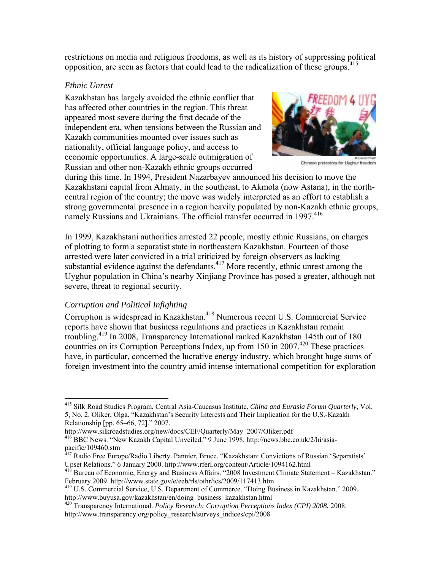restrictions on media and religious freedoms, as well as its history of suppressing political opposition, are seen as factors that could lead to the radicalization of these groups.<sup>415</sup>

### *Ethnic Unrest*

Kazakhstan has largely avoided the ethnic conflict that has affected other countries in the region. This threat appeared most severe during the first decade of the independent era, when tensions between the Russian and Kazakh communities mounted over issues such as nationality, official language policy, and access to economic opportunities. A large-scale outmigration of Russian and other non-Kazakh ethnic groups occurred



Chinese protestors for Uyghur freedom

during this time. In 1994, President Nazarbayev announced his decision to move the Kazakhstani capital from Almaty, in the southeast, to Akmola (now Astana), in the northcentral region of the country; the move was widely interpreted as an effort to establish a strong governmental presence in a region heavily populated by non-Kazakh ethnic groups, namely Russians and Ukrainians. The official transfer occurred in 1997.<sup>416</sup>

In 1999, Kazakhstani authorities arrested 22 people, mostly ethnic Russians, on charges of plotting to form a separatist state in northeastern Kazakhstan. Fourteen of those arrested were later convicted in a trial criticized by foreign observers as lacking substantial evidence against the defendants.<sup>417</sup> More recently, ethnic unrest among the Uyghur population in China's nearby Xinjiang Province has posed a greater, although not severe, threat to regional security.

# *Corruption and Political Infighting*

 $\overline{a}$ 

Corruption is widespread in Kazakhstan.<sup>418</sup> Numerous recent U.S. Commercial Service reports have shown that business regulations and practices in Kazakhstan remain troubling.419 In 2008, Transparency International ranked Kazakhstan 145th out of 180 countries on its Corruption Perceptions Index, up from 150 in 2007.<sup>420</sup> These practices have, in particular, concerned the lucrative energy industry, which brought huge sums of foreign investment into the country amid intense international competition for exploration

<sup>415</sup> Silk Road Studies Program, Central Asia-Caucasus Institute. *China and Eurasia Forum Quarterly*, Vol. 5, No. 2. Oliker, Olga. "Kazakhstan's Security Interests and Their Implication for the U.S.-Kazakh Relationship [pp. 65–66, 72]." 2007.

http://www.silkroadstudies.org/new/docs/CEF/Quarterly/May\_2007/Oliker.pdf<br><sup>416</sup> BBC News. "New Kazakh Capital Unveiled." 9 June 1998. http://news.bbc.co.uk/2/hi/asiapacific/109460.stm

<sup>&</sup>lt;sup>417</sup> Radio Free Europe/Radio Liberty. Pannier, Bruce. "Kazakhstan: Convictions of Russian 'Separatists'<br>Upset Relations." 6 January 2000. http://www.rferl.org/content/Article/1094162.html

<sup>&</sup>lt;sup>418</sup> Bureau of Economic, Energy and Business Affairs. "2008 Investment Climate Statement – Kazakhstan."<br>February 2009. http://www.state.gov/e/eeb/rls/othr/ics/2009/117413.htm

<sup>&</sup>lt;sup>419</sup> U.S. Commercial Service, U.S. Department of Commerce. "Doing Business in Kazakhstan." 2009. http://www.buyusa.gov/kazakhstan/en/doing\_business\_kazakhstan.html

<sup>420</sup> Transparency International. *Policy Research: Corruption Perceptions Index (CPI) 2008.* 2008. http://www.transparency.org/policy\_research/surveys\_indices/cpi/2008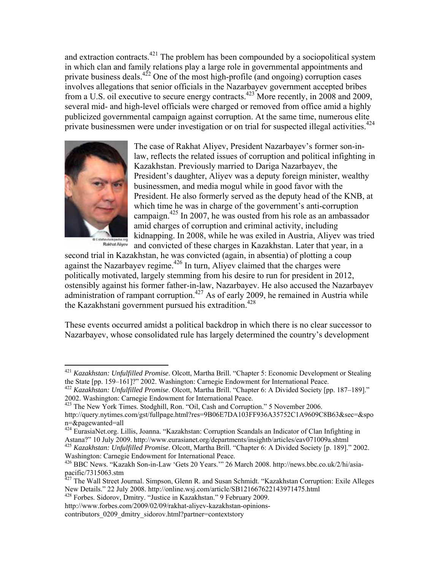and extraction contracts.<sup>421</sup> The problem has been compounded by a sociopolitical system in which clan and family relations play a large role in governmental appointments and private business deals.<sup> $422$ </sup> One of the most high-profile (and ongoing) corruption cases involves allegations that senior officials in the Nazarbayev government accepted bribes from a U.S. oil executive to secure energy contracts.<sup>423</sup> More recently, in 2008 and 2009, several mid- and high-level officials were charged or removed from office amid a highly publicized governmental campaign against corruption. At the same time, numerous elite private businessmen were under investigation or on trial for suspected illegal activities.<sup>424</sup>



1

steviwkpedia org<br>Rakhat Aliyev

The case of Rakhat Aliyev, President Nazarbayev's former son-inlaw, reflects the related issues of corruption and political infighting in Kazakhstan. Previously married to Dariga Nazarbayev, the President's daughter, Aliyev was a deputy foreign minister, wealthy businessmen, and media mogul while in good favor with the President. He also formerly served as the deputy head of the KNB, at which time he was in charge of the government's anti-corruption campaign.<sup>425</sup> In 2007, he was ousted from his role as an ambassador amid charges of corruption and criminal activity, including kidnapping. In 2008, while he was exiled in Austria, Aliyev was tried and convicted of these charges in Kazakhstan. Later that year, in a

second trial in Kazakhstan, he was convicted (again, in absentia) of plotting a coup against the Nazarbayev regime.<sup>426</sup> In turn, Aliyev claimed that the charges were politically motivated, largely stemming from his desire to run for president in 2012, ostensibly against his former father-in-law, Nazarbayev. He also accused the Nazarbayev administration of rampant corruption.<sup>427</sup> As of early 2009, he remained in Austria while the Kazakhstani government pursued his extradition.<sup>428</sup>

These events occurred amidst a political backdrop in which there is no clear successor to Nazarbayev, whose consolidated rule has largely determined the country's development

<sup>421</sup> *Kazakhstan: Unfulfilled Promise*. Olcott, Martha Brill. "Chapter 5: Economic Development or Stealing

the State [pp. 159–161]?" 2002. Washington: Carnegie Endowment for International Peace.<br><sup>422</sup> *Kazakhstan: Unfulfilled Promise*. Olcott, Martha Brill. "Chapter 6: A Divided Society [pp. 187–189]."<br>2002. Washington: Carnegi

<sup>&</sup>lt;sup>423</sup> The New York Times. Stodghill, Ron. "Oil, Cash and Corruption." 5 November 2006. http://query.nytimes.com/gst/fullpage.html?res=9B06E7DA103FF936A35752C1A9609C8B63&sec=&spo n=&pagewanted=all

<sup>424</sup> EurasiaNet.org. Lillis, Joanna. "Kazakhstan: Corruption Scandals an Indicator of Clan Infighting in Astana?" 10 July 2009. http://www.eurasianet.org/departments/insightb/articles/eav071009a.shtml 425 *Kazakhstan: Unfulfilled Promise*. Olcott, Martha Brill. "Chapter 6: A Divided Society [p. 189]." 2002.

Washington: Carnegie Endowment for International Peace.

<sup>426</sup> BBC News. "Kazakh Son-in-Law 'Gets 20 Years.'" 26 March 2008. http://news.bbc.co.uk/2/hi/asiapacific/7315063.stm

<sup>&</sup>lt;sup>427</sup> The Wall Street Journal. Simpson, Glenn R. and Susan Schmidt. "Kazakhstan Corruption: Exile Alleges New Details." 22 July 2008. http://online.wsj.com/article/SB121667622143971475.html

<sup>428</sup> Forbes. Sidorov, Dmitry. "Justice in Kazakhstan." 9 February 2009. http://www.forbes.com/2009/02/09/rakhat-aliyev-kazakhstan-opinions-

contributors 0209 dmitry sidorov.html?partner=contextstory